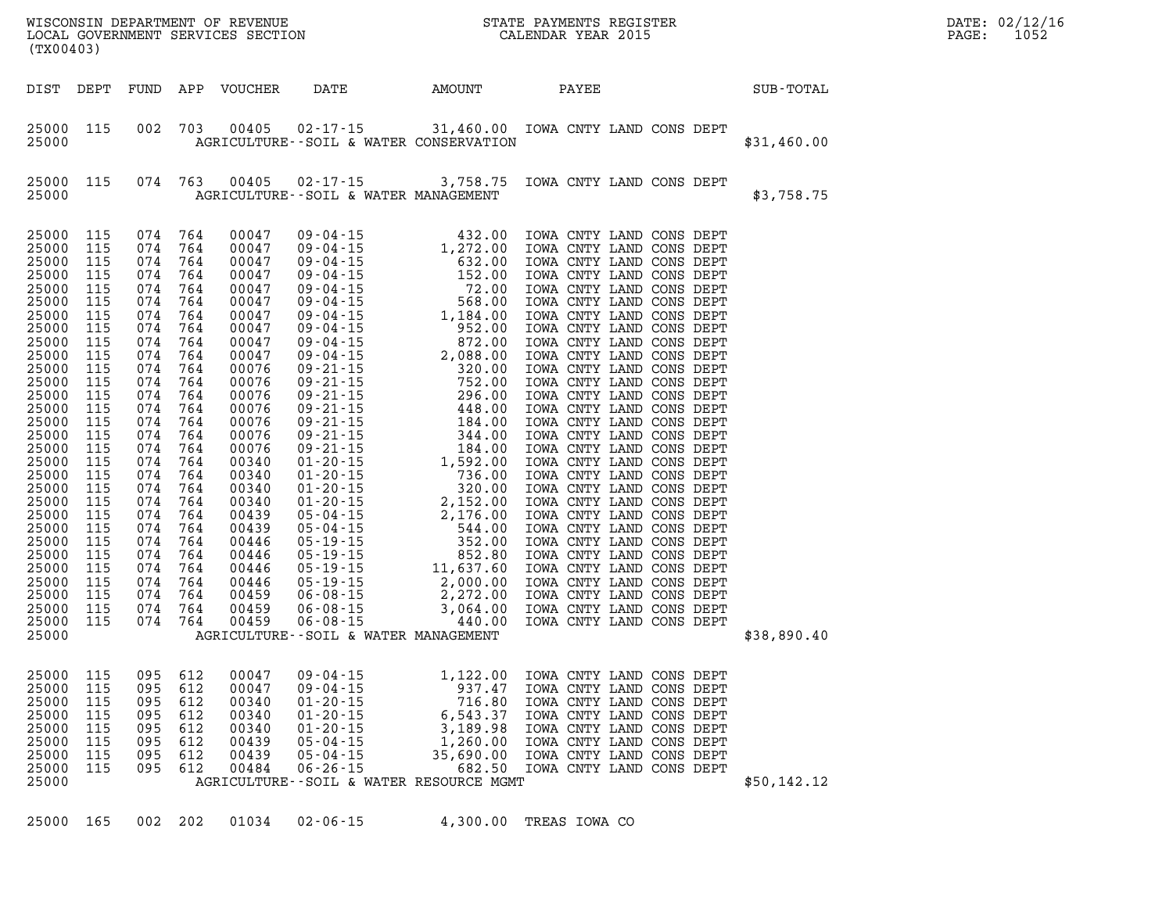| WISCONSIN DEPARTMENT OF REVENUE<br>LOCAL GOVERNMENT SERVICES SECTION<br>(TYO0403)<br>(TX00403) |                                                                                                                                                                                                                                                                                     |                                                                                                                                                                                                                |                                                                                                                                                                                                                    |                                                                                                                                                                                                         |                                                                                                                                                                                                                                                                            |                                                                                                                                                                                                                                                                                                                                                              |                                                                             | STATE PAYMENTS REGISTER<br>CALENDAR YEAR 2015                                                                                                                                                                                                                                                                                                                                                                                                                                                                                                                                                                                                                                                                                                                                                                                                                        |  | DATE: 02/12/16<br>1052<br>PAGE: |  |  |
|------------------------------------------------------------------------------------------------|-------------------------------------------------------------------------------------------------------------------------------------------------------------------------------------------------------------------------------------------------------------------------------------|----------------------------------------------------------------------------------------------------------------------------------------------------------------------------------------------------------------|--------------------------------------------------------------------------------------------------------------------------------------------------------------------------------------------------------------------|---------------------------------------------------------------------------------------------------------------------------------------------------------------------------------------------------------|----------------------------------------------------------------------------------------------------------------------------------------------------------------------------------------------------------------------------------------------------------------------------|--------------------------------------------------------------------------------------------------------------------------------------------------------------------------------------------------------------------------------------------------------------------------------------------------------------------------------------------------------------|-----------------------------------------------------------------------------|----------------------------------------------------------------------------------------------------------------------------------------------------------------------------------------------------------------------------------------------------------------------------------------------------------------------------------------------------------------------------------------------------------------------------------------------------------------------------------------------------------------------------------------------------------------------------------------------------------------------------------------------------------------------------------------------------------------------------------------------------------------------------------------------------------------------------------------------------------------------|--|---------------------------------|--|--|
|                                                                                                | DIST DEPT                                                                                                                                                                                                                                                                           |                                                                                                                                                                                                                | FUND                                                                                                                                                                                                               | APP                                                                                                                                                                                                     | VOUCHER                                                                                                                                                                                                                                                                    | DATE                                                                                                                                                                                                                                                                                                                                                         | AMOUNT                                                                      | PAYEE                                                                                                                                                                                                                                                                                                                                                                                                                                                                                                                                                                                                                                                                                                                                                                                                                                                                |  | SUB-TOTAL                       |  |  |
|                                                                                                | 25000 115<br>25000                                                                                                                                                                                                                                                                  |                                                                                                                                                                                                                | 002                                                                                                                                                                                                                | 703                                                                                                                                                                                                     | 00405                                                                                                                                                                                                                                                                      | 02-17-15 31,460.00 IOWA CNTY LAND CONS DEPT<br>AGRICULTURE--SOIL & WATER CONSERVATION                                                                                                                                                                                                                                                                        |                                                                             |                                                                                                                                                                                                                                                                                                                                                                                                                                                                                                                                                                                                                                                                                                                                                                                                                                                                      |  | \$31,460.00                     |  |  |
|                                                                                                | 25000<br>25000                                                                                                                                                                                                                                                                      | 115                                                                                                                                                                                                            | 074 763                                                                                                                                                                                                            |                                                                                                                                                                                                         | 00405                                                                                                                                                                                                                                                                      | $02 - 17 - 15$ 3, 758.75<br>AGRICULTURE--SOIL & WATER MANAGEMENT                                                                                                                                                                                                                                                                                             |                                                                             | IOWA CNTY LAND CONS DEPT                                                                                                                                                                                                                                                                                                                                                                                                                                                                                                                                                                                                                                                                                                                                                                                                                                             |  | \$3,758.75                      |  |  |
|                                                                                                | 25000<br>25000<br>25000<br>25000<br>25000<br>25000<br>25000<br>25000<br>25000<br>25000<br>25000<br>25000<br>25000<br>25000<br>25000<br>25000<br>25000<br>25000<br>25000<br>25000<br>25000<br>25000<br>25000<br>25000<br>25000<br>25000<br>25000<br>25000<br>25000<br>25000<br>25000 | 115<br>115<br>115<br>115<br>115<br>115<br>115<br>115<br>115<br>115<br>115<br>115<br>115<br>115<br>115<br>115<br>115<br>115<br>115<br>115<br>115<br>115<br>115<br>115<br>115<br>115<br>115<br>115<br>115<br>115 | 074<br>074<br>074<br>074<br>074<br>074<br>074<br>074<br>074<br>074<br>074<br>074<br>074<br>074<br>074<br>074<br>074<br>074<br>074<br>074<br>074<br>074<br>074<br>074<br>074<br>074<br>074<br>074<br>074<br>074 764 | 764<br>764<br>764<br>764<br>764<br>764<br>764<br>764<br>764<br>764<br>764<br>764<br>764<br>764<br>764<br>764<br>764<br>764<br>764<br>764<br>764<br>764<br>764<br>764<br>764<br>764<br>764<br>764<br>764 | 00047<br>00047<br>00047<br>00047<br>00047<br>00047<br>00047<br>00047<br>00047<br>00047<br>00076<br>00076<br>00076<br>00076<br>00076<br>00076<br>00076<br>00340<br>00340<br>00340<br>00340<br>00439<br>00439<br>00446<br>00446<br>00446<br>00446<br>00459<br>00459<br>00459 | $\begin{array}{cccc} 09\hbox{-}04\hbox{-}15 & 432.00 \\ 09\hbox{-}04\hbox{-}15 & 1,272.00 \\ 09\hbox{-}04\hbox{-}15 & 52.00 \\ 09\hbox{-}04\hbox{-}15 & 52.00 \\ 09\hbox{-}04\hbox{-}15 & 52.00 \\ 09\hbox{-}04\hbox{-}15 & 568.00 \\ 09\hbox{-}04\hbox{-}15 & 568.00 \\ 09\hbox{-}04\hbox{-}15 & 568.00 \\ 09\hbox$<br>AGRICULTURE--SOIL & WATER MANAGEMENT | 432.00                                                                      | IOWA CNTY LAND CONS DEPT<br>IOWA CNTY LAND CONS DEPT<br>IOWA CNTY LAND CONS DEPT<br>IOWA CNTY LAND CONS DEPT<br>IOWA CNTY LAND CONS DEPT<br>IOWA CNTY LAND CONS DEPT<br>IOWA CNTY LAND CONS DEPT<br>IOWA CNTY LAND CONS DEPT<br>IOWA CNTY LAND CONS DEPT<br>IOWA CNTY LAND CONS DEPT<br>IOWA CNTY LAND CONS DEPT<br>IOWA CNTY LAND CONS DEPT<br>IOWA CNTY LAND CONS DEPT<br>IOWA CNTY LAND CONS DEPT<br>IOWA CNTY LAND CONS DEPT<br>IOWA CNTY LAND CONS DEPT<br>IOWA CNTY LAND CONS DEPT<br>IOWA CNTY LAND CONS DEPT<br>IOWA CNTY LAND CONS DEPT<br>IOWA CNTY LAND CONS DEPT<br>IOWA CNTY LAND CONS DEPT<br>IOWA CNTY LAND CONS DEPT<br>IOWA CNTY LAND CONS DEPT<br>IOWA CNTY LAND CONS DEPT<br>IOWA CNTY LAND CONS DEPT<br>IOWA CNTY LAND CONS DEPT<br>IOWA CNTY LAND CONS DEPT<br>IOWA CNTY LAND CONS DEPT<br>IOWA CNTY LAND CONS DEPT<br>IOWA CNTY LAND CONS DEPT |  | \$38,890.40                     |  |  |
|                                                                                                | 25000 115<br>25000<br>25000<br>25000<br>25000<br>25000<br>25000<br>25000<br>25000                                                                                                                                                                                                   | 115<br>115<br>115<br>115<br>115<br>115<br>115                                                                                                                                                                  | 095 612<br>095<br>095<br>095<br>095<br>095<br>095<br>095                                                                                                                                                           | 612<br>612<br>612<br>612<br>612<br>612<br>612                                                                                                                                                           | 00047<br>00047<br>00340<br>00340<br>00340<br>00439<br>00439<br>00484                                                                                                                                                                                                       | $09 - 04 - 15$<br>$09 - 04 - 15$<br>$01 - 20 - 15$<br>$01 - 20 - 15$<br>$01 - 20 - 15$<br>$05 - 04 - 15$<br>$05 - 04 - 15$<br>$06 - 26 - 15$<br>AGRICULTURE--SOIL & WATER RESOURCE MGMT                                                                                                                                                                      | 937.47<br>716.80<br>6,543.37<br>3,189.98<br>1,260.00<br>35,690.00<br>682.50 | 1,122.00 IOWA CNTY LAND CONS DEPT<br>IOWA CNTY LAND CONS DEPT<br>IOWA CNTY LAND CONS DEPT<br>IOWA CNTY LAND CONS DEPT<br>IOWA CNTY LAND CONS DEPT<br>IOWA CNTY LAND CONS DEPT<br>IOWA CNTY LAND CONS DEPT<br>IOWA CNTY LAND CONS DEPT                                                                                                                                                                                                                                                                                                                                                                                                                                                                                                                                                                                                                                |  | \$50,142.12                     |  |  |
|                                                                                                | 25000                                                                                                                                                                                                                                                                               | 165                                                                                                                                                                                                            | 002 202                                                                                                                                                                                                            |                                                                                                                                                                                                         | 01034                                                                                                                                                                                                                                                                      | $02 - 06 - 15$                                                                                                                                                                                                                                                                                                                                               | 4,300.00                                                                    | TREAS IOWA CO                                                                                                                                                                                                                                                                                                                                                                                                                                                                                                                                                                                                                                                                                                                                                                                                                                                        |  |                                 |  |  |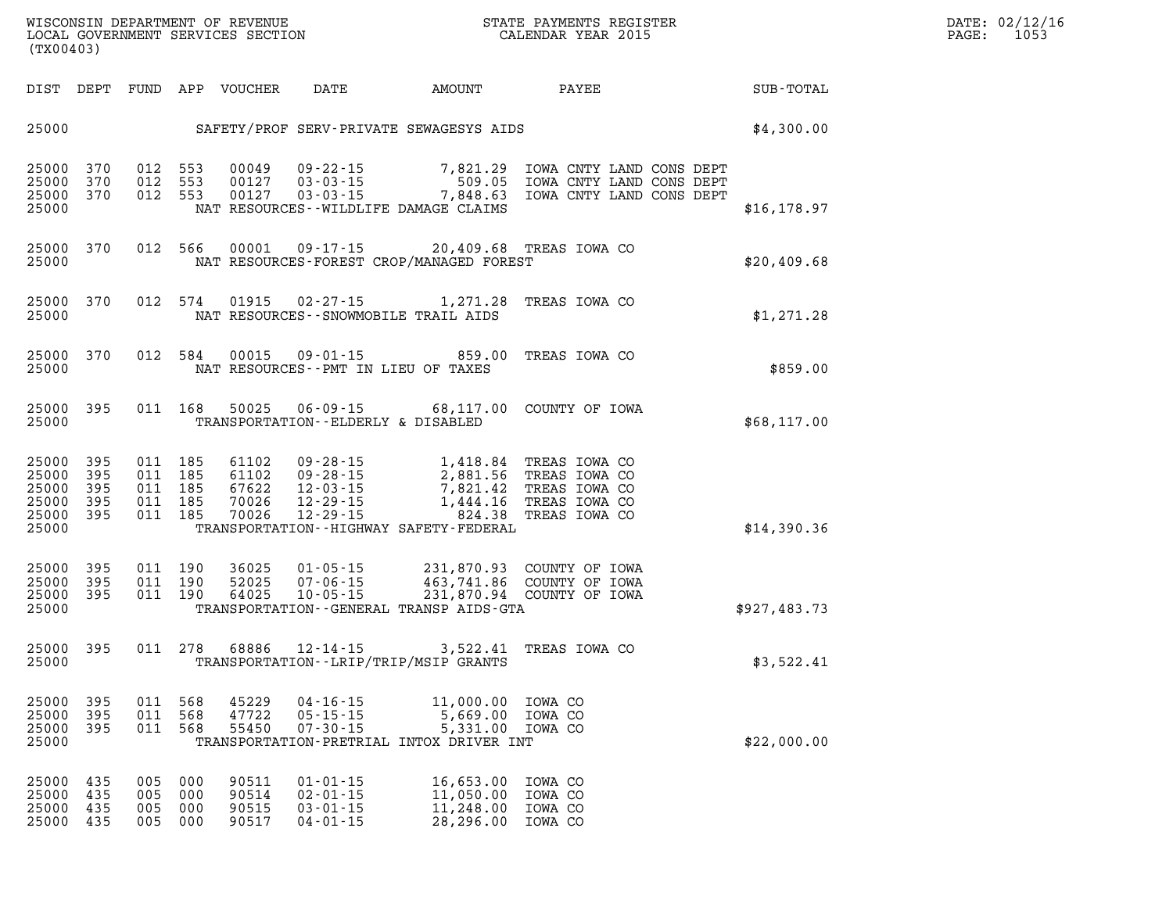| (TX00403)                                              |                          |                          |                                          |                                                   |                                                                      |                                                                                                                                                                                                                          | WISCONSIN DEPARTMENT OF REVENUE<br>LOCAL GOVERNMENT SERVICES SECTION CALENDAR YEAR 2015                                              |  | $\mathtt{PAGE:}$ | DATE: 02/12/16<br>1053 |  |
|--------------------------------------------------------|--------------------------|--------------------------|------------------------------------------|---------------------------------------------------|----------------------------------------------------------------------|--------------------------------------------------------------------------------------------------------------------------------------------------------------------------------------------------------------------------|--------------------------------------------------------------------------------------------------------------------------------------|--|------------------|------------------------|--|
|                                                        |                          |                          |                                          | DIST DEPT FUND APP VOUCHER                        |                                                                      |                                                                                                                                                                                                                          | DATE AMOUNT PAYEE SUB-TOTAL                                                                                                          |  |                  |                        |  |
|                                                        |                          |                          |                                          |                                                   |                                                                      |                                                                                                                                                                                                                          | 25000 SAFETY/PROF SERV-PRIVATE SEWAGESYS AIDS                                                                                        |  | \$4,300.00       |                        |  |
| 25000 370<br>25000<br>25000 370<br>25000               | 370                      |                          | 012 553                                  | 012 553 00049<br>00127<br>012 553 00127           |                                                                      | NAT RESOURCES - - WILDLIFE DAMAGE CLAIMS                                                                                                                                                                                 | 09-22-15 7,821.29 IOWA CNTY LAND CONS DEPT<br>03-03-15 509.05 IOWA CNTY LAND CONS DEPT<br>03-03-15 7,848.63 IOWA CNTY LAND CONS DEPT |  | \$16, 178.97     |                        |  |
| 25000<br>25000                                         | 370                      |                          |                                          |                                                   |                                                                      | 012 566 00001 09-17-15 20,409.68 TREAS IOWA CO<br>NAT RESOURCES-FOREST CROP/MANAGED FOREST                                                                                                                               |                                                                                                                                      |  | \$20,409.68      |                        |  |
| 25000<br>25000                                         | 370                      |                          | 012 574                                  |                                                   |                                                                      | 01915  02-27-15  1,271.28  TREAS  IOWA  CO<br>NAT RESOURCES -- SNOWMOBILE TRAIL AIDS                                                                                                                                     |                                                                                                                                      |  | \$1,271.28       |                        |  |
| 25000<br>25000                                         | 370                      |                          | 012 584                                  | 00015                                             |                                                                      | NAT RESOURCES -- PMT IN LIEU OF TAXES                                                                                                                                                                                    | 09-01-15 859.00 TREAS IOWA CO                                                                                                        |  | \$859.00         |                        |  |
| 25000<br>25000                                         | 395                      |                          | 011 168                                  | 50025                                             | TRANSPORTATION -- ELDERLY & DISABLED                                 |                                                                                                                                                                                                                          | 06-09-15 68,117.00 COUNTY OF IOWA                                                                                                    |  | \$68,117.00      |                        |  |
| 25000<br>25000<br>25000<br>25000<br>25000 395<br>25000 | 395<br>395<br>395<br>395 |                          | 011 185<br>011 185<br>011 185<br>011 185 | 61102<br>61102<br>67622<br>70026<br>011 185 70026 |                                                                      | 09-28-15 1,418.84 TREAS IOWA CO<br>09-28-15 2,881.56 TREAS IOWA CO<br>12-03-15 7,821.42 TREAS IOWA CO<br>12-29-15 1,444.16 TREAS IOWA CO<br>12-29-15 224.38 TREAS IOWA CO<br>TRANSPORTATION - - HIGHWAY SAFETY - FEDERAL |                                                                                                                                      |  | \$14,390.36      |                        |  |
| 25000<br>25000<br>25000 395<br>25000                   | 395<br>395               |                          | 011 190<br>011 190<br>011 190            | 36025<br>52025<br>64025                           |                                                                      | TRANSPORTATION--GENERAL TRANSP AIDS-GTA                                                                                                                                                                                  | 01-05-15 231,870.93 COUNTY OF IOWA<br>07-06-15 463,741.86 COUNTY OF IOWA<br>10-05-15 231,870.94 COUNTY OF IOWA                       |  | \$927,483.73     |                        |  |
| 25000<br>25000                                         | 395                      |                          | 011 278                                  | 68886                                             |                                                                      | 12-14-15 3,522.41 TREAS IOWA CO<br>TRANSPORTATION - - LRIP/TRIP/MSIP GRANTS                                                                                                                                              |                                                                                                                                      |  | \$3,522.41       |                        |  |
| 25000<br>25000<br>25000<br>25000                       | 395<br>395<br>395        | 011<br>011<br>011        | 568<br>568<br>568                        | 45229<br>47722<br>55450                           | $04 - 16 - 15$<br>$05 - 15 - 15$<br>$07 - 30 - 15$                   | 11,000.00<br>5,669.00<br>5,331.00<br>TRANSPORTATION-PRETRIAL INTOX DRIVER INT                                                                                                                                            | IOWA CO<br>IOWA CO<br>IOWA CO                                                                                                        |  | \$22,000.00      |                        |  |
| 25000<br>25000<br>25000<br>25000                       | 435<br>435<br>435<br>435 | 005<br>005<br>005<br>005 | 000<br>000<br>000<br>000                 | 90511<br>90514<br>90515<br>90517                  | $01 - 01 - 15$<br>$02 - 01 - 15$<br>$03 - 01 - 15$<br>$04 - 01 - 15$ | 16,653.00<br>11,050.00<br>11,248.00<br>28,296.00                                                                                                                                                                         | IOWA CO<br>IOWA CO<br>IOWA CO<br>IOWA CO                                                                                             |  |                  |                        |  |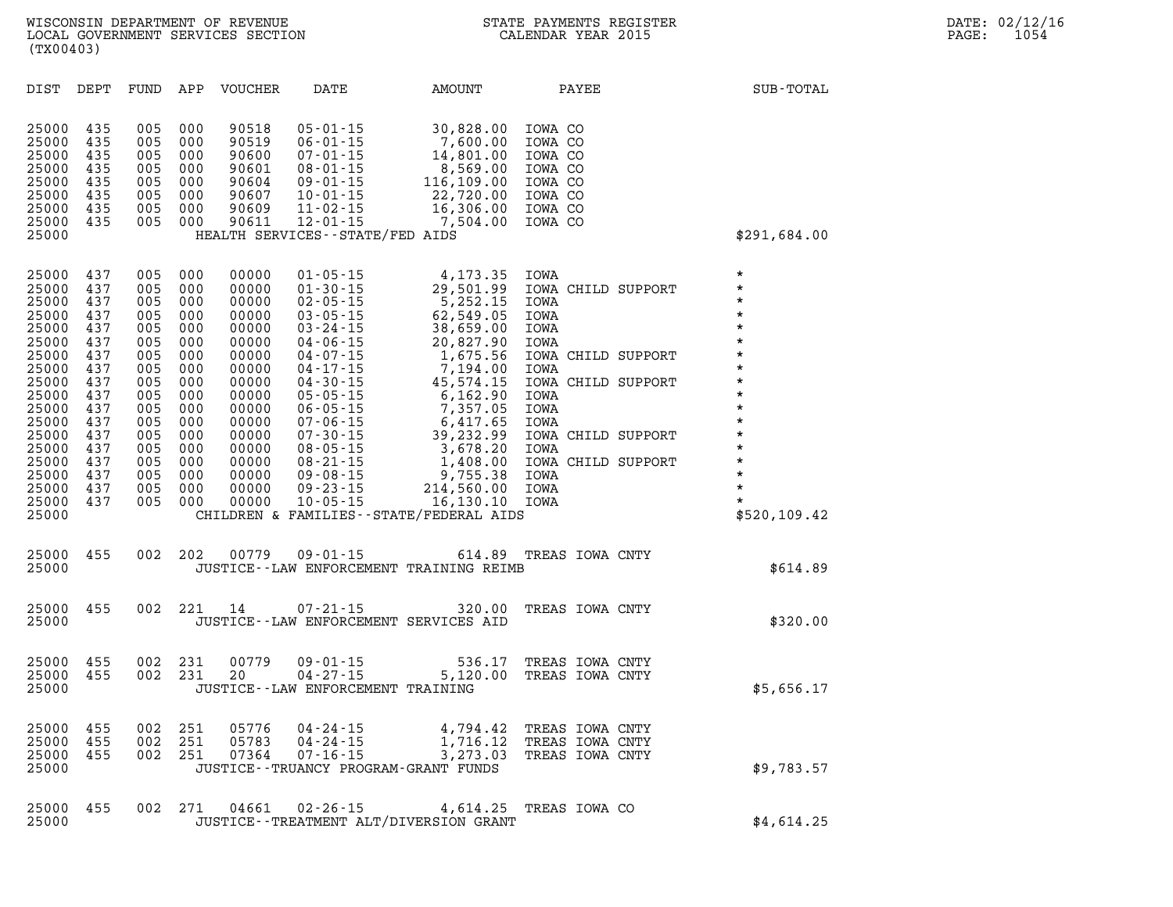| DIST                                                                                                                                                                    | DEPT                                                                                                                       | FUND                                                                                                                       | APP                                                                                                                        | <b>VOUCHER</b>                                                                                                                                                 | DATE                                                                                                                                                                                                                                                                                                                             | AMOUNT                                                                                                                                                                                                                                                                   | PAYEE                                                                                                                                                                                                                            | SUB-TOTAL                                                                                                                                                                                                    |
|-------------------------------------------------------------------------------------------------------------------------------------------------------------------------|----------------------------------------------------------------------------------------------------------------------------|----------------------------------------------------------------------------------------------------------------------------|----------------------------------------------------------------------------------------------------------------------------|----------------------------------------------------------------------------------------------------------------------------------------------------------------|----------------------------------------------------------------------------------------------------------------------------------------------------------------------------------------------------------------------------------------------------------------------------------------------------------------------------------|--------------------------------------------------------------------------------------------------------------------------------------------------------------------------------------------------------------------------------------------------------------------------|----------------------------------------------------------------------------------------------------------------------------------------------------------------------------------------------------------------------------------|--------------------------------------------------------------------------------------------------------------------------------------------------------------------------------------------------------------|
| 25000<br>25000<br>25000<br>25000<br>25000<br>25000<br>25000<br>25000<br>25000                                                                                           | 435<br>435<br>435<br>435<br>435<br>435<br>435<br>435                                                                       | 005<br>005<br>005<br>005<br>005<br>005<br>005<br>005                                                                       | 000<br>000<br>000<br>000<br>000<br>000<br>000<br>000                                                                       | 90518<br>90519<br>90600<br>90601<br>90604<br>90607<br>90609<br>90611                                                                                           | $05 - 01 - 15$<br>$06 - 01 - 15$<br>$07 - 01 - 15$<br>$08 - 01 - 15$<br>$09 - 01 - 15$<br>$10 - 01 - 15$<br>$11 - 02 - 15$<br>$12 - 01 - 15$<br>HEALTH SERVICES - - STATE/FED AIDS                                                                                                                                               | 30,828.00<br>7,600.00<br>14,801.00<br>8,569.00<br>116,109.00<br>22,720.00<br>16,306.00<br>7,504.00                                                                                                                                                                       | IOWA CO<br>IOWA CO<br>IOWA CO<br>IOWA CO<br>IOWA CO<br>IOWA CO<br>IOWA CO<br>IOWA CO                                                                                                                                             | \$291,684.00                                                                                                                                                                                                 |
| 25000<br>25000<br>25000<br>25000<br>25000<br>25000<br>25000<br>25000<br>25000<br>25000<br>25000<br>25000<br>25000<br>25000<br>25000<br>25000<br>25000<br>25000<br>25000 | 437<br>437<br>437<br>437<br>437<br>437<br>437<br>437<br>437<br>437<br>437<br>437<br>437<br>437<br>437<br>437<br>437<br>437 | 005<br>005<br>005<br>005<br>005<br>005<br>005<br>005<br>005<br>005<br>005<br>005<br>005<br>005<br>005<br>005<br>005<br>005 | 000<br>000<br>000<br>000<br>000<br>000<br>000<br>000<br>000<br>000<br>000<br>000<br>000<br>000<br>000<br>000<br>000<br>000 | 00000<br>00000<br>00000<br>00000<br>00000<br>00000<br>00000<br>00000<br>00000<br>00000<br>00000<br>00000<br>00000<br>00000<br>00000<br>00000<br>00000<br>00000 | $01 - 05 - 15$<br>$01 - 30 - 15$<br>$02 - 05 - 15$<br>$03 - 05 - 15$<br>$03 - 24 - 15$<br>$04 - 06 - 15$<br>$04 - 07 - 15$<br>$04 - 17 - 15$<br>$04 - 30 - 15$<br>$05 - 05 - 15$<br>$06 - 05 - 15$<br>$07 - 06 - 15$<br>$07 - 30 - 15$<br>$08 - 05 - 15$<br>$08 - 21 - 15$<br>$09 - 08 - 15$<br>$09 - 23 - 15$<br>$10 - 05 - 15$ | 4,173.35<br>29,501.99<br>5,252.15<br>62,549.05<br>38,659.00<br>20,827.90<br>1,675.56<br>7,194.00<br>45,574.15<br>6,162.90<br>7,357.05<br>6,417.65<br>39,232.99<br>3,678.20<br>1,408.00<br>9,755.38<br>214,560.00<br>16,130.10<br>CHILDREN & FAMILIES--STATE/FEDERAL AIDS | IOWA<br>IOWA CHILD SUPPORT<br>IOWA<br>IOWA<br>IOWA<br>IOWA<br>IOWA CHILD SUPPORT<br>IOWA<br>IOWA CHILD SUPPORT<br>IOWA<br>IOWA<br>IOWA<br>IOWA CHILD SUPPORT<br><b>IOWA</b><br>IOWA CHILD SUPPORT<br><b>IOWA</b><br>IOWA<br>IOWA | $\star$<br>$\star$<br>$\star$<br>$\star$<br>$\star$<br>*<br>$\star$<br>$\star$<br>$\star$<br>$\star$<br>$\star$<br>$\star$<br>$\star$<br>$\star$<br>$\star$<br>$\star$<br>$\star$<br>$\star$<br>\$520,109.42 |
| 25000<br>25000                                                                                                                                                          | 455                                                                                                                        | 002                                                                                                                        | 202                                                                                                                        | 00779                                                                                                                                                          | $09 - 01 - 15$                                                                                                                                                                                                                                                                                                                   | 614.89<br>JUSTICE -- LAW ENFORCEMENT TRAINING REIMB                                                                                                                                                                                                                      | TREAS IOWA CNTY                                                                                                                                                                                                                  | \$614.89                                                                                                                                                                                                     |
| 25000<br>25000                                                                                                                                                          | 455                                                                                                                        | 002                                                                                                                        | 221                                                                                                                        | 14                                                                                                                                                             | $07 - 21 - 15$                                                                                                                                                                                                                                                                                                                   | 320.00<br>JUSTICE -- LAW ENFORCEMENT SERVICES AID                                                                                                                                                                                                                        | TREAS IOWA CNTY                                                                                                                                                                                                                  | \$320.00                                                                                                                                                                                                     |
| 25000<br>25000<br>25000                                                                                                                                                 | 455<br>455                                                                                                                 | 002<br>002                                                                                                                 | 231<br>231                                                                                                                 | 00779<br>20                                                                                                                                                    | $09 - 01 - 15$<br>$04 - 27 - 15$<br>JUSTICE - - LAW ENFORCEMENT TRAINING                                                                                                                                                                                                                                                         | 536.17<br>5,120.00                                                                                                                                                                                                                                                       | TREAS IOWA CNTY<br>TREAS IOWA CNTY                                                                                                                                                                                               | \$5,656.17                                                                                                                                                                                                   |
| 25000<br>25000<br>25000<br>25000                                                                                                                                        | 455<br>455<br>455                                                                                                          | 002<br>002<br>002                                                                                                          | 251<br>251<br>251                                                                                                          | 05776<br>05783<br>07364                                                                                                                                        | 04 - 24 - 15<br>$04 - 24 - 15$<br>$07 - 16 - 15$                                                                                                                                                                                                                                                                                 | 4,794.42<br>1,716.12<br>3,273.03<br>JUSTICE - - TRUANCY PROGRAM - GRANT FUNDS                                                                                                                                                                                            | TREAS IOWA CNTY<br>TREAS IOWA CNTY<br>TREAS IOWA CNTY                                                                                                                                                                            | \$9,783.57                                                                                                                                                                                                   |
| 25000                                                                                                                                                                   | 455                                                                                                                        | 002                                                                                                                        | 271                                                                                                                        | 04661                                                                                                                                                          | $02 - 26 - 15$                                                                                                                                                                                                                                                                                                                   | 4,614.25                                                                                                                                                                                                                                                                 | TREAS IOWA CO                                                                                                                                                                                                                    |                                                                                                                                                                                                              |

**25000 JUSTICE--TREATMENT ALT/DIVERSION GRANT \$4,614.25**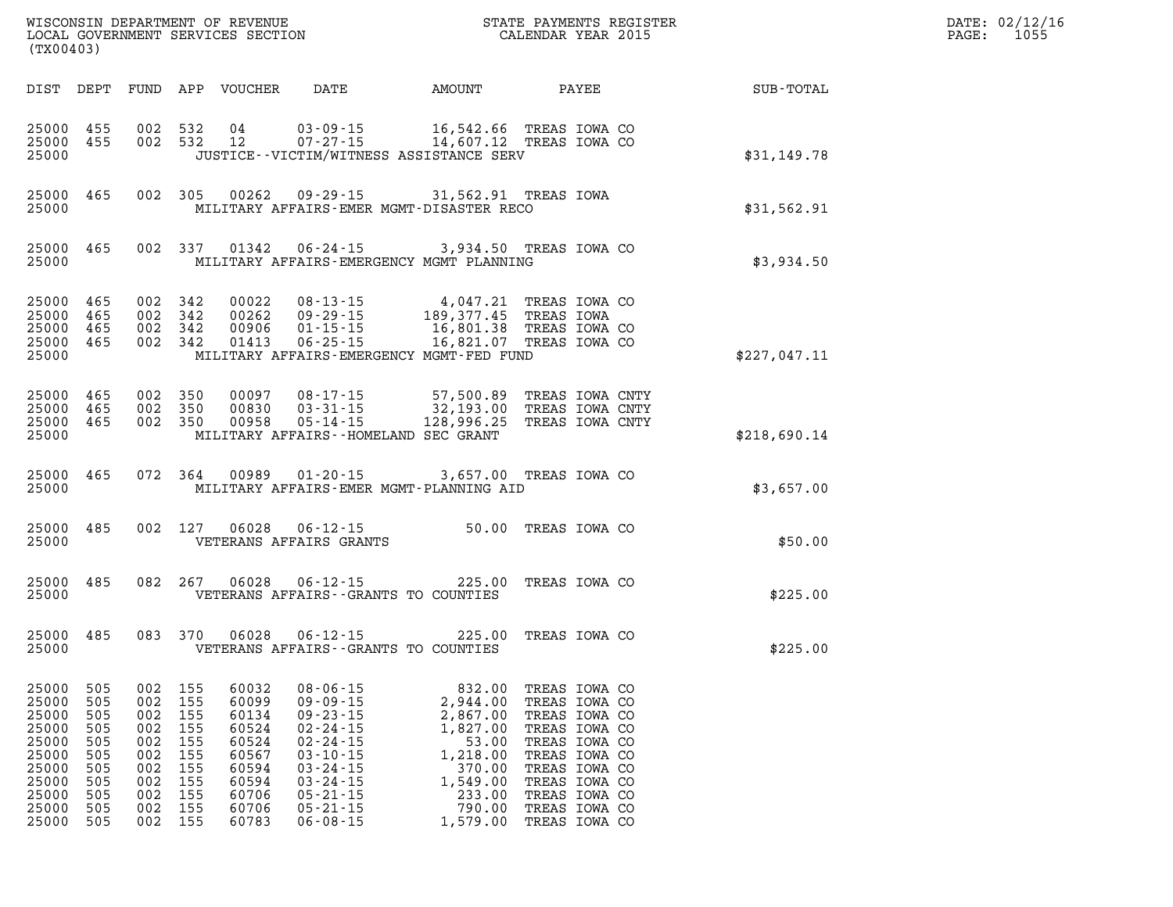| DATE: | 02/12/16 |
|-------|----------|
| PAGE: | 1055     |

| (TX00403)                                                                              |                                                                    |                                                                    |                                                                    |                                                                                        |                                                                                                                                                                                  |                                                                                                                                                                                                                                               |                                                                                                                                                                        |  |                                                                                             | DATE: 02/12/1<br>$\mathtt{PAGE:}$<br>1055 |
|----------------------------------------------------------------------------------------|--------------------------------------------------------------------|--------------------------------------------------------------------|--------------------------------------------------------------------|----------------------------------------------------------------------------------------|----------------------------------------------------------------------------------------------------------------------------------------------------------------------------------|-----------------------------------------------------------------------------------------------------------------------------------------------------------------------------------------------------------------------------------------------|------------------------------------------------------------------------------------------------------------------------------------------------------------------------|--|---------------------------------------------------------------------------------------------|-------------------------------------------|
|                                                                                        |                                                                    |                                                                    |                                                                    |                                                                                        |                                                                                                                                                                                  |                                                                                                                                                                                                                                               |                                                                                                                                                                        |  | DIST DEPT FUND APP VOUCHER DATE AMOUNT PAYEE SUB-TOTAL                                      |                                           |
| 25000 455<br>25000 455<br>25000                                                        |                                                                    |                                                                    |                                                                    |                                                                                        |                                                                                                                                                                                  | JUSTICE - - VICTIM/WITNESS ASSISTANCE SERV                                                                                                                                                                                                    |                                                                                                                                                                        |  | \$31,149.78                                                                                 |                                           |
| 25000 465<br>25000                                                                     |                                                                    |                                                                    |                                                                    |                                                                                        |                                                                                                                                                                                  |                                                                                                                                                                                                                                               |                                                                                                                                                                        |  | 465 002 305 00262 09-29-15 31,562.91 TREAS IOWA<br>MILITARY AFFAIRS-EMER MGMT-DISASTER RECO |                                           |
| 25000                                                                                  |                                                                    |                                                                    |                                                                    |                                                                                        |                                                                                                                                                                                  | 25000 465 002 337 01342 06-24-15 3,934.50 TREAS IOWA CO<br>MILITARY AFFAIRS-EMERGENCY MGMT PLANNING                                                                                                                                           |                                                                                                                                                                        |  | \$3,934.50                                                                                  |                                           |
| 25000 465<br>25000 465<br>25000 465<br>25000 465<br>25000                              |                                                                    |                                                                    |                                                                    |                                                                                        |                                                                                                                                                                                  | 002 342 00022 08-13-15 4,047.21 TREAS IOWA CO<br>002 342 00262 09-29-15 189,377.45 TREAS IOWA<br>002 342 00906 01-15-15 16,801.38 TREAS IOWA CO<br>002 342 01413 06-25-15 16,821.07 TREAS IOWA CO<br>MILITARY AFFAIRS-EMERGENCY MGMT-FED FUND |                                                                                                                                                                        |  | \$227,047.11                                                                                |                                           |
| 25000 465<br>25000 465<br>25000 465<br>25000                                           |                                                                    |                                                                    |                                                                    |                                                                                        | MILITARY AFFAIRS - HOMELAND SEC GRANT                                                                                                                                            | 002 350 00097 08-17-15 57,500.89 TREAS IOWA CNTY<br>002 350 00830 03-31-15 32,193.00 TREAS IOWA CNTY<br>002 350 00958 05-14-15 128,996.25 TREAS IOWA CNTY                                                                                     |                                                                                                                                                                        |  | \$218,690.14                                                                                |                                           |
|                                                                                        |                                                                    |                                                                    |                                                                    |                                                                                        |                                                                                                                                                                                  | 25000 465 072 364 00989 01-20-15 3,657.00 TREAS IOWA CO                                                                                                                                                                                       |                                                                                                                                                                        |  | \$3,657.00                                                                                  |                                           |
| 25000                                                                                  |                                                                    |                                                                    |                                                                    |                                                                                        | VETERANS AFFAIRS GRANTS                                                                                                                                                          |                                                                                                                                                                                                                                               |                                                                                                                                                                        |  | \$50.00                                                                                     |                                           |
|                                                                                        |                                                                    |                                                                    |                                                                    |                                                                                        |                                                                                                                                                                                  | 25000 485 082 267 06028 06-12-15 225.00 TREAS IOWA CO                                                                                                                                                                                         |                                                                                                                                                                        |  | \$225.00                                                                                    |                                           |
| 25000                                                                                  |                                                                    |                                                                    |                                                                    |                                                                                        | VETERANS AFFAIRS--GRANTS TO COUNTIES                                                                                                                                             | 25000 485 083 370 06028 06-12-15 225.00 TREAS IOWA CO                                                                                                                                                                                         |                                                                                                                                                                        |  | \$225.00                                                                                    |                                           |
| 25000<br>25000<br>25000<br>25000<br>25000<br>25000<br>25000<br>25000<br>25000<br>25000 | 505<br>505<br>505<br>505<br>505<br>505<br>505<br>505<br>505<br>505 | 002<br>002<br>002<br>002<br>002<br>002<br>002<br>002<br>002<br>002 | 155<br>155<br>155<br>155<br>155<br>155<br>155<br>155<br>155<br>155 | 60032<br>60099<br>60134<br>60524<br>60524<br>60567<br>60594<br>60594<br>60706<br>60706 | $08 - 06 - 15$<br>$09 - 09 - 15$<br>$09 - 23 - 15$<br>$02 - 24 - 15$<br>$02 - 24 - 15$<br>$03 - 10 - 15$<br>$03 - 24 - 15$<br>$03 - 24 - 15$<br>$05 - 21 - 15$<br>$05 - 21 - 15$ | 832.00<br>2,944.00<br>2,867.00<br>1,827.00<br>53.00<br>1,218.00<br>370.00<br>1,549.00<br>233.00<br>790.00                                                                                                                                     | TREAS IOWA CO<br>TREAS IOWA CO<br>TREAS IOWA CO<br>TREAS IOWA CO<br>TREAS IOWA CO<br>TREAS IOWA CO<br>TREAS IOWA CO<br>TREAS IOWA CO<br>TREAS IOWA CO<br>TREAS IOWA CO |  |                                                                                             |                                           |

**25000 505 002 155 60783 06-08-15 1,579.00 TREAS IOWA CO**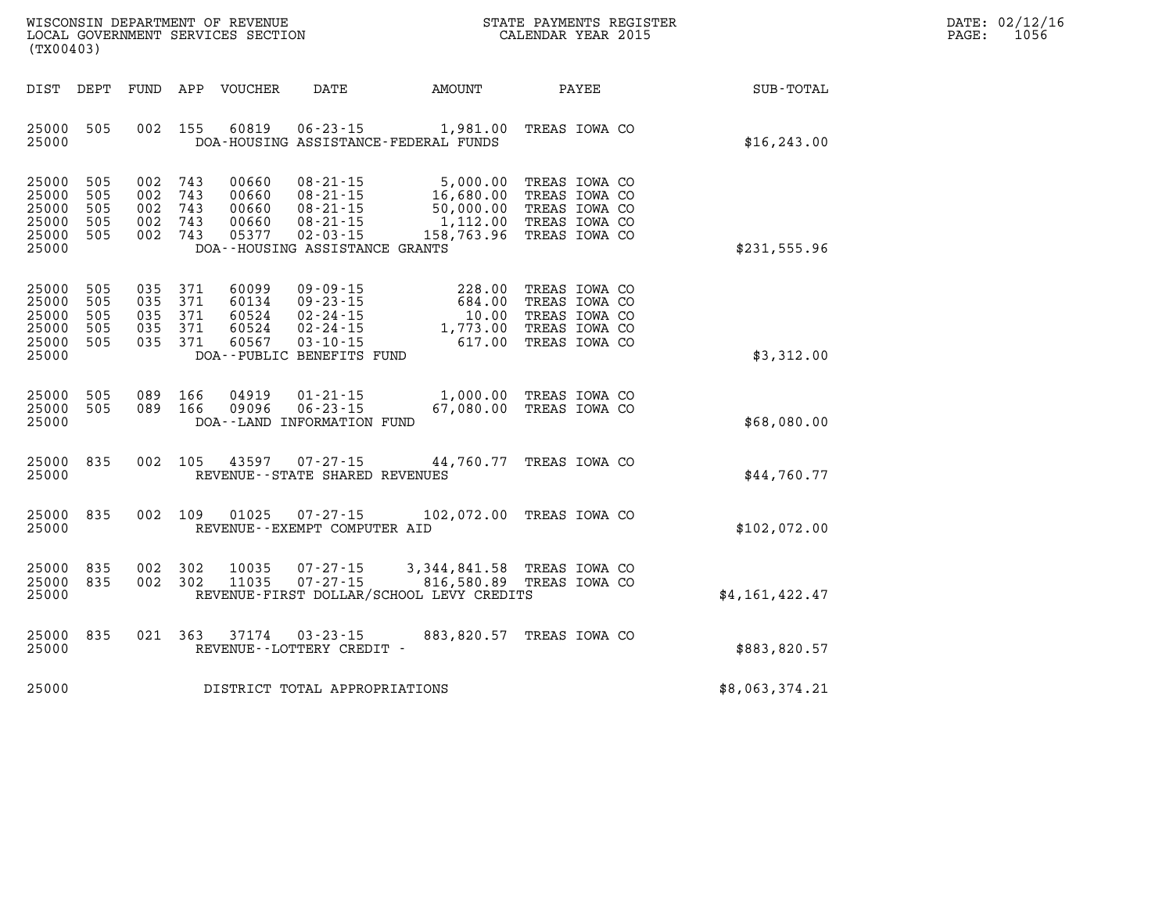| WISCONSIN DEPARTMENT OF REVENUE      | REGISTER<br>PAYMENTS<br>STATE | DATE: | UZI    |
|--------------------------------------|-------------------------------|-------|--------|
| LOCAL<br>GOVERNMENT SERVICES SECTION | CALENDAR YEAR 2015            | PAGE. | LO 5 6 |

|                |                                                                                   |                                                                          |                                                                                                                          |                                                                              |                                 |                                 | (TX00403)                                          |
|----------------|-----------------------------------------------------------------------------------|--------------------------------------------------------------------------|--------------------------------------------------------------------------------------------------------------------------|------------------------------------------------------------------------------|---------------------------------|---------------------------------|----------------------------------------------------|
| SUB-TOTAL      | PAYEE                                                                             | AMOUNT                                                                   | DATE                                                                                                                     | APP<br>VOUCHER                                                               | FUND                            | DEPT                            | DIST                                               |
| \$16, 243.00   | TREAS IOWA CO                                                                     | 1,981.00                                                                 | $06 - 23 - 15$<br>DOA-HOUSING ASSISTANCE-FEDERAL FUNDS                                                                   | 155<br>60819                                                                 | 002                             | 505                             | 25000<br>25000                                     |
| \$231,555.96   | TREAS IOWA CO<br>TREAS IOWA CO<br>TREAS IOWA CO<br>TREAS IOWA CO<br>TREAS IOWA CO | 5,000.00<br>16,680.00<br>50,000.00<br>1,112.00<br>158,763.96             | $08 - 21 - 15$<br>$08 - 21 - 15$<br>$08 - 21 - 15$<br>$08 - 21 - 15$<br>$02 - 03 - 15$<br>DOA--HOUSING ASSISTANCE GRANTS | 743<br>00660<br>743<br>00660<br>743<br>00660<br>743<br>00660<br>743<br>05377 | 002<br>002<br>002<br>002<br>002 | 505<br>505<br>505<br>505<br>505 | 25000<br>25000<br>25000<br>25000<br>25000<br>25000 |
| \$3,312.00     | TREAS IOWA CO<br>TREAS IOWA CO<br>TREAS IOWA CO<br>TREAS IOWA CO<br>TREAS IOWA CO | 228.00<br>684.00<br>10.00<br>1,773.00<br>617.00                          | $09 - 09 - 15$<br>$09 - 23 - 15$<br>$02 - 24 - 15$<br>$02 - 24 - 15$<br>$03 - 10 - 15$<br>DOA--PUBLIC BENEFITS FUND      | 371<br>60099<br>371<br>60134<br>371<br>60524<br>371<br>60524<br>371<br>60567 | 035<br>035<br>035<br>035<br>035 | 505<br>505<br>505<br>505<br>505 | 25000<br>25000<br>25000<br>25000<br>25000<br>25000 |
| \$68,080.00    | TREAS IOWA CO<br>TREAS IOWA CO                                                    | 1,000.00<br>67,080.00                                                    | $01 - 21 - 15$<br>$06 - 23 - 15$<br>DOA--LAND INFORMATION FUND                                                           | 166<br>04919<br>166<br>09096                                                 | 089<br>089                      | 505<br>505                      | 25000<br>25000<br>25000                            |
| \$44,760.77    | TREAS IOWA CO                                                                     | 44,760.77                                                                | $07 - 27 - 15$<br>REVENUE - - STATE SHARED REVENUES                                                                      | 105<br>43597                                                                 | 002                             | 835                             | 25000<br>25000                                     |
| \$102,072.00   | 102,072.00 TREAS IOWA CO                                                          |                                                                          | $07 - 27 - 15$<br>REVENUE--EXEMPT COMPUTER AID                                                                           | 109<br>01025                                                                 | 002                             | 835                             | 25000<br>25000                                     |
| \$4,161,422.47 | TREAS IOWA CO<br>TREAS IOWA CO                                                    | 3, 344, 841.58<br>816,580.89<br>REVENUE-FIRST DOLLAR/SCHOOL LEVY CREDITS | $07 - 27 - 15$<br>$07 - 27 - 15$                                                                                         | 302<br>10035<br>302<br>11035                                                 | 002<br>002                      | 835<br>835                      | 25000<br>25000<br>25000                            |
| \$883,820.57   | TREAS IOWA CO                                                                     | 883,820.57                                                               | $03 - 23 - 15$<br>REVENUE--LOTTERY CREDIT -                                                                              | 363<br>37174                                                                 | 021                             | 835                             | 25000<br>25000                                     |
| \$8,063,374.21 |                                                                                   |                                                                          | DISTRICT TOTAL APPROPRIATIONS                                                                                            |                                                                              |                                 |                                 | 25000                                              |

WISCONSIN DEPARTMENT OF REVENUE **STATE PAYMENTS REGISTER**<br>LOCAL GOVERNMENT SERVICES SECTION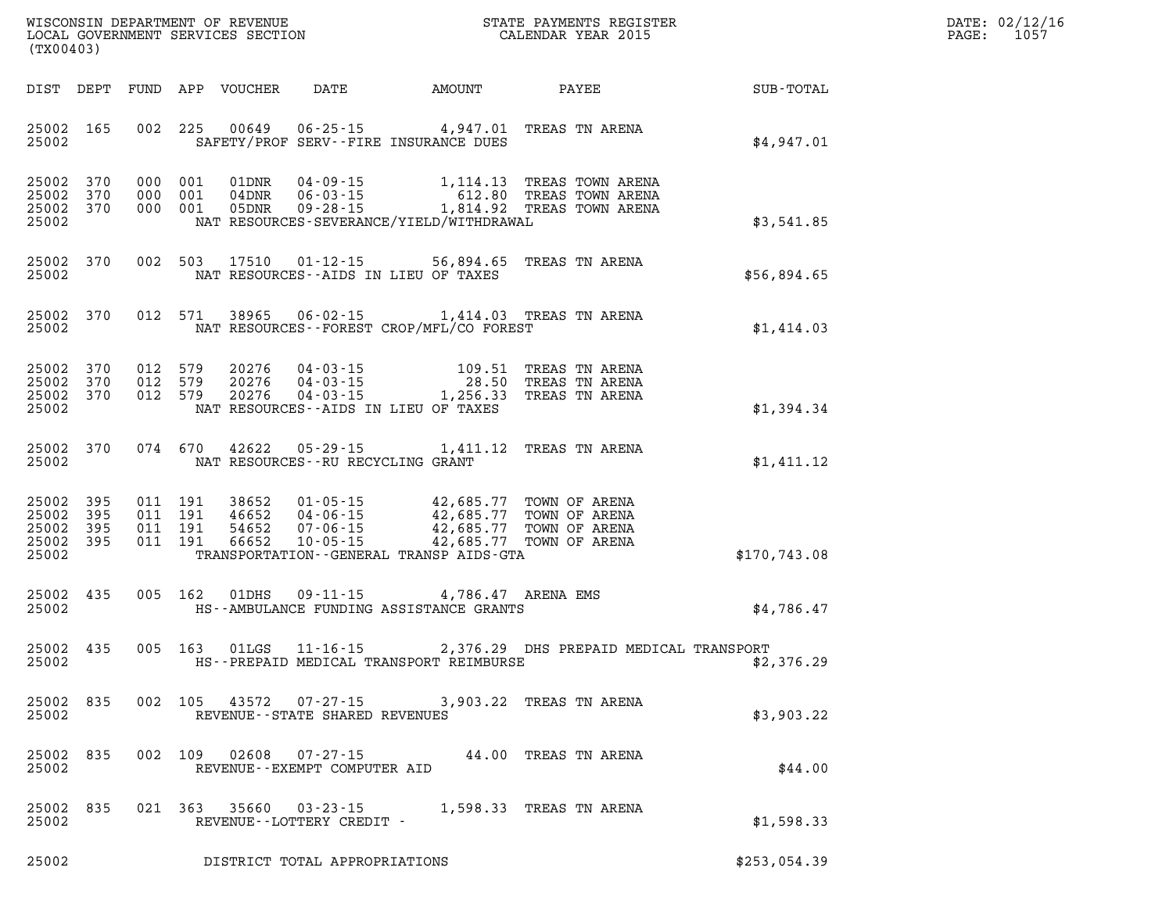| DATE: | 02/12/16 |
|-------|----------|
| PAGE: | 1057     |

| (TX00403) |           |         |                                                     |                                                                                                                                                                                                                                                                                      | WISCONSIN DEPARTMENT OF REVENUE<br>LOCAL GOVERNMENT SERVICES SECTION<br>(TYOO402)                                                                                                                                                                                                                       | STATE PAYMENTS REGISTER<br>CALENDAR YEAR 2015          | DATE: 02/12/1<br>PAGE: 1057 |
|-----------|-----------|---------|-----------------------------------------------------|--------------------------------------------------------------------------------------------------------------------------------------------------------------------------------------------------------------------------------------------------------------------------------------|---------------------------------------------------------------------------------------------------------------------------------------------------------------------------------------------------------------------------------------------------------------------------------------------------------|--------------------------------------------------------|-----------------------------|
|           |           |         |                                                     |                                                                                                                                                                                                                                                                                      |                                                                                                                                                                                                                                                                                                         | DIST DEPT FUND APP VOUCHER DATE AMOUNT PAYEE SUB-TOTAL |                             |
|           |           |         |                                                     | 25002 SAFETY/PROF SERV--FIRE INSURANCE DUES                                                                                                                                                                                                                                          | 25002 165 002 225 00649 06-25-15 4,947.01 TREAS TN ARENA                                                                                                                                                                                                                                                | \$4,947.01                                             |                             |
|           |           |         |                                                     | 25002 NAT RESOURCES-SEVERANCE/YIELD/WITHDRAWAL                                                                                                                                                                                                                                       | 25002 370 000 001 01DNR 04-09-15 1,114.13 TREAS TOWN ARENA<br>25002 370 000 001 04DNR 06-03-15 612.80 TREAS TOWN ARENA<br>25002 370 000 001 05DNR 09-28-15 1,814.92 TREAS TOWN ARENA                                                                                                                    | \$3,541.85                                             |                             |
|           |           |         |                                                     | 25002 2002 NAT RESOURCES--AIDS IN LIEU OF TAXES                                                                                                                                                                                                                                      | 25002 370 002 503 17510 01-12-15 56,894.65 TREAS TN ARENA                                                                                                                                                                                                                                               | \$56,894.65                                            |                             |
|           |           |         |                                                     |                                                                                                                                                                                                                                                                                      | 25002 370 012 571 38965 06-02-15 1,414.03 TREAS TN ARENA<br>25002 577 THE NAT RESOURCES--FOREST CROP/MFL/CO FOREST                                                                                                                                                                                      | \$1,414.03                                             |                             |
|           |           |         |                                                     | 25002 NAT RESOURCES--AIDS IN LIEU OF TAXES                                                                                                                                                                                                                                           | $\begin{array}{cccc} 25002 & 370 & 012 & 579 & 20276 & 04\cdot 03\cdot 15 & 109.51 & \text{TREAS TN AREA} \\ 25002 & 370 & 012 & 579 & 20276 & 04\cdot 03\cdot 15 & 28.50 & \text{TREAS TN AREA} \\ 25002 & 370 & 012 & 579 & 20276 & 04\cdot 03\cdot 15 & 1,256.33 & \text{TREAS TN AREA} \end{array}$ | \$1,394.34                                             |                             |
|           |           |         | 25002 MAT RESOURCES--RU RECYCLING GRANT             |                                                                                                                                                                                                                                                                                      | 25002 370 074 670 42622 05-29-15 1,411.12 TREAS TN ARENA                                                                                                                                                                                                                                                | \$1,411.12                                             |                             |
| 25002     |           |         |                                                     | 25002 395 011 191 38652 01-05-15 42,685.77 TOWN OF ARENA<br>25002 395 011 191 46652 04-06-15 42,685.77 TOWN OF ARENA<br>25002 395 011 191 54652 07-06-15 42,685.77 TOWN OF ARENA<br>25002 395 011 191 66652 10-05-15 42,685.77 TOWN OF<br>TRANSPORTATION - GENERAL TRANSP AIDS - GTA |                                                                                                                                                                                                                                                                                                         | \$170, 743.08                                          |                             |
|           |           |         |                                                     |                                                                                                                                                                                                                                                                                      | 25002 435 005 162 01DHS 09-11-15 4,786.47 ARENA EMS<br>25002 HS--AMBULANCE FUNDING ASSISTANCE GRANTS                                                                                                                                                                                                    | \$4,786.47                                             |                             |
|           |           |         |                                                     | 25002 HS--PREPAID MEDICAL TRANSPORT REIMBURSE                                                                                                                                                                                                                                        | 25002 435 005 163 01LGS 11-16-15 2,376.29 DHS PREPAID MEDICAL TRANSPORT                                                                                                                                                                                                                                 | \$2,376.29                                             |                             |
| 25002     | 25002 835 |         | REVENUE - - STATE SHARED REVENUES                   |                                                                                                                                                                                                                                                                                      | 002 105 43572 07-27-15 3,903.22 TREAS TN ARENA                                                                                                                                                                                                                                                          | \$3,903.22                                             |                             |
| 25002     | 25002 835 | 002 109 | REVENUE--EXEMPT COMPUTER AID                        |                                                                                                                                                                                                                                                                                      | 02608  07-27-15  44.00 TREAS TN ARENA                                                                                                                                                                                                                                                                   | \$44.00                                                |                             |
| 25002     | 25002 835 |         | 021 363 35660 03-23-15<br>REVENUE--LOTTERY CREDIT - |                                                                                                                                                                                                                                                                                      | 1,598.33 TREAS TN ARENA                                                                                                                                                                                                                                                                                 | \$1,598.33                                             |                             |

**25002 DISTRICT TOTAL APPROPRIATIONS \$253,054.39**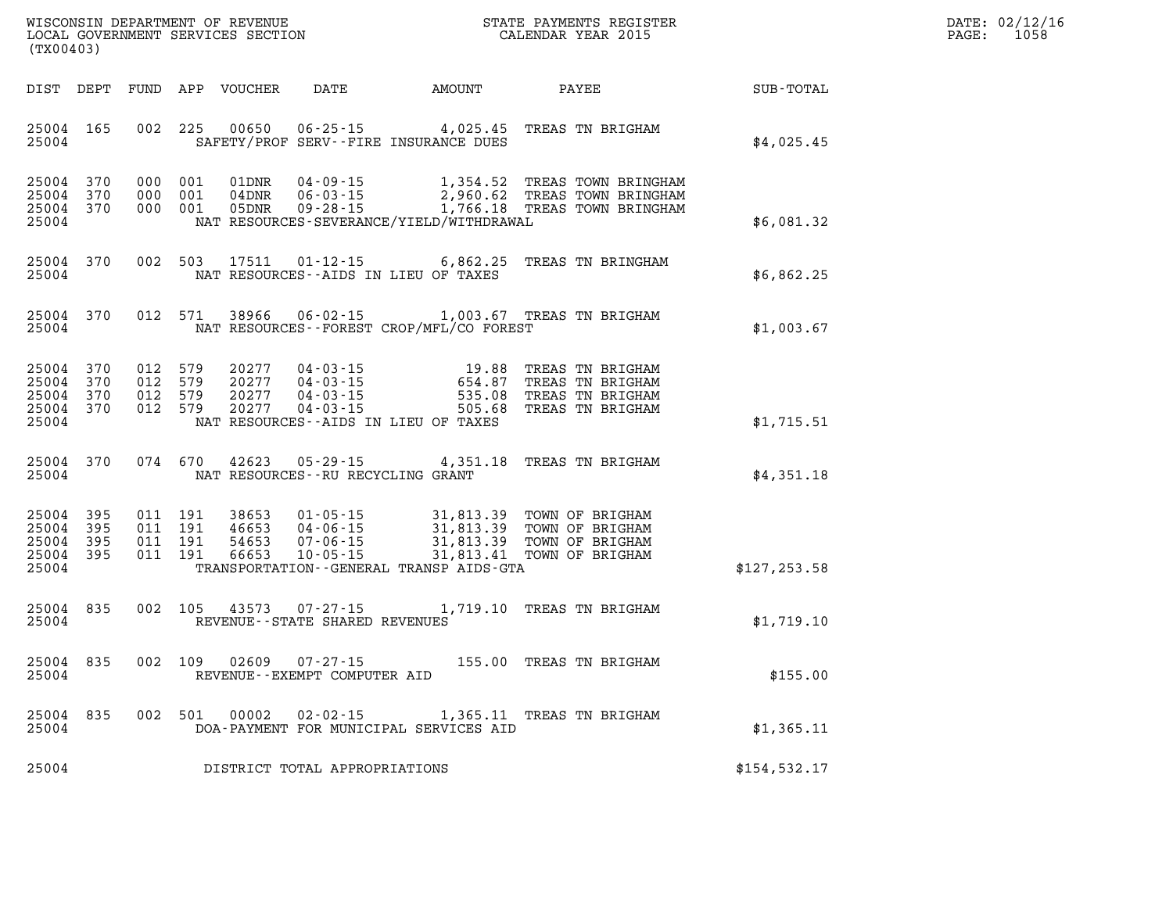| WISCONSIN DEPARTMENT OF REVENUE   | PAYMENTS REGISTER<br>3TATE | DATE: | 02/12/16 |
|-----------------------------------|----------------------------|-------|----------|
| LOCAL GOVERNMENT SERVICES SECTION | CALENDAR YEAR 2015         | PAGE  | 1058     |

|                                                   | LOCAL GOVERNMENT SERVICES SECTION<br>(TX00403) |  |                                          |                                  |                                                     |                                                                                                                                                                                                     | CALENDAR YEAR 2015                                                                                    |               | PAGE: | 1058 |
|---------------------------------------------------|------------------------------------------------|--|------------------------------------------|----------------------------------|-----------------------------------------------------|-----------------------------------------------------------------------------------------------------------------------------------------------------------------------------------------------------|-------------------------------------------------------------------------------------------------------|---------------|-------|------|
|                                                   |                                                |  |                                          | DIST DEPT FUND APP VOUCHER       |                                                     | DATE AMOUNT                                                                                                                                                                                         | PAYEE                                                                                                 | SUB-TOTAL     |       |      |
| 25004 165<br>25004                                |                                                |  |                                          | 002 225 00650                    |                                                     | SAFETY/PROF SERV--FIRE INSURANCE DUES                                                                                                                                                               | 06-25-15 4,025.45 TREAS TN BRIGHAM                                                                    | \$4,025.45    |       |      |
| 25004 370<br>25004<br>25004 370<br>25004          | 370                                            |  | 000 001<br>000 001<br>000 001            | 01DNR<br>04DNR<br>05DNR          | 04 - 09 - 15<br>06 - 03 - 15                        | NAT RESOURCES-SEVERANCE/YIELD/WITHDRAWAL                                                                                                                                                            | 1,354.52 TREAS TOWN BRINGHAM<br>2,960.62 TREAS TOWN BRINGHAM<br>09-28-15 1,766.18 TREAS TOWN BRINGHAM | \$6,081.32    |       |      |
| 25004 370<br>25004                                |                                                |  | 002 503                                  | 17511                            |                                                     | NAT RESOURCES--AIDS IN LIEU OF TAXES                                                                                                                                                                | 01-12-15 6,862.25 TREAS TN BRINGHAM                                                                   | \$6,862.25    |       |      |
| 25004 370<br>25004                                |                                                |  | 012 571                                  | 38966                            |                                                     | NAT RESOURCES--FOREST CROP/MFL/CO FOREST                                                                                                                                                            | 06-02-15 1,003.67 TREAS TN BRIGHAM                                                                    | \$1,003.67    |       |      |
| 25004 370<br>25004<br>25004<br>25004 370<br>25004 | 370<br>370                                     |  | 012 579<br>012 579<br>012 579<br>012 579 | 20277<br>20277<br>20277<br>20277 |                                                     | 04 - 03 - 15<br>04 - 03 - 15<br>04 - 03 - 15<br>04 - 03 - 15<br>04 - 03 - 15<br>04 - 03 - 15<br>05 - 05 - 05 - 06<br>05 - 05 - 05 - 06<br>05 - 05 - 05 - 06<br>NAT RESOURCES--AIDS IN LIEU OF TAXES | 19.88 TREAS TN BRIGHAM<br>TREAS TN BRIGHAM<br>TREAS TN BRIGHAM<br>TREAS TN BRIGHAM                    | \$1,715.51    |       |      |
| 25004                                             | 25004 370                                      |  | 074 670                                  | 42623                            | NAT RESOURCES -- RU RECYCLING GRANT                 |                                                                                                                                                                                                     | 05-29-15 4,351.18 TREAS TN BRIGHAM                                                                    | \$4,351.18    |       |      |
| 25004<br>25004<br>25004<br>25004 395<br>25004     | 395<br>- 395<br>- 395                          |  | 011 191<br>011 191<br>011 191<br>011 191 | 38653<br>46653<br>54653<br>66653 |                                                     | TRANSPORTATION--GENERAL TRANSP AIDS-GTA                                                                                                                                                             |                                                                                                       | \$127, 253.58 |       |      |
| 25004<br>25004                                    | 835                                            |  | 002 105                                  | 43573                            | $07 - 27 - 15$<br>REVENUE - - STATE SHARED REVENUES |                                                                                                                                                                                                     | 1,719.10 TREAS TN BRIGHAM                                                                             | \$1,719.10    |       |      |
| 25004 835<br>25004                                |                                                |  |                                          | 002 109 02609                    | 07-27-15<br>REVENUE--EXEMPT COMPUTER AID            |                                                                                                                                                                                                     | 155.00 TREAS TN BRIGHAM                                                                               | \$155.00      |       |      |
| 25004 835<br>25004                                |                                                |  | 002 501                                  | 00002                            |                                                     | DOA-PAYMENT FOR MUNICIPAL SERVICES AID                                                                                                                                                              | 02-02-15 1,365.11 TREAS TN BRIGHAM                                                                    | \$1,365.11    |       |      |
| 25004                                             |                                                |  |                                          |                                  | DISTRICT TOTAL APPROPRIATIONS                       |                                                                                                                                                                                                     |                                                                                                       | \$154, 532.17 |       |      |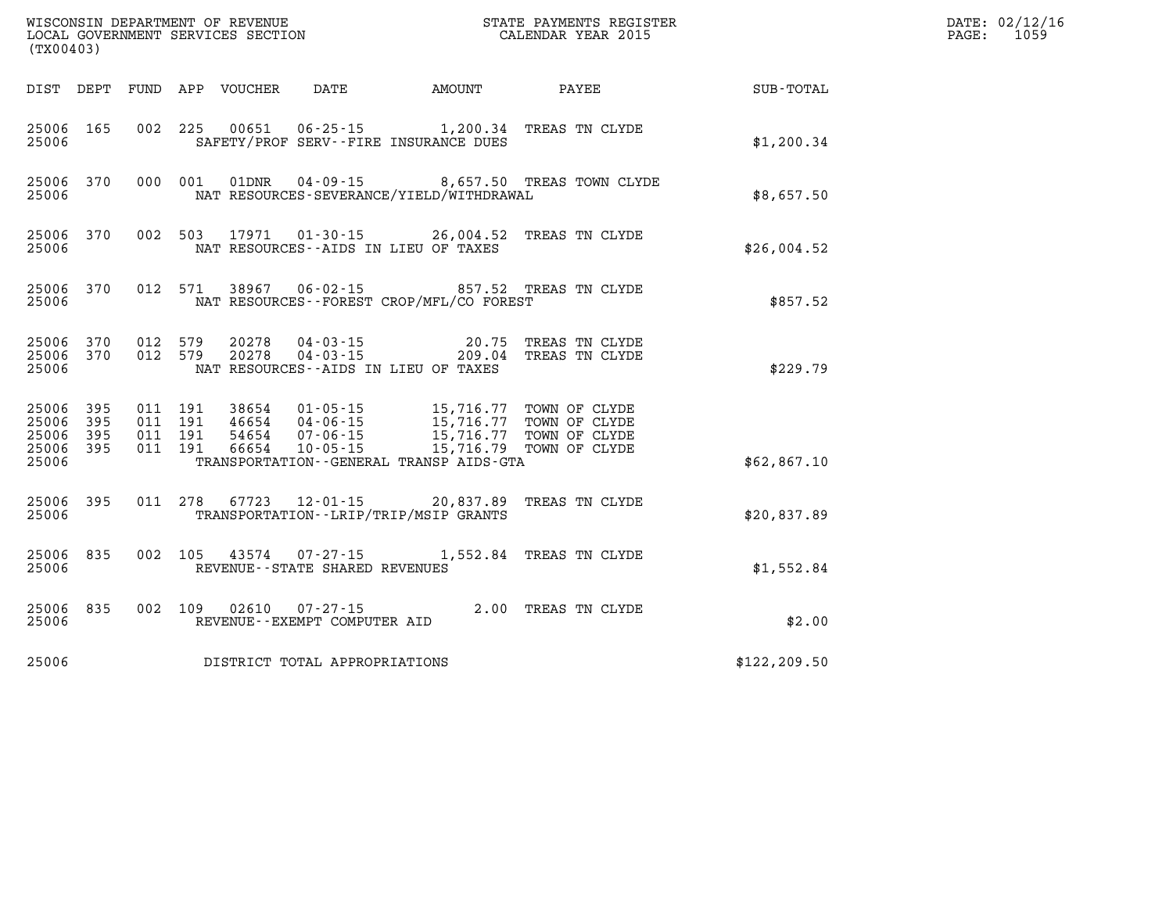|                                               |                   |                                          |                  | WISCONSIN DEFARTMENT OF REVENUE<br>LOCAL GOVERNMENT SERVICES SECTION<br>(TX00403) |                                                                                                                                   | STATE PAYMENTS REGISTER<br>CALENDAR YEAR 2015                   |               | DATE: 02/12/16<br>PAGE:<br>1059 |
|-----------------------------------------------|-------------------|------------------------------------------|------------------|-----------------------------------------------------------------------------------|-----------------------------------------------------------------------------------------------------------------------------------|-----------------------------------------------------------------|---------------|---------------------------------|
| DIST DEPT                                     |                   |                                          | FUND APP VOUCHER |                                                                                   |                                                                                                                                   | DATE AMOUNT PAYEE                                               | SUB-TOTAL     |                                 |
| 25006 165<br>25006                            |                   |                                          |                  |                                                                                   | SAFETY/PROF SERV--FIRE INSURANCE DUES                                                                                             | 002 225 00651 06-25-15 1,200.34 TREAS TN CLYDE                  | \$1,200.34    |                                 |
| 25006<br>25006                                | 370               | 000 001                                  | 01DNR            |                                                                                   | NAT RESOURCES-SEVERANCE/YIELD/WITHDRAWAL                                                                                          | 04-09-15 8,657.50 TREAS TOWN CLYDE                              | \$8,657.50    |                                 |
| 25006<br>25006                                | 370               |                                          |                  |                                                                                   | NAT RESOURCES--AIDS IN LIEU OF TAXES                                                                                              | 002 503 17971 01-30-15 26,004.52 TREAS TN CLYDE                 | \$26,004.52   |                                 |
| 25006<br>25006                                | 370               | 012 571                                  | 38967            |                                                                                   | NAT RESOURCES - - FOREST CROP/MFL/CO FOREST                                                                                       | 06-02-15 857.52 TREAS TN CLYDE                                  | \$857.52      |                                 |
| 25006<br>25006 370<br>25006                   | 370               | 012 579<br>012 579                       | 20278<br>20278   |                                                                                   | NAT RESOURCES -- AIDS IN LIEU OF TAXES                                                                                            | 04-03-15 20.75 TREAS TN CLYDE<br>04-03-15 209.04 TREAS TN CLYDE | \$229.79      |                                 |
| 25006<br>25006<br>25006<br>25006 395<br>25006 | 395<br>395<br>395 | 011 191<br>011 191<br>011 191<br>011 191 | 38654<br>66654   | 46654 04-06-15<br>54654 07-06-15<br>$10 - 05 - 15$                                | 01-05-15 15,716.77 TOWN OF CLYDE<br>15,716.77 TOWN OF CLYDE<br>15,716.77 TOWN OF CLYDE<br>TRANSPORTATION--GENERAL TRANSP AIDS-GTA | 15,716.79 TOWN OF CLYDE                                         | \$62,867.10   |                                 |
| 25006<br>25006                                | 395               |                                          |                  |                                                                                   | TRANSPORTATION - - LRIP/TRIP/MSIP GRANTS                                                                                          | 011 278 67723 12-01-15 20,837.89 TREAS TN CLYDE                 | \$20,837.89   |                                 |
| 25006<br>25006                                | 835               |                                          |                  | REVENUE - - STATE SHARED REVENUES                                                 |                                                                                                                                   | 002 105 43574 07-27-15 1,552.84 TREAS TN CLYDE                  | \$1,552.84    |                                 |
| 25006<br>25006                                | 835               |                                          |                  | 002 109 02610 07-27-15<br>REVENUE--EXEMPT COMPUTER AID                            |                                                                                                                                   | 2.00 TREAS TN CLYDE                                             | \$2.00        |                                 |
| 25006                                         |                   |                                          |                  | DISTRICT TOTAL APPROPRIATIONS                                                     |                                                                                                                                   |                                                                 | \$122, 209.50 |                                 |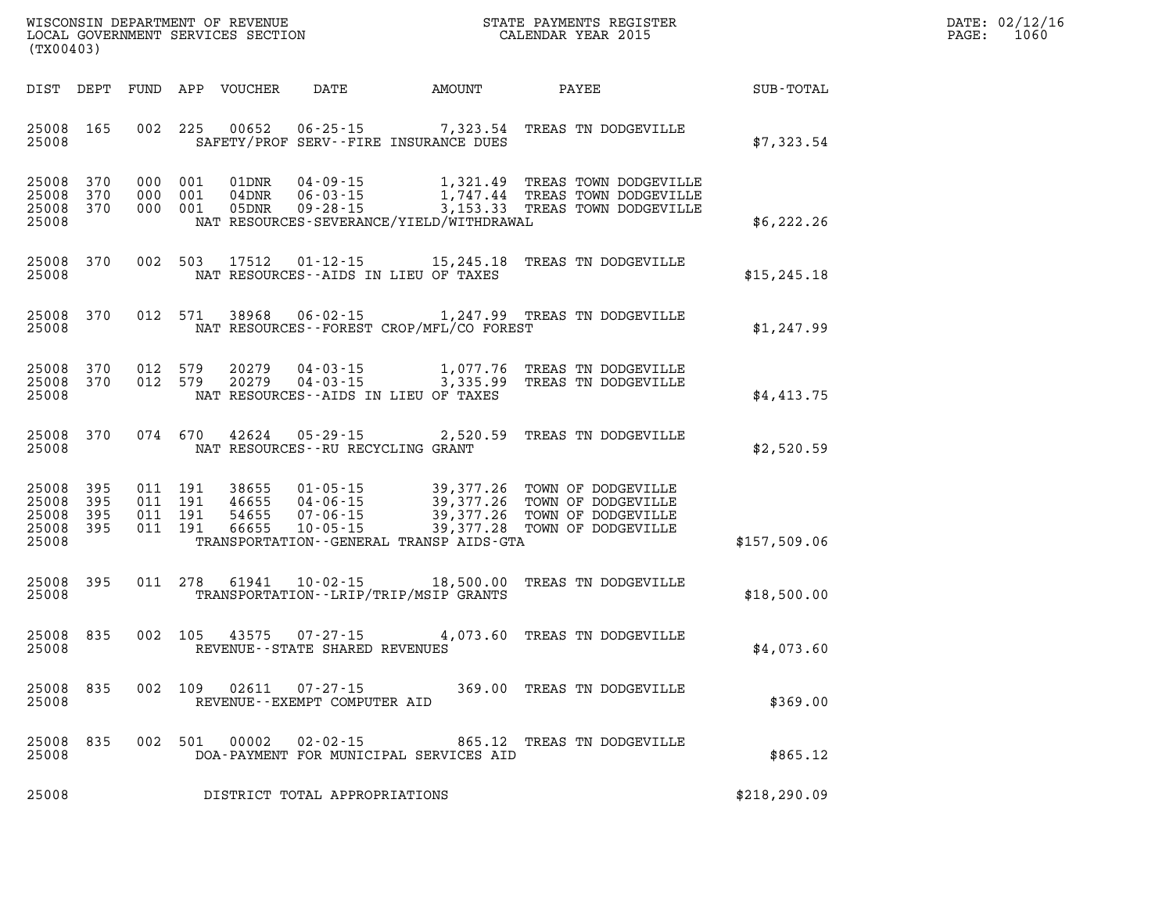| $\mathtt{DATE}$ : | 02/12/16 |
|-------------------|----------|
| PAGE:             | 1060     |

| (TX00403)                                 |                          |                          | WISCONSIN DEPARTMENT OF REVENUE<br>LOCAL GOVERNMENT SERVICES SECTION                                                                                                                 |                                                         | STATE PAYMENTS REGISTER<br>CALENDAR YEAR 2015                                        |              |
|-------------------------------------------|--------------------------|--------------------------|--------------------------------------------------------------------------------------------------------------------------------------------------------------------------------------|---------------------------------------------------------|--------------------------------------------------------------------------------------|--------------|
| DIST                                      | DEPT                     | FUND                     | APP<br>VOUCHER<br>DATE                                                                                                                                                               | AMOUNT                                                  | PAYEE                                                                                | SUB-TOTAL    |
| 25008<br>25008                            | 165                      | 002                      | 225<br>00652<br>SAFETY/PROF SERV--FIRE INSURANCE DUES                                                                                                                                | $06 - 25 - 15$ 7, 323.54                                | TREAS TN DODGEVILLE                                                                  | \$7,323.54   |
| 25008<br>25008<br>25008<br>25008          | 370<br>370<br>370        | 000<br>000<br>000        | 001<br>$04 - 09 - 15$<br>01DNR<br>04DNR<br>$06 - 03 - 15$<br>001<br>05DNR<br>$09 - 28 - 15$<br>001<br>NAT RESOURCES-SEVERANCE/YIELD/WITHDRAWAL                                       | 1,321.49<br>1,747.44<br>3, 153.33                       | TREAS TOWN DODGEVILLE<br>TREAS TOWN DODGEVILLE<br>TREAS TOWN DODGEVILLE              | \$6,222.26   |
| 25008<br>25008                            | 370                      | 002                      | 503<br>17512<br>$01 - 12 - 15$<br>NAT RESOURCES -- AIDS IN LIEU OF TAXES                                                                                                             | 15,245.18                                               | TREAS TN DODGEVILLE                                                                  | \$15, 245.18 |
| 25008<br>25008                            | 370                      | 012                      | 571<br>38968<br>$06 - 02 - 15$<br>NAT RESOURCES--FOREST CROP/MFL/CO FOREST                                                                                                           |                                                         | 1,247.99 TREAS TN DODGEVILLE                                                         | \$1,247.99   |
| 25008<br>25008<br>25008                   | 370<br>370               | 012<br>012               | 579<br>20279<br>$04 - 03 - 15$<br>579<br>20279<br>$04 - 03 - 15$<br>NAT RESOURCES -- AIDS IN LIEU OF TAXES                                                                           | 1,077.76<br>3,335.99                                    | TREAS TN DODGEVILLE<br>TREAS TN DODGEVILLE                                           | \$4.413.75   |
| 25008<br>25008                            | 370                      | 074                      | 670<br>42624<br>$05 - 29 - 15$<br>NAT RESOURCES -- RU RECYCLING GRANT                                                                                                                | 2,520.59                                                | TREAS TN DODGEVILLE                                                                  | \$2,520.59   |
| 25008<br>25008<br>25008<br>25008<br>25008 | 395<br>395<br>395<br>395 | 011<br>011<br>011<br>011 | 191<br>38655<br>$01 - 05 - 15$<br>191<br>46655<br>$04 - 06 - 15$<br>$07 - 06 - 15$<br>191<br>54655<br>$10 - 05 - 15$<br>191<br>66655<br>TRANSPORTATION - - GENERAL TRANSP AIDS - GTA | 39, 377. 26<br>39, 377. 26<br>39, 377.26<br>39, 377. 28 | TOWN OF DODGEVILLE<br>TOWN OF DODGEVILLE<br>TOWN OF DODGEVILLE<br>TOWN OF DODGEVILLE | \$157,509.06 |
| 25008<br>25008                            | 395                      | 011                      | 278<br>61941<br>$10 - 02 - 15$<br>TRANSPORTATION - - LRIP/TRIP/MSIP GRANTS                                                                                                           | 18,500.00                                               | TREAS TN DODGEVILLE                                                                  | \$18,500.00  |
| 25008<br>25008                            | 835                      | 002                      | 105<br>43575<br>$07 - 27 - 15$<br>REVENUE - - STATE SHARED REVENUES                                                                                                                  | 4,073.60                                                | TREAS TN DODGEVILLE                                                                  | \$4,073.60   |
| 25008<br>25008                            | 835                      | 002                      | 109<br>02611<br>$07 - 27 - 15$<br>REVENUE--EXEMPT COMPUTER AID                                                                                                                       |                                                         | 369.00 TREAS TN DODGEVILLE                                                           | \$369.00     |
| 25008<br>25008                            | 835                      | 002                      | 501<br>00002<br>$02 - 02 - 15$<br>DOA-PAYMENT FOR MUNICIPAL SERVICES AID                                                                                                             |                                                         | 865.12 TREAS TN DODGEVILLE                                                           | \$865.12     |
| 25008                                     |                          |                          | DISTRICT TOTAL APPROPRIATIONS                                                                                                                                                        |                                                         |                                                                                      | \$218,290.09 |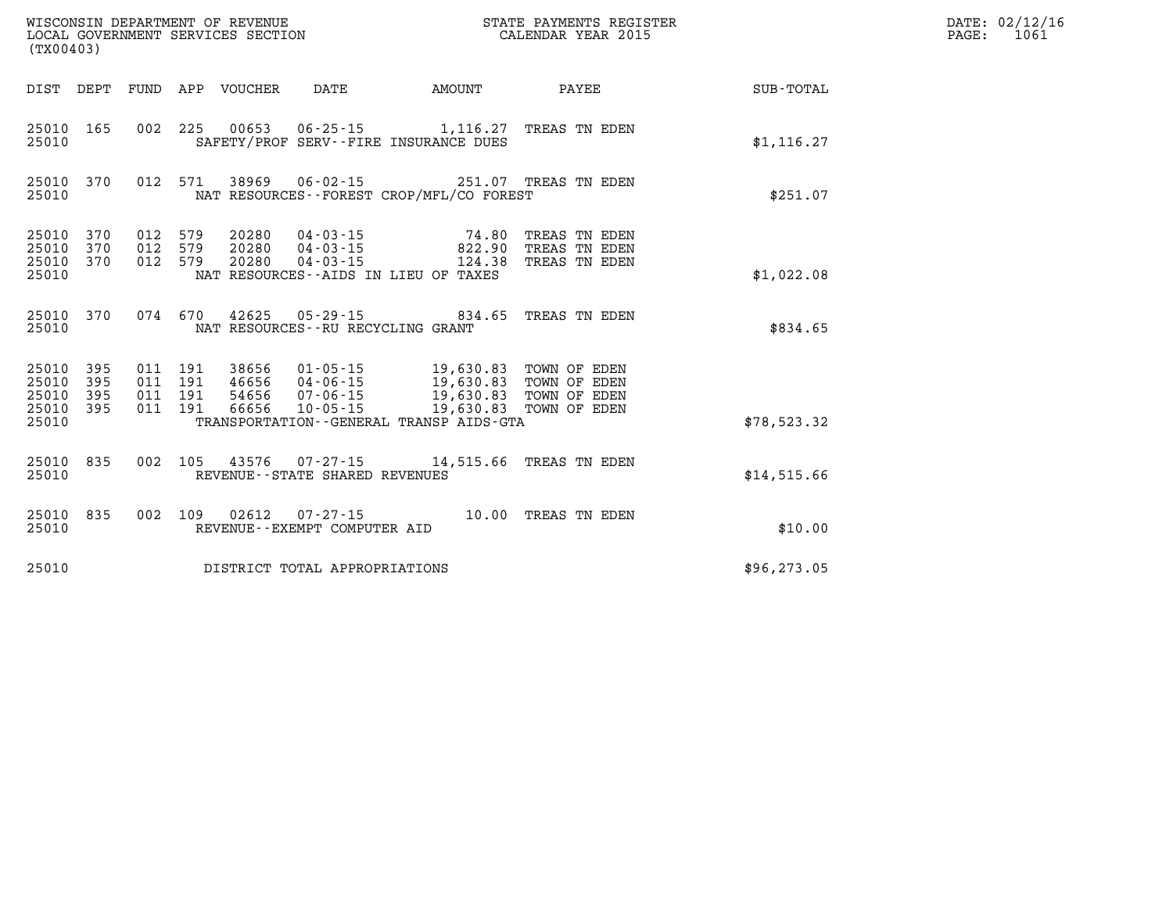| (TX00403)                                         |            |                                          |                                 |                                   |                                                                                                                                                                                                             | WISCONSIN DEPARTMENT OF REVENUE<br>LOCAL GOVERNMENT SERVICES SECTION<br>LOCAL GOVERNMENT SERVICES SECTION<br>CALENDAR YEAR 2015 |              | DATE: 02/12/16<br>$\mathtt{PAGE:}$<br>1061 |
|---------------------------------------------------|------------|------------------------------------------|---------------------------------|-----------------------------------|-------------------------------------------------------------------------------------------------------------------------------------------------------------------------------------------------------------|---------------------------------------------------------------------------------------------------------------------------------|--------------|--------------------------------------------|
|                                                   |            |                                          | DIST DEPT FUND APP VOUCHER DATE |                                   | <b>AMOUNT</b>                                                                                                                                                                                               | <b>PAYEE</b>                                                                                                                    | SUB-TOTAL    |                                            |
| 25010                                             |            |                                          |                                 |                                   | 25010 165 002 225 00653 06-25-15 1,116.27 TREAS TN EDEN<br>SAFETY/PROF SERV--FIRE INSURANCE DUES                                                                                                            |                                                                                                                                 | \$1,116.27   |                                            |
| 25010 370<br>25010                                |            |                                          |                                 |                                   | 012 571 38969 06-02-15 251.07 TREAS TN EDEN<br>NAT RESOURCES - - FOREST CROP/MFL/CO FOREST                                                                                                                  |                                                                                                                                 | \$251.07     |                                            |
| 25010 370<br>25010 370<br>25010 370<br>25010      |            | 012 579<br>012 579<br>012 579            | 20280                           |                                   | $\begin{array}{cccc} 20280 & 04\cdot 03\cdot 15 & 74\cdot 80 \\ 20280 & 04\cdot 03\cdot 15 & 822\cdot 90 \\ 20280 & 04\cdot 03\cdot 15 & 124\cdot 38 \end{array}$<br>NAT RESOURCES -- AIDS IN LIEU OF TAXES | TREAS TN EDEN<br>TREAS TN EDEN<br>TREAS TN EDEN                                                                                 | \$1,022.08   |                                            |
| 25010 370<br>25010                                |            |                                          |                                 | NAT RESOURCES--RU RECYCLING GRANT | 074 670 42625 05-29-15 834.65 TREAS TN EDEN                                                                                                                                                                 |                                                                                                                                 | \$834.65     |                                            |
| 25010 395<br>25010<br>25010<br>25010 395<br>25010 | 395<br>395 | 011 191<br>011 191<br>011 191<br>011 191 |                                 |                                   | 38656 01-05-15 19,630.83 TOWN OF EDEN<br>46656 04-06-15 19,630.83 TOWN OF EDEN<br>54656 07-06-15 19,630.83 TOWN OF EDEN<br>66656 10-05-15 19,630.83 TOWN OF EDEN<br>TRANSPORTATION--GENERAL TRANSP AIDS-GTA |                                                                                                                                 | \$78,523.32  |                                            |
| 25010 835<br>25010                                |            |                                          |                                 | REVENUE - - STATE SHARED REVENUES | 002 105 43576 07-27-15 14,515.66 TREAS TN EDEN                                                                                                                                                              |                                                                                                                                 | \$14,515.66  |                                            |
| 25010 835<br>25010                                |            |                                          |                                 | REVENUE--EXEMPT COMPUTER AID      | 002 109 02612 07-27-15 10.00 TREAS TN EDEN                                                                                                                                                                  |                                                                                                                                 | \$10.00      |                                            |
| 25010                                             |            |                                          |                                 | DISTRICT TOTAL APPROPRIATIONS     |                                                                                                                                                                                                             |                                                                                                                                 | \$96, 273.05 |                                            |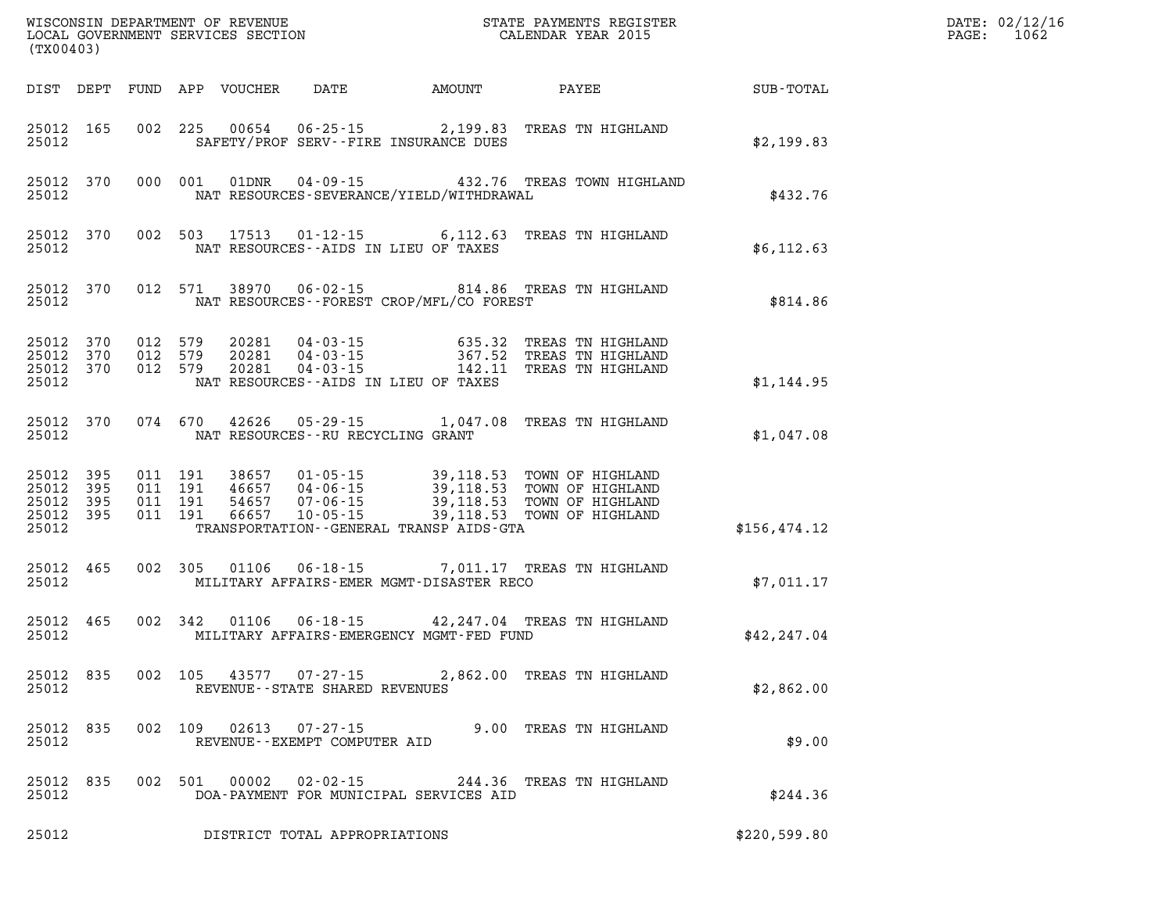| WISCONSIN DEPARTMENT OF REVENUE<br>LOCAL GOVERNMENT SERVICES SECTION<br>(TX00403) |                                                      |                                  |                                                                                               |                                                  | STATE PAYMENTS REGISTER<br>CALENDAR YEAR 2015                                |              |
|-----------------------------------------------------------------------------------|------------------------------------------------------|----------------------------------|-----------------------------------------------------------------------------------------------|--------------------------------------------------|------------------------------------------------------------------------------|--------------|
| DIST<br>DEPT                                                                      | FUND<br>APP                                          | VOUCHER                          | DATE                                                                                          | AMOUNT                                           | PAYEE                                                                        | SUB-TOTAL    |
| 25012<br>165<br>25012                                                             | 002<br>225                                           |                                  | 00654 06-25-15 2,199.83<br>SAFETY/PROF SERV--FIRE INSURANCE DUES                              |                                                  | TREAS TN HIGHLAND                                                            | \$2,199.83   |
| 25012<br>370<br>25012                                                             | 000<br>001                                           | 01DNR                            | $04 - 09 - 15$<br>NAT RESOURCES-SEVERANCE/YIELD/WITHDRAWAL                                    |                                                  | 432.76 TREAS TOWN HIGHLAND                                                   | \$432.76     |
| 25012<br>370<br>25012                                                             | 002<br>503                                           | 17513                            | $01 - 12 - 15$ 6, 112.63<br>NAT RESOURCES -- AIDS IN LIEU OF TAXES                            |                                                  | TREAS TN HIGHLAND                                                            | \$6, 112.63  |
| 25012<br>370<br>25012                                                             | 012<br>571                                           | 38970                            | $06 - 02 - 15$<br>NAT RESOURCES--FOREST CROP/MFL/CO FOREST                                    |                                                  | 814.86 TREAS TN HIGHLAND                                                     | \$814.86     |
| 25012<br>370<br>25012<br>370<br>25012<br>370<br>25012                             | 012<br>579<br>012<br>579<br>012<br>579               | 20281<br>20281<br>20281          | 04-03-15<br>$04 - 03 - 15$<br>$04 - 03 - 15$<br>NAT RESOURCES--AIDS IN LIEU OF TAXES          | 635.32<br>367.52<br>142.11                       | TREAS TN HIGHLAND<br>TREAS TN HIGHLAND<br>TREAS TN HIGHLAND                  | \$1,144.95   |
| 25012<br>370<br>25012                                                             | 074<br>670                                           | 42626                            | $05 - 29 - 15$<br>NAT RESOURCES -- RU RECYCLING GRANT                                         | 1,047.08                                         | TREAS TN HIGHLAND                                                            | \$1,047.08   |
| 25012<br>395<br>25012<br>395<br>25012<br>395<br>25012<br>395<br>25012             | 011<br>191<br>011<br>191<br>011<br>191<br>011<br>191 | 38657<br>46657<br>54657<br>66657 | $01 - 05 - 15$<br>04-06-15<br>07-06-15<br>10-05-15<br>TRANSPORTATION--GENERAL TRANSP AIDS-GTA | 39,118.53<br>39,118.53<br>39,118.53<br>39,118.53 | TOWN OF HIGHLAND<br>TOWN OF HIGHLAND<br>TOWN OF HIGHLAND<br>TOWN OF HIGHLAND | \$156,474.12 |
| 465<br>25012<br>25012                                                             | 002<br>305                                           | 01106                            | $06 - 18 - 15$<br>MILITARY AFFAIRS-EMER MGMT-DISASTER RECO                                    |                                                  | 7,011.17 TREAS TN HIGHLAND                                                   | \$7,011.17   |
| 465<br>25012<br>25012                                                             | 002<br>342                                           | 01106                            | $06 - 18 - 15$<br>MILITARY AFFAIRS-EMERGENCY MGMT-FED FUND                                    | 42,247.04                                        | TREAS TN HIGHLAND                                                            | \$42, 247.04 |
| 25012<br>835<br>25012                                                             | 002<br>105                                           | 43577                            | $07 - 27 - 15$<br>REVENUE--STATE SHARED REVENUES                                              | 2,862.00                                         | TREAS TN HIGHLAND                                                            | \$2,862.00   |
| 835<br>25012<br>25012                                                             | 002<br>109                                           | 02613                            | $07 - 27 - 15$<br>REVENUE--EXEMPT COMPUTER AID                                                |                                                  | 9.00 TREAS TN HIGHLAND                                                       | \$9.00       |
| 835<br>25012<br>25012                                                             | 002<br>501                                           | 00002                            | $02 - 02 - 15$<br>DOA-PAYMENT FOR MUNICIPAL SERVICES AID                                      |                                                  | 244.36 TREAS TN HIGHLAND                                                     | \$244.36     |
| 25012                                                                             |                                                      |                                  | DISTRICT TOTAL APPROPRIATIONS                                                                 |                                                  |                                                                              | \$220,599.80 |

DATE: 02/12/16 PAGE: 1062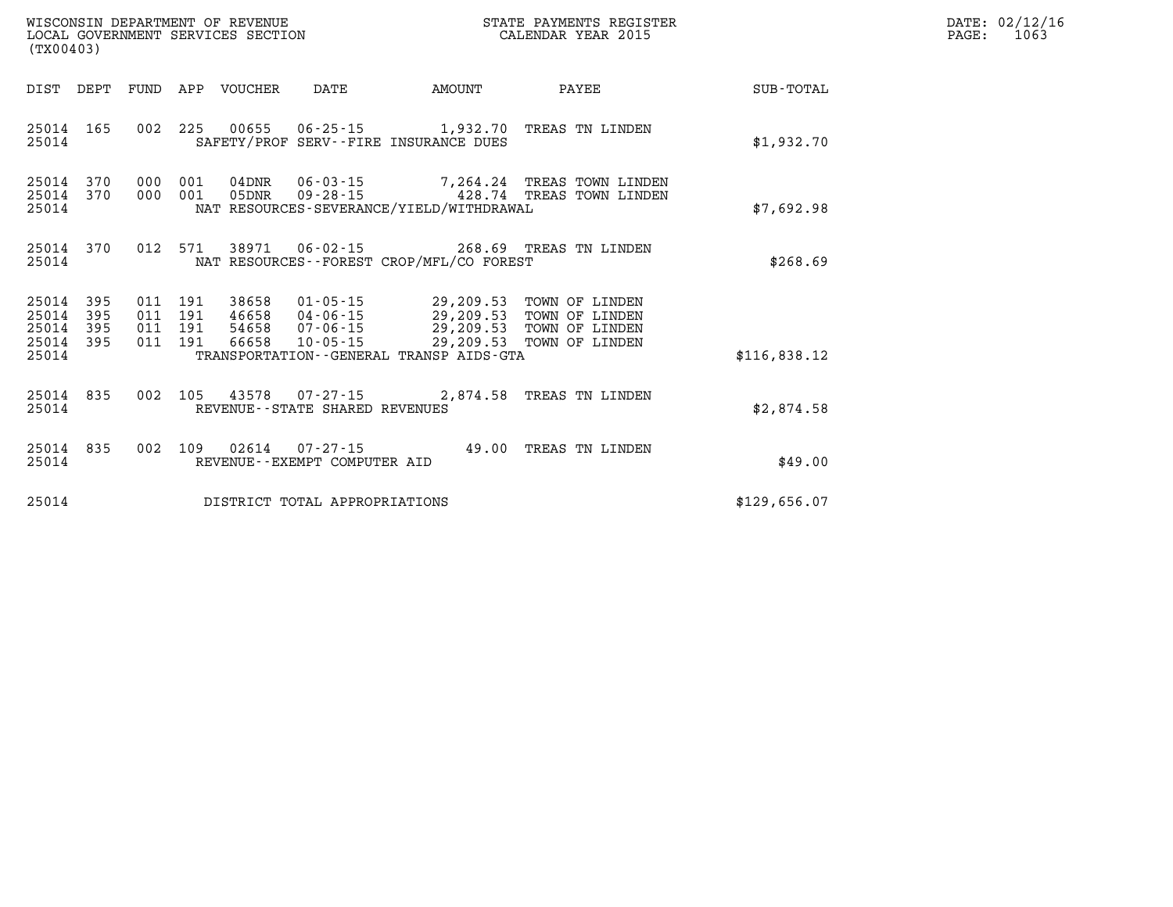| (TX00403)                                 |                            |                               |         | WISCONSIN DEPARTMENT OF REVENUE<br>LOCAL GOVERNMENT SERVICES SECTION |                                                          | STATE PAYMENTS REGISTER<br>CALENDAR YEAR 2015                                                                                                                                                                               |                                                                                           |                  | DATE: 02/12/16<br>$\mathtt{PAGE:}$<br>1063 |
|-------------------------------------------|----------------------------|-------------------------------|---------|----------------------------------------------------------------------|----------------------------------------------------------|-----------------------------------------------------------------------------------------------------------------------------------------------------------------------------------------------------------------------------|-------------------------------------------------------------------------------------------|------------------|--------------------------------------------|
| DIST DEPT                                 |                            |                               |         | FUND APP VOUCHER                                                     | DATE                                                     | AMOUNT                                                                                                                                                                                                                      | PAYEE                                                                                     | <b>SUB-TOTAL</b> |                                            |
| 25014                                     | 25014 165                  |                               |         |                                                                      |                                                          | SAFETY/PROF SERV--FIRE INSURANCE DUES                                                                                                                                                                                       | 002 225 00655 06-25-15 1,932.70 TREAS TN LINDEN                                           | \$1,932.70       |                                            |
| 25014<br>25014<br>25014                   | 370<br>370                 | 000 001<br>000 001            |         |                                                                      |                                                          | NAT RESOURCES-SEVERANCE/YIELD/WITHDRAWAL                                                                                                                                                                                    | 04DNR  06-03-15  7,264.24 TREAS TOWN LINDEN<br>05DNR  09-28-15  428.74  TREAS TOWN LINDEN | \$7,692.98       |                                            |
| 25014                                     | 25014 370                  |                               | 012 571 |                                                                      |                                                          | NAT RESOURCES--FOREST CROP/MFL/CO FOREST                                                                                                                                                                                    | 38971  06-02-15  268.69  TREAS TN LINDEN                                                  | \$268.69         |                                            |
| 25014<br>25014<br>25014<br>25014<br>25014 | - 395<br>395<br>395<br>395 | 011 191<br>011 191<br>011 191 | 011 191 | 66658                                                                |                                                          | 38658  01-05-15  29,209.53  TOWN OF LINDEN<br>46658  04-06-15  29,209.53  TOWN OF LINDEN<br>54658  07-06-15  29,209.53  TOWN OF LINDEN<br>10-05-15 29,209.53 TOWN OF LINDEN<br>TRANSPORTATION - - GENERAL TRANSP AIDS - GTA |                                                                                           | \$116,838.12     |                                            |
| 25014 835<br>25014                        |                            |                               |         |                                                                      | 002 105 43578 07-27-15<br>REVENUE--STATE SHARED REVENUES |                                                                                                                                                                                                                             | 2,874.58 TREAS TN LINDEN                                                                  | \$2.874.58       |                                            |

|       |  |  | 25014 835 002 109 02614 07-27-15 |  | 49.00 TREAS TN LINDEN |  |         |
|-------|--|--|----------------------------------|--|-----------------------|--|---------|
| 25014 |  |  | REVENUE--EXEMPT COMPUTER AID     |  |                       |  | \$49.00 |
|       |  |  |                                  |  |                       |  |         |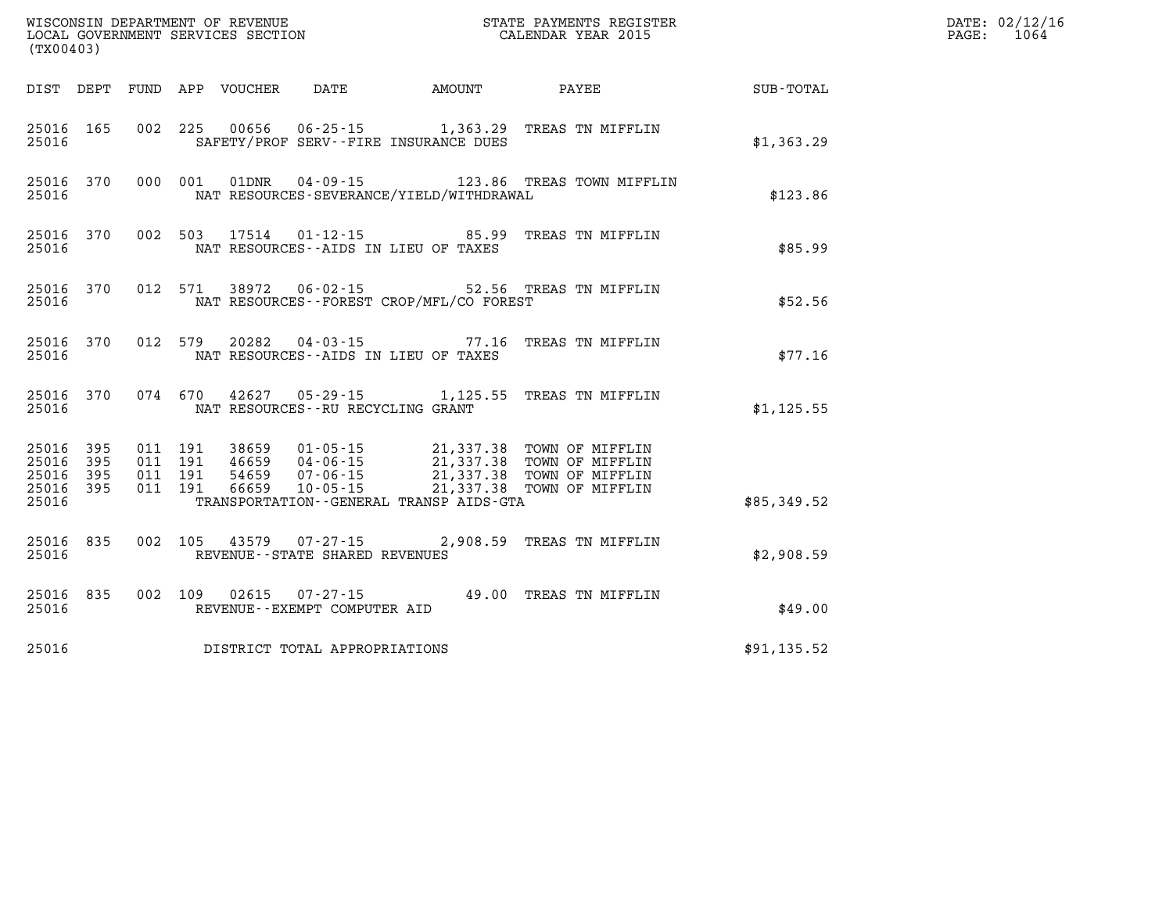| (TX00403)          |                                     |  |                                         |                                            | WISCONSIN DEPARTMENT OF REVENUE<br>LOCAL GOVERNMENT SERVICES SECTION CALENDAR YEAR 2015                                                                                                                      |             | DATE: 02/12/16<br>PAGE: 1064 |
|--------------------|-------------------------------------|--|-----------------------------------------|--------------------------------------------|--------------------------------------------------------------------------------------------------------------------------------------------------------------------------------------------------------------|-------------|------------------------------|
|                    |                                     |  |                                         |                                            | DIST DEPT FUND APP VOUCHER DATE AMOUNT PAYEE PAYES                                                                                                                                                           |             |                              |
| 25016              | 25016 165                           |  |                                         | SAFETY/PROF SERV--FIRE INSURANCE DUES      | 002 225 00656 06-25-15 1,363.29 TREAS TN MIFFLIN                                                                                                                                                             | \$1,363.29  |                              |
| 25016              |                                     |  |                                         | NAT RESOURCES-SEVERANCE/YIELD/WITHDRAWAL   | 25016 370 000 001 01DNR 04-09-15 123.86 TREAS TOWN MIFFLIN                                                                                                                                                   | \$123.86    |                              |
| 25016              |                                     |  |                                         | NAT RESOURCES--AIDS IN LIEU OF TAXES       | 25016 370 002 503 17514 01-12-15 85.99 TREAS TN MIFFLIN                                                                                                                                                      | \$85.99     |                              |
| 25016              |                                     |  |                                         | NAT RESOURCES--FOREST CROP/MFL/CO FOREST   | 25016 370 012 571 38972 06-02-15 52.56 TREAS TN MIFFLIN                                                                                                                                                      | \$52.56     |                              |
|                    |                                     |  |                                         | 25016 MAT RESOURCES--AIDS IN LIEU OF TAXES | 25016 370 012 579 20282 04-03-15 77.16 TREAS TN MIFFLIN                                                                                                                                                      | \$77.16     |                              |
|                    |                                     |  | 25016 NAT RESOURCES--RU RECYCLING GRANT |                                            | 25016 370 074 670 42627 05-29-15 1,125.55 TREAS TN MIFFLIN                                                                                                                                                   | \$1, 125.55 |                              |
| 25016 395<br>25016 | 25016 395<br>25016 395<br>25016 395 |  |                                         | TRANSPORTATION--GENERAL TRANSP AIDS-GTA    | 011 191 38659 01-05-15 21,337.38 TOWN OF MIFFLIN<br>011 191 46659 04-06-15 21,337.38 TOWN OF MIFFLIN<br>011 191 66659 10-05-15 21,337.38 TOWN OF MIFFLIN<br>011 191 66659 10-05-15 21,337.38 TOWN OF MIFFLIN | \$85,349.52 |                              |
| 25016              | 25016 835                           |  | REVENUE--STATE SHARED REVENUES          |                                            | 002 105 43579 07-27-15 2,908.59 TREAS TN MIFFLIN                                                                                                                                                             | \$2,908.59  |                              |
| 25016              |                                     |  | REVENUE--EXEMPT COMPUTER AID            |                                            | 25016 835 002 109 02615 07-27-15 49.00 TREAS TN MIFFLIN                                                                                                                                                      | \$49.00     |                              |
| 25016              |                                     |  | DISTRICT TOTAL APPROPRIATIONS           |                                            |                                                                                                                                                                                                              | \$91,135.52 |                              |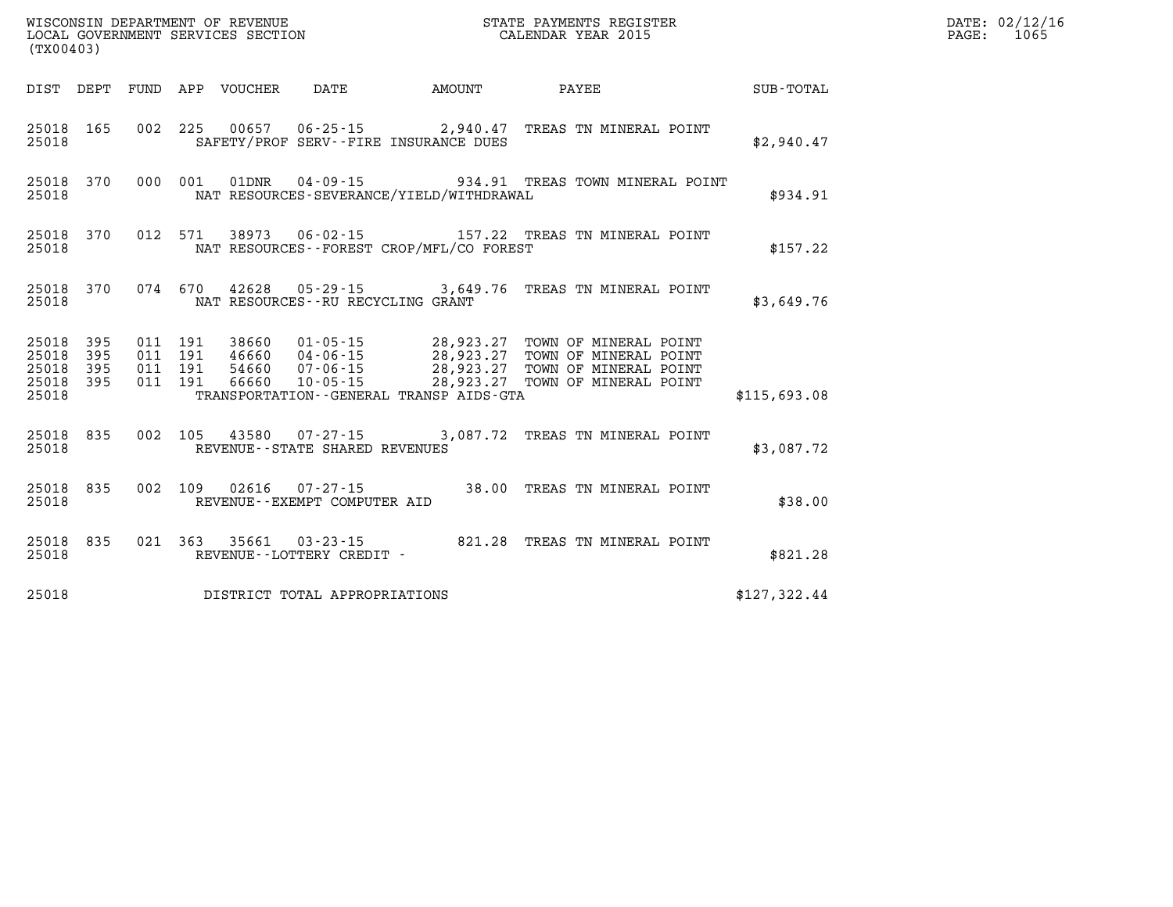|                                     | WISCONSIN DEPARTMENT OF REVENUE<br>LOCAL GOVERNMENT SERVICES SECTION<br>CALENDAR YEAR 2015<br>(TX00403) |  |  |  |                                          |  |  |                                                                                                                                                                                                                                      |  |              |  | DATE: 02/12/16<br>PAGE: 1065 |
|-------------------------------------|---------------------------------------------------------------------------------------------------------|--|--|--|------------------------------------------|--|--|--------------------------------------------------------------------------------------------------------------------------------------------------------------------------------------------------------------------------------------|--|--------------|--|------------------------------|
|                                     |                                                                                                         |  |  |  |                                          |  |  | DIST DEPT FUND APP VOUCHER DATE AMOUNT PAYEE TOTAL                                                                                                                                                                                   |  |              |  |                              |
| 25018                               | 25018 165                                                                                               |  |  |  | SAFETY/PROF SERV--FIRE INSURANCE DUES    |  |  | 002 225 00657 06-25-15 2,940.47 TREAS TN MINERAL POINT                                                                                                                                                                               |  | \$2,940.47   |  |                              |
| 25018                               |                                                                                                         |  |  |  | NAT RESOURCES-SEVERANCE/YIELD/WITHDRAWAL |  |  | 25018 370 000 001 01DNR 04-09-15 934.91 TREAS TOWN MINERAL POINT                                                                                                                                                                     |  | \$934.91     |  |                              |
| 25018                               |                                                                                                         |  |  |  | NAT RESOURCES--FOREST CROP/MFL/CO FOREST |  |  | 25018 370 012 571 38973 06-02-15 157.22 TREAS TN MINERAL POINT                                                                                                                                                                       |  | \$157.22     |  |                              |
| 25018                               | 25018 370                                                                                               |  |  |  | NAT RESOURCES--RU RECYCLING GRANT        |  |  | 074 670 42628 05-29-15 3,649.76 TREAS TN MINERAL POINT                                                                                                                                                                               |  | \$3,649.76   |  |                              |
| 25018 395<br>25018 395<br>25018 395 |                                                                                                         |  |  |  |                                          |  |  | 011 191 38660 01-05-15 28,923.27 TOWN OF MINERAL POINT<br>011 191 46660 04-06-15 28,923.27 TOWN OF MINERAL POINT<br>011 191 54660 07-06-15 28,923.27 TOWN OF MINERAL POINT<br>011 191 66660 10-05-15 28,923.27 TOWN OF MINERAL POINT |  |              |  |                              |
| 25018 395<br>25018                  |                                                                                                         |  |  |  |                                          |  |  | TRANSPORTATION - GENERAL TRANSP AIDS-GTA                                                                                                                                                                                             |  | \$115,693.08 |  |                              |
| 25018                               | 25018 835                                                                                               |  |  |  | REVENUE--STATE SHARED REVENUES           |  |  | 002 105 43580 07-27-15 3,087.72 TREAS TN MINERAL POINT                                                                                                                                                                               |  | \$3,087.72   |  |                              |
| 25018                               | 25018 835                                                                                               |  |  |  | REVENUE--EXEMPT COMPUTER AID             |  |  | 002 109 02616 07-27-15 38.00 TREAS TN MINERAL POINT                                                                                                                                                                                  |  | \$38.00      |  |                              |
| 25018                               | 25018 835                                                                                               |  |  |  | REVENUE--LOTTERY CREDIT -                |  |  | 021 363 35661 03-23-15 821.28 TREAS TN MINERAL POINT                                                                                                                                                                                 |  | \$821.28     |  |                              |
| 25018                               |                                                                                                         |  |  |  | DISTRICT TOTAL APPROPRIATIONS            |  |  |                                                                                                                                                                                                                                      |  | \$127,322.44 |  |                              |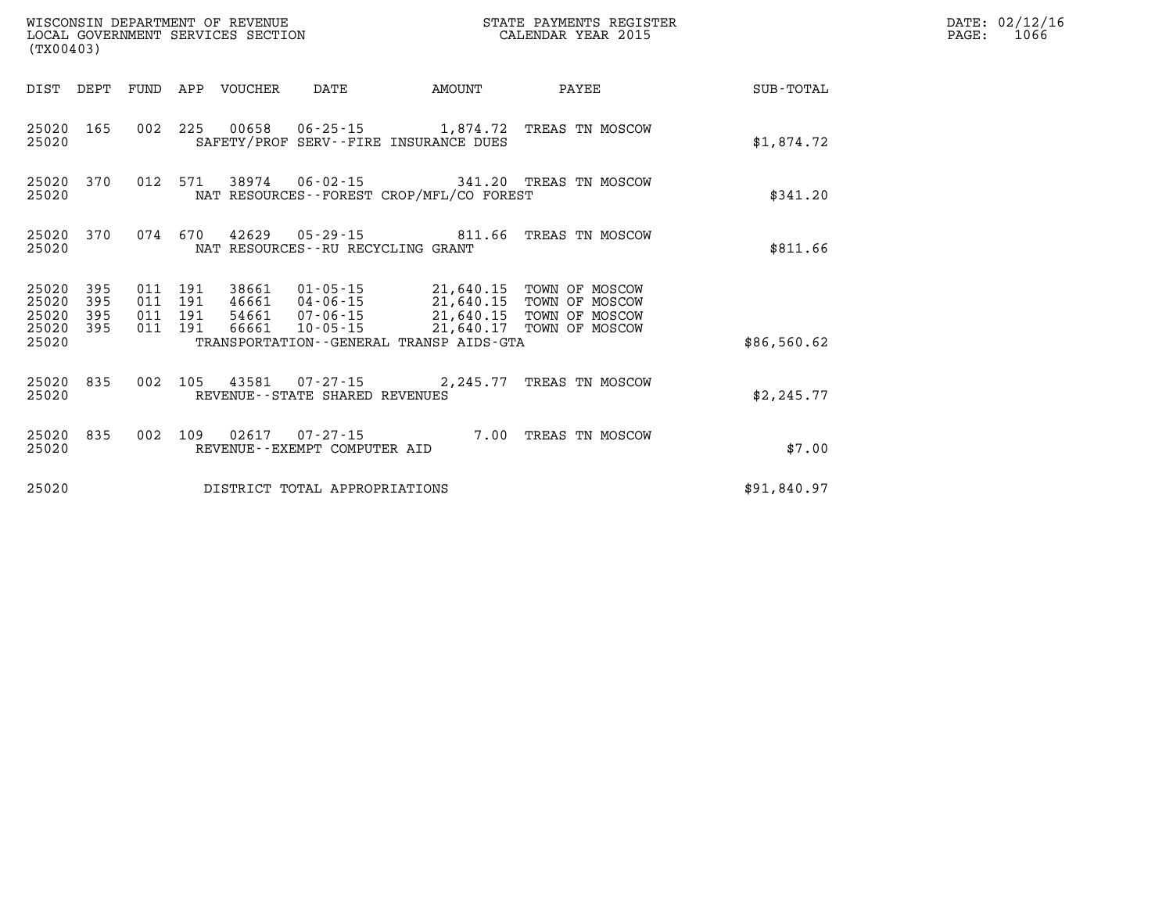| (TX00403)                            |                   |                    |         |                                 | WISCONSIN DEPARTMENT OF REVENUE<br>LOCAL GOVERNMENT SERVICES SECTION |                                             | STATE PAYMENTS REGISTER<br>CALENDAR YEAR 2015                                                                                                   |             | DATE: 02/12/16<br>1066<br>$\mathtt{PAGE:}$ |
|--------------------------------------|-------------------|--------------------|---------|---------------------------------|----------------------------------------------------------------------|---------------------------------------------|-------------------------------------------------------------------------------------------------------------------------------------------------|-------------|--------------------------------------------|
|                                      |                   |                    |         | DIST DEPT FUND APP VOUCHER DATE |                                                                      | <b>AMOUNT</b>                               | PAYEE                                                                                                                                           | SUB-TOTAL   |                                            |
| 25020 165<br>25020                   |                   |                    |         |                                 |                                                                      | SAFETY/PROF SERV--FIRE INSURANCE DUES       | 002 225 00658 06-25-15 1,874.72 TREAS TN MOSCOW                                                                                                 | \$1,874.72  |                                            |
| 25020 370<br>25020                   |                   |                    |         |                                 |                                                                      | NAT RESOURCES - - FOREST CROP/MFL/CO FOREST | 012 571 38974 06-02-15 341.20 TREAS TN MOSCOW                                                                                                   | \$341.20    |                                            |
| 25020 370<br>25020                   |                   |                    |         |                                 | NAT RESOURCES--RU RECYCLING GRANT                                    |                                             | 074  670  42629  05-29-15  811.66  TREAS TN MOSCOW                                                                                              | \$811.66    |                                            |
| 25020<br>25020<br>25020<br>25020 395 | 395<br>395<br>395 | 011 191<br>011 191 | 011 191 |                                 |                                                                      | 38661  01-05-15  21,640.15  TOWN OF MOSCOW  | 38661 01-03-15<br>46661 04-06-15 21,640.15 TOWN OF MOSCOW<br>54661 07-06-15 21,640.15 TOWN OF MOSCOW<br>66661 10-05-15 21,640.17 TOWN OF MOSCOW |             |                                            |
| 25020                                |                   |                    | 011 191 |                                 |                                                                      | TRANSPORTATION--GENERAL TRANSP AIDS-GTA     |                                                                                                                                                 | \$86,560.62 |                                            |
| 25020 835<br>25020                   |                   |                    |         |                                 | REVENUE--STATE SHARED REVENUES                                       |                                             | 002 105 43581 07-27-15 2,245.77 TREAS TN MOSCOW                                                                                                 | \$2,245.77  |                                            |
| 25020 835<br>25020                   |                   |                    |         |                                 | REVENUE--EXEMPT COMPUTER AID                                         |                                             | 002 109 02617 07-27-15 7.00 TREAS TN MOSCOW                                                                                                     | \$7.00      |                                            |
| 25020                                |                   |                    |         |                                 | DISTRICT TOTAL APPROPRIATIONS                                        |                                             |                                                                                                                                                 | \$91,840.97 |                                            |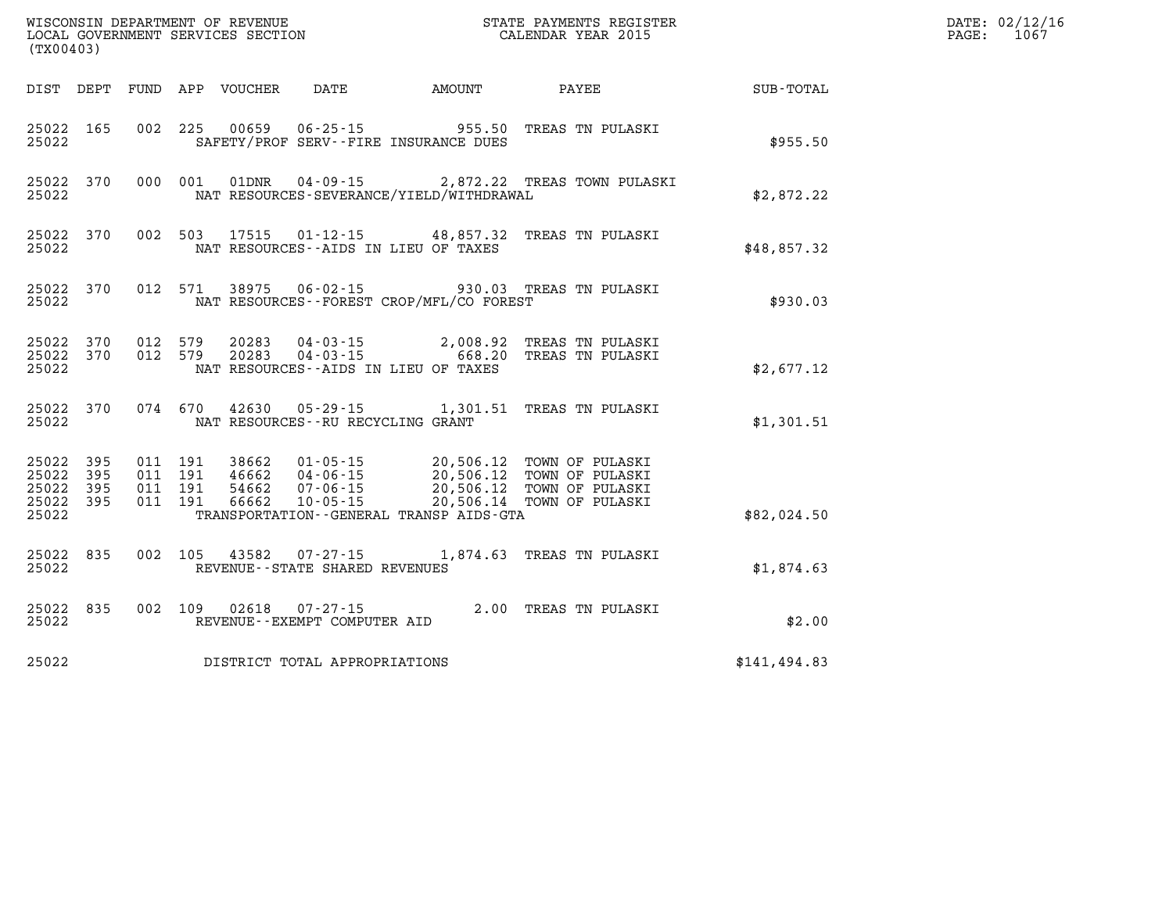| (TX00403)                                                 |           |                                          |                            |                                          |                                              |                                                                                                                                                                                                      |               | DATE: 02/12/16<br>PAGE:<br>1067 |
|-----------------------------------------------------------|-----------|------------------------------------------|----------------------------|------------------------------------------|----------------------------------------------|------------------------------------------------------------------------------------------------------------------------------------------------------------------------------------------------------|---------------|---------------------------------|
|                                                           |           |                                          | DIST DEPT FUND APP VOUCHER | DATE                                     | AMOUNT                                       | PAYEE                                                                                                                                                                                                | SUB-TOTAL     |                                 |
| 25022 165<br>25022                                        |           |                                          |                            |                                          | SAFETY/PROF SERV--FIRE INSURANCE DUES        | 002 225 00659 06-25-15 955.50 TREAS TN PULASKI                                                                                                                                                       | \$955.50      |                                 |
| 25022                                                     | 25022 370 |                                          |                            | 000 001 01DNR 04-09-15                   | NAT RESOURCES-SEVERANCE/YIELD/WITHDRAWAL     | 2,872.22 TREAS TOWN PULASKI                                                                                                                                                                          | \$2,872.22    |                                 |
| 25022                                                     | 25022 370 |                                          |                            |                                          | NAT RESOURCES -- AIDS IN LIEU OF TAXES       | 002 503 17515 01-12-15 48,857.32 TREAS TN PULASKI                                                                                                                                                    | \$48,857.32   |                                 |
| 25022                                                     | 25022 370 |                                          |                            |                                          | NAT RESOURCES - - FOREST CROP/MFL/CO FOREST  | 012 571 38975 06-02-15 930.03 TREAS TN PULASKI                                                                                                                                                       | \$930.03      |                                 |
| 25022 370<br>25022                                        | 25022 370 | 012 579<br>012 579                       |                            |                                          | NAT RESOURCES -- AIDS IN LIEU OF TAXES       | 20283  04-03-15  2,008.92  TREAS TN PULASKI<br>20283  04-03-15  668.20  TREAS TN PULASKI                                                                                                             | \$2,677.12    |                                 |
| 25022                                                     | 25022 370 |                                          |                            | NAT RESOURCES -- RU RECYCLING GRANT      |                                              | 074 670 42630 05-29-15 1,301.51 TREAS TN PULASKI                                                                                                                                                     | \$1,301.51    |                                 |
| 25022 395<br>25022 395<br>25022 395<br>25022 395<br>25022 |           | 011 191<br>011 191<br>011 191<br>011 191 |                            |                                          | TRANSPORTATION - - GENERAL TRANSP AIDS - GTA | 38662   01-05-15   20,506.12   TOWN OF PULASKI<br>46662   04-06-15   20,506.12   TOWN OF PULASKI<br>54662   07-06-15   20,506.12   TOWN OF PULASKI<br>66662   10-05-15   20,506.14   TOWN OF PULASKI | \$82,024.50   |                                 |
| 25022 835<br>25022                                        |           | 002 105                                  |                            | REVENUE - - STATE SHARED REVENUES        |                                              | 43582  07-27-15  1,874.63  TREAS TN PULASKI                                                                                                                                                          | \$1,874.63    |                                 |
| 25022                                                     | 25022 835 | 002 109                                  | 02618                      | 07-27-15<br>REVENUE--EXEMPT COMPUTER AID |                                              | 2.00 TREAS TN PULASKI                                                                                                                                                                                | \$2.00        |                                 |
| 25022                                                     |           |                                          |                            | DISTRICT TOTAL APPROPRIATIONS            |                                              |                                                                                                                                                                                                      | \$141, 494.83 |                                 |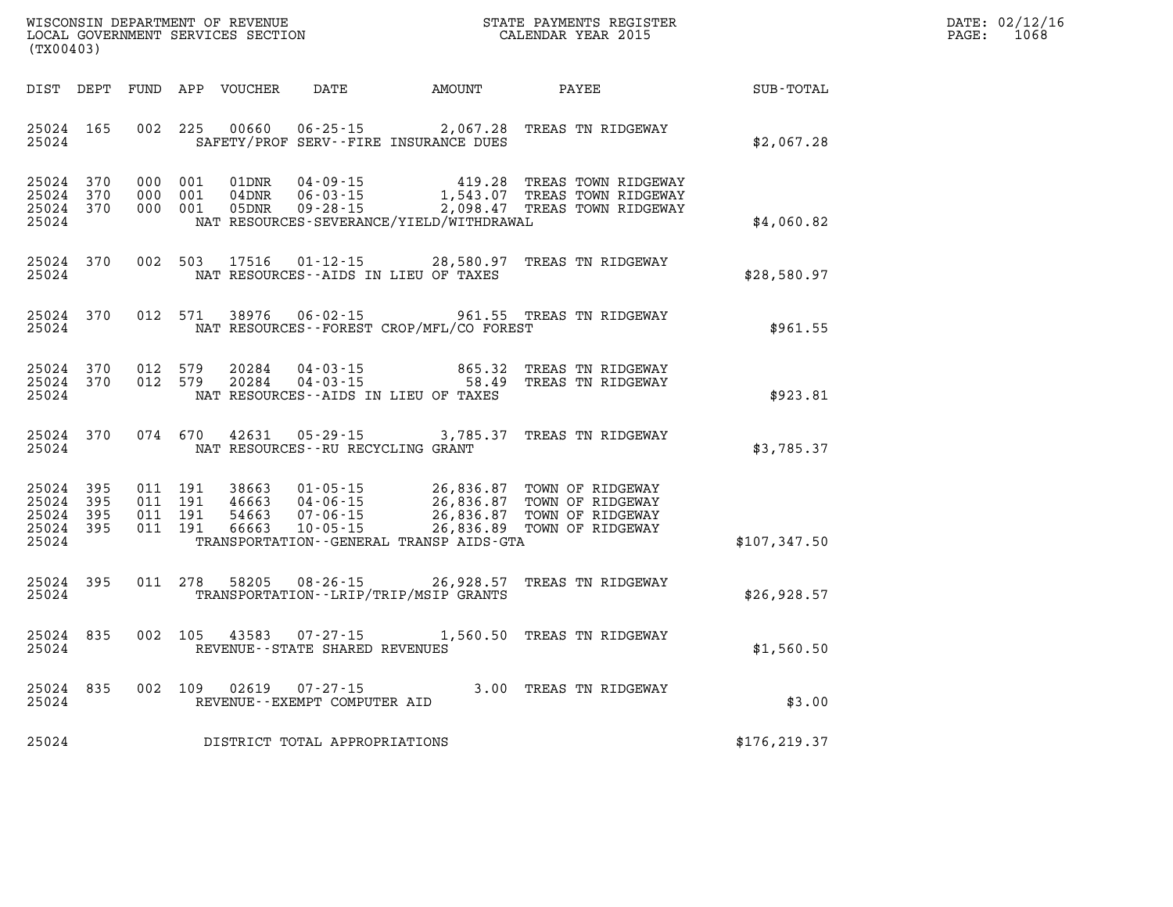| $\mathtt{DATE}$ : | 02/12/16 |
|-------------------|----------|
| PAGE:             | 1068     |

| (TX00403)                                 |                          |                          | WISCONSIN DEPARTMENT OF REVENUE<br>LOCAL GOVERNMENT SERVICES SECTION |                                                                                                                 |                                                  | STATE PAYMENTS REGISTER<br>CALENDAR YEAR 2015                                |               |
|-------------------------------------------|--------------------------|--------------------------|----------------------------------------------------------------------|-----------------------------------------------------------------------------------------------------------------|--------------------------------------------------|------------------------------------------------------------------------------|---------------|
| DIST                                      | DEPT                     | FUND                     | APP<br>VOUCHER                                                       | DATE                                                                                                            | AMOUNT                                           | PAYEE                                                                        | SUB-TOTAL     |
| 25024<br>25024                            | 165                      | 002                      | 225<br>00660                                                         | $06 - 25 - 15$<br>SAFETY/PROF SERV--FIRE INSURANCE DUES                                                         | 2,067.28                                         | TREAS TN RIDGEWAY                                                            | \$2,067.28    |
| 25024<br>25024<br>25024<br>25024          | 370<br>370<br>370        | 000<br>000<br>000        | 001<br>01DNR<br>001<br>04DNR<br>001<br>05DNR                         | $04 - 09 - 15$<br>$06 - 03 - 15$<br>$09 - 28 - 15$<br>NAT RESOURCES-SEVERANCE/YIELD/WITHDRAWAL                  | 419.28<br>1,543.07<br>2,098.47                   | TREAS TOWN RIDGEWAY<br>TREAS TOWN RIDGEWAY<br>TREAS TOWN RIDGEWAY            | \$4,060.82    |
| 25024<br>25024                            | 370                      | 002                      | 503<br>17516                                                         | $01 - 12 - 15$<br>NAT RESOURCES--AIDS IN LIEU OF TAXES                                                          | 28,580.97                                        | TREAS TN RIDGEWAY                                                            | \$28,580.97   |
| 25024<br>25024                            | 370                      | 012                      | 571<br>38976                                                         | $06 - 02 - 15$<br>NAT RESOURCES--FOREST CROP/MFL/CO FOREST                                                      | 961.55                                           | TREAS TN RIDGEWAY                                                            | \$961.55      |
| 25024<br>25024<br>25024                   | 370<br>370               | 012<br>012               | 579<br>20284<br>579<br>20284                                         | $04 - 03 - 15$<br>$04 - 03 - 15$<br>NAT RESOURCES--AIDS IN LIEU OF TAXES                                        | 865.32<br>58.49                                  | TREAS TN RIDGEWAY<br>TREAS TN RIDGEWAY                                       | \$923.81      |
| 25024<br>25024                            | 370                      | 074                      | 42631<br>670                                                         | $05 - 29 - 15$<br>NAT RESOURCES - - RU RECYCLING GRANT                                                          | 3,785.37                                         | TREAS TN RIDGEWAY                                                            | \$3,785.37    |
| 25024<br>25024<br>25024<br>25024<br>25024 | 395<br>395<br>395<br>395 | 011<br>011<br>011<br>011 | 191<br>38663<br>191<br>46663<br>191<br>54663<br>191<br>66663         | $01 - 05 - 15$<br>$04 - 06 - 15$<br>$07 - 06 - 15$<br>$10 - 05 - 15$<br>TRANSPORTATION--GENERAL TRANSP AIDS-GTA | 26,836.87<br>26,836.87<br>26,836.87<br>26,836.89 | TOWN OF RIDGEWAY<br>TOWN OF RIDGEWAY<br>TOWN OF RIDGEWAY<br>TOWN OF RIDGEWAY | \$107,347.50  |
| 25024<br>25024                            | 395                      | 011                      | 278<br>58205                                                         | $08 - 26 - 15$<br>TRANSPORTATION - - LRIP/TRIP/MSIP GRANTS                                                      | 26,928.57                                        | TREAS TN RIDGEWAY                                                            | \$26,928.57   |
| 25024<br>25024                            | 835                      | 002                      | 105<br>43583                                                         | $07 - 27 - 15$<br>REVENUE - - STATE SHARED REVENUES                                                             | 1,560.50                                         | TREAS TN RIDGEWAY                                                            | \$1,560.50    |
| 25024<br>25024                            | 835                      | 002                      | 109<br>02619                                                         | $07 - 27 - 15$<br>REVENUE--EXEMPT COMPUTER AID                                                                  | 3.00                                             | TREAS TN RIDGEWAY                                                            | \$3.00        |
| 25024                                     |                          |                          |                                                                      | DISTRICT TOTAL APPROPRIATIONS                                                                                   |                                                  |                                                                              | \$176, 219.37 |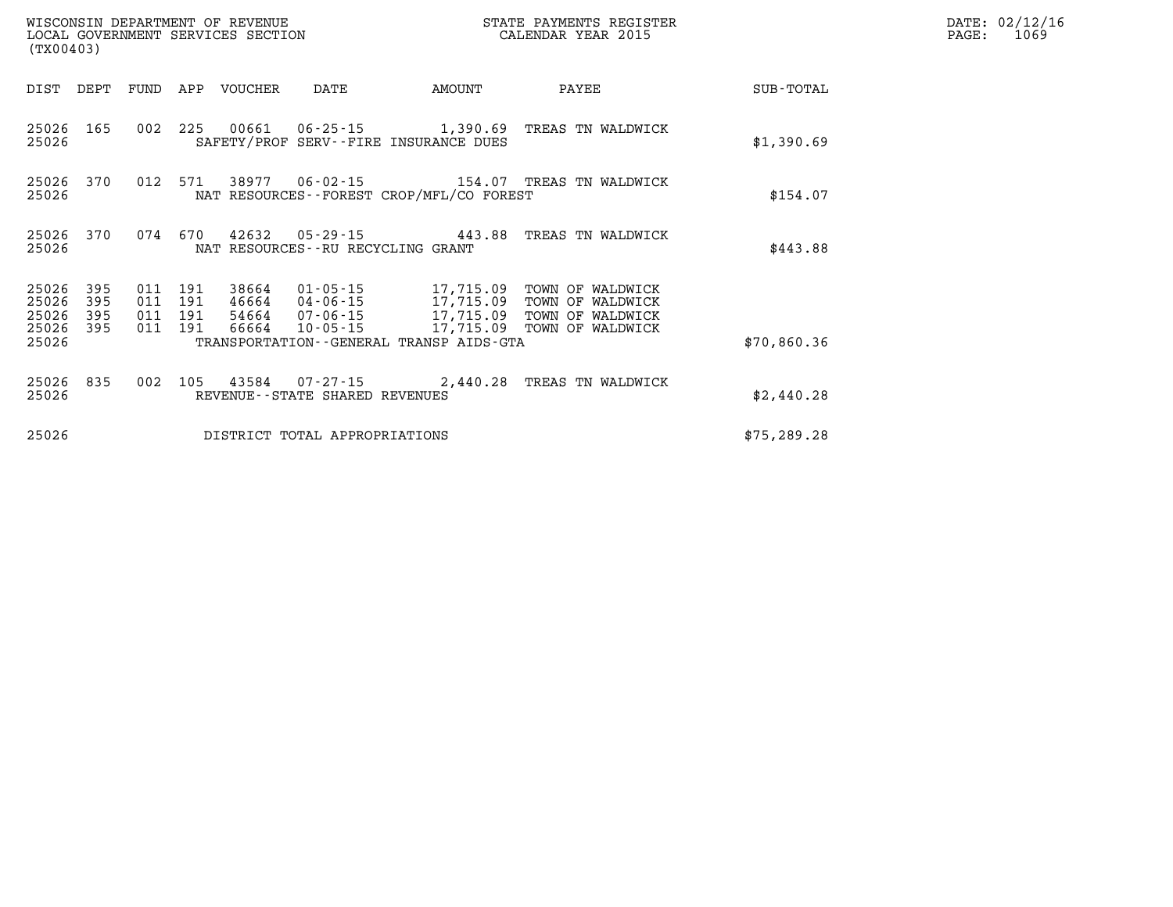| (TX00403)                        |                          |                                          | WISCONSIN DEPARTMENT OF REVENUE | LOCAL GOVERNMENT SERVICES SECTION |                                              | STATE PAYMENTS REGISTER<br>CALENDAR YEAR 2015                                                                                                                                 |              | DATE: 02/12/16<br>$\mathtt{PAGE:}$<br>1069 |
|----------------------------------|--------------------------|------------------------------------------|---------------------------------|-----------------------------------|----------------------------------------------|-------------------------------------------------------------------------------------------------------------------------------------------------------------------------------|--------------|--------------------------------------------|
|                                  | DIST DEPT FUND           |                                          | APP VOUCHER                     | DATE                              | AMOUNT                                       | PAYEE                                                                                                                                                                         | SUB-TOTAL    |                                            |
| 25026                            | 25026 165                |                                          |                                 |                                   | SAFETY/PROF SERV--FIRE INSURANCE DUES        | 002 225 00661 06-25-15 1,390.69 TREAS TN WALDWICK                                                                                                                             | \$1,390.69   |                                            |
| 25026                            |                          | 25026 370 012 571                        |                                 |                                   | NAT RESOURCES - - FOREST CROP/MFL/CO FOREST  |                                                                                                                                                                               | \$154.07     |                                            |
| 25026 370<br>25026               |                          | 074 670                                  | 42632                           | NAT RESOURCES--RU RECYCLING GRANT |                                              | 05-29-15  443.88 TREAS TN WALDWICK                                                                                                                                            | \$443.88     |                                            |
| 25026<br>25026<br>25026<br>25026 | 395<br>395<br>395<br>395 | 011 191<br>011 191<br>011 191<br>011 191 | 66664                           |                                   |                                              | 38664  01-05-15  17,715.09  TOWN OF WALDWICK<br>46664 04-06-15 17,715.09 TOWN OF WALDWICK<br>54664 07-06-15 17,715.09 TOWN OF WALDWICK<br>10-05-15 17,715.09 TOWN OF WALDWICK |              |                                            |
| 25026                            |                          |                                          |                                 |                                   | TRANSPORTATION - - GENERAL TRANSP AIDS - GTA |                                                                                                                                                                               | \$70,860.36  |                                            |
| 25026 835<br>25026               |                          | 002 105                                  |                                 | REVENUE--STATE SHARED REVENUES    |                                              |                                                                                                                                                                               | \$2,440.28   |                                            |
| 25026                            |                          |                                          |                                 | DISTRICT TOTAL APPROPRIATIONS     |                                              |                                                                                                                                                                               | \$75, 289.28 |                                            |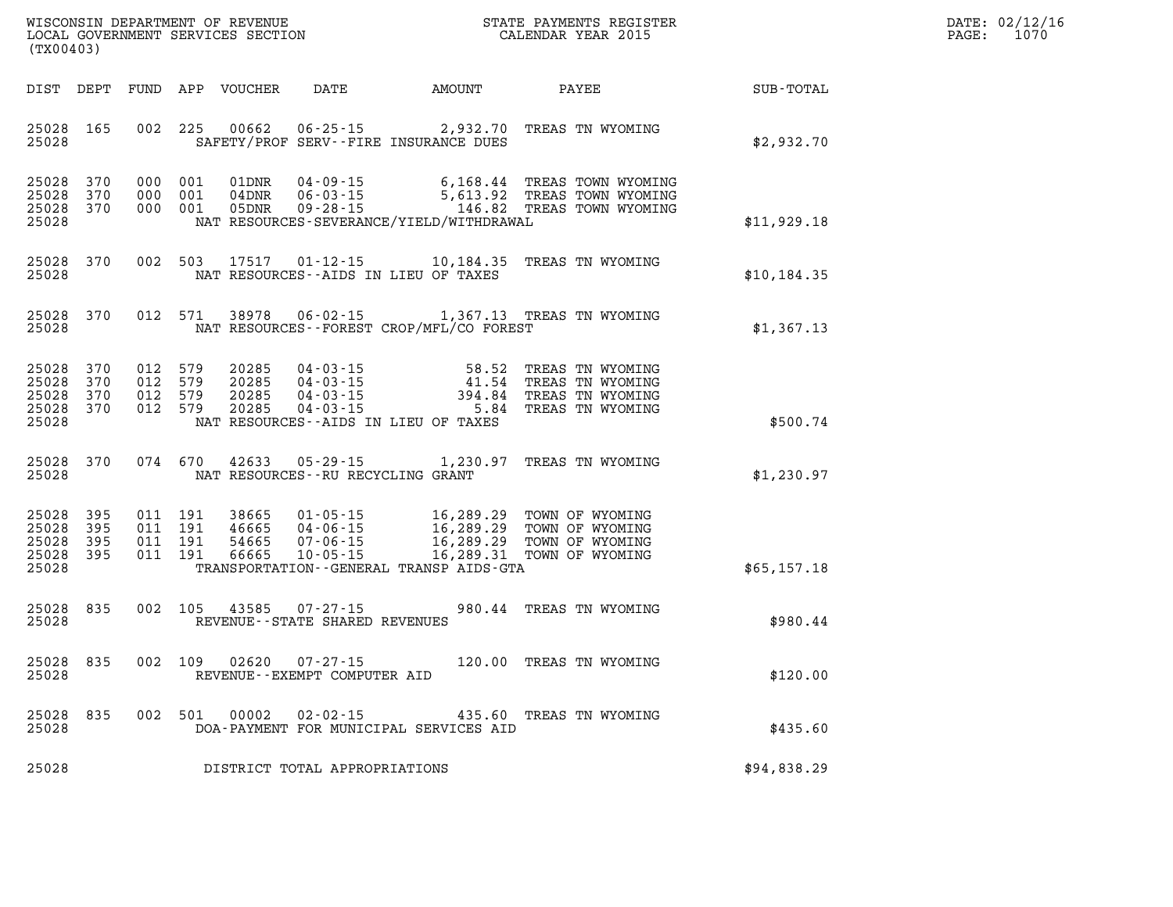| WISCONSIN DEPARTMENT OF REVENUE   | PAYMENTS REGISTER<br>3TATE | DATE: | 02/12/16 |
|-----------------------------------|----------------------------|-------|----------|
| LOCAL GOVERNMENT SERVICES SECTION | CALENDAR YEAR 2015         | PAGE  | 1070     |

| (TX00403)                                 |                            |     |                                          | LOCAL GOVERNMENT SERVICES SECTION |                                                            |                                                                                                | CALENDAR YEAR 2015                                                                             |             | PAGE: | 1070 |
|-------------------------------------------|----------------------------|-----|------------------------------------------|-----------------------------------|------------------------------------------------------------|------------------------------------------------------------------------------------------------|------------------------------------------------------------------------------------------------|-------------|-------|------|
|                                           |                            |     |                                          | DIST DEPT FUND APP VOUCHER        | <b>DATE</b>                                                | AMOUNT PAYEE                                                                                   |                                                                                                | SUB-TOTAL   |       |      |
| 25028 165<br>25028                        |                            |     | 002 225                                  | 00662                             |                                                            | SAFETY/PROF SERV--FIRE INSURANCE DUES                                                          | 06-25-15 2,932.70 TREAS TN WYOMING                                                             | \$2,932.70  |       |      |
| 25028<br>25028<br>25028<br>25028          | 370<br>370<br>370          | 000 | 000 001<br>001<br>000 001                | 01DNR<br>04DNR<br>05DNR           | u4 - 09 - 15<br>06 - 03 - 15<br>$09 - 28 - 15$             | NAT RESOURCES-SEVERANCE/YIELD/WITHDRAWAL                                                       | 6,168.44 TREAS TOWN WYOMING<br>5,613.92 TREAS TOWN WYOMING<br>146.82 TREAS TOWN WYOMING        | \$11,929.18 |       |      |
| 25028<br>25028                            | 370                        |     | 002 503                                  | 17517                             |                                                            | NAT RESOURCES -- AIDS IN LIEU OF TAXES                                                         | 01-12-15   10,184.35   TREAS   TN WYOMING                                                      | \$10,184.35 |       |      |
| 25028<br>25028                            | 370                        |     | 012 571                                  | 38978                             |                                                            | NAT RESOURCES--FOREST CROP/MFL/CO FOREST                                                       | 06-02-15 1,367.13 TREAS TN WYOMING                                                             | \$1,367.13  |       |      |
| 25028<br>25028<br>25028<br>25028<br>25028 | 370<br>370<br>370<br>370   |     | 012 579<br>012 579<br>012 579<br>012 579 | 20285<br>20285<br>20285<br>20285  | 04-03-15<br>$04 - 03 - 15$<br>04 - 03 - 15<br>04 - 03 - 15 | 41.54<br>NAT RESOURCES -- AIDS IN LIEU OF TAXES                                                | 58.52 TREAS TN WYOMING<br>TREAS TN WYOMING<br>394.84 TREAS TN WYOMING<br>5.84 TREAS TN WYOMING | \$500.74    |       |      |
| 25028<br>25028                            | 370                        |     | 074 670                                  | 42633                             | $05 - 29 - 15$<br>NAT RESOURCES - - RU RECYCLING GRANT     |                                                                                                | 1,230.97 TREAS TN WYOMING                                                                      | \$1,230.97  |       |      |
| 25028<br>25028<br>25028<br>25028<br>25028 | 395<br>395<br>395<br>- 395 |     | 011 191<br>011 191<br>011 191<br>011 191 | 38665<br>46665<br>54665<br>66665  | 04-06-15<br>$07 - 06 - 15$<br>$10 - 05 - 15$               | $01 - 05 - 15$ 16, 289.29<br>16,289.29<br>16,289.29<br>TRANSPORTATION--GENERAL TRANSP AIDS-GTA | TOWN OF WYOMING<br>TOWN OF WYOMING<br>TOWN OF WYOMING<br>16,289.31 TOWN OF WYOMING             | \$65,157.18 |       |      |
| 25028<br>25028                            | 835                        |     | 002 105                                  | 43585                             | $07 - 27 - 15$<br>REVENUE - - STATE SHARED REVENUES        |                                                                                                | 980.44 TREAS TN WYOMING                                                                        | \$980.44    |       |      |
| 25028<br>25028                            | 835                        |     | 002 109                                  | 02620                             | 07-27-15<br>REVENUE--EXEMPT COMPUTER AID                   |                                                                                                | 120.00 TREAS TN WYOMING                                                                        | \$120.00    |       |      |
| 25028<br>25028                            | 835                        |     | 002 501                                  | 00002                             | 02-02-15                                                   | DOA-PAYMENT FOR MUNICIPAL SERVICES AID                                                         | 435.60 TREAS TN WYOMING                                                                        | \$435.60    |       |      |
| 25028                                     |                            |     |                                          |                                   | DISTRICT TOTAL APPROPRIATIONS                              |                                                                                                |                                                                                                | \$94,838.29 |       |      |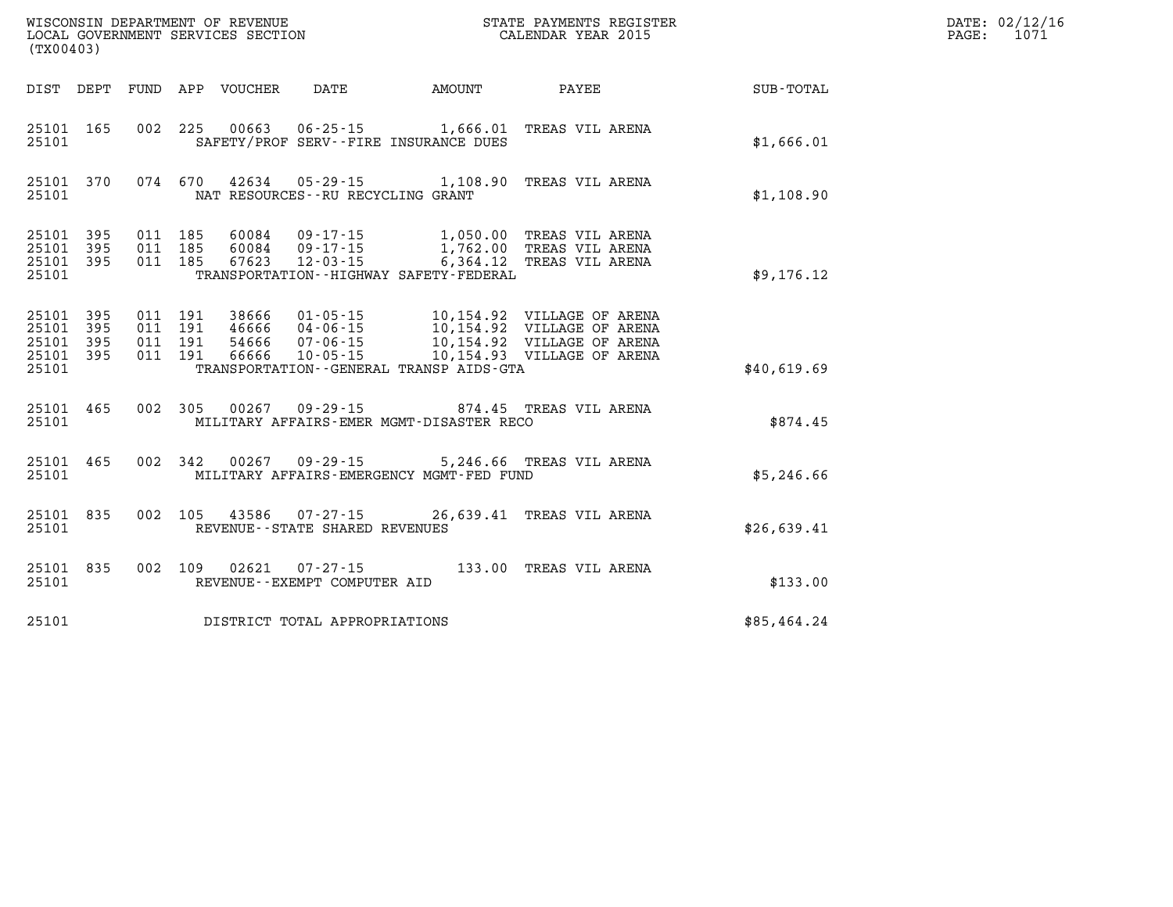| (TX00403) |                                                  |         |                                                | WISCONSIN DEPARTMENT OF REVENUE<br>LOCAL GOVERNMENT SERVICES SECTION<br>(TYO0403)                                                                                                   |             | DATE: 02/12/16<br>PAGE: 1071 |
|-----------|--------------------------------------------------|---------|------------------------------------------------|-------------------------------------------------------------------------------------------------------------------------------------------------------------------------------------|-------------|------------------------------|
|           |                                                  |         |                                                | DIST DEPT FUND APP VOUCHER DATE AMOUNT PAYEE PAYER SUB-TOTAL                                                                                                                        |             |                              |
| 25101     |                                                  |         | SAFETY/PROF SERV--FIRE INSURANCE DUES          | 25101 165 002 225 00663 06-25-15 1,666.01 TREAS VIL ARENA                                                                                                                           | \$1,666.01  |                              |
|           | 25101                                            |         | NAT RESOURCES--RU RECYCLING GRANT              | 25101 370 074 670 42634 05-29-15 1,108.90 TREAS VIL ARENA                                                                                                                           | \$1,108.90  |                              |
| 25101     |                                                  |         | TRANSPORTATION - - HIGHWAY SAFETY - FEDERAL    | 25101 395 011 185 60084 09-17-15 1,050.00 TREAS VIL ARENA<br>25101 395 011 185 60084 09-17-15 1,762.00 TREAS VIL ARENA<br>25101 395 011 185 67623 12-03-15 6,364.12 TREAS VIL ARENA | \$9,176.12  |                              |
| 25101     | 25101 395<br>25101 395<br>25101 395<br>25101 395 | 011 191 | TRANSPORTATION - - GENERAL TRANSP AIDS - GTA   |                                                                                                                                                                                     | \$40,619.69 |                              |
|           |                                                  |         | 25101 MILITARY AFFAIRS-EMER MGMT-DISASTER RECO | 25101 465 002 305 00267 09-29-15 874.45 TREAS VIL ARENA                                                                                                                             | \$874.45    |                              |
|           | 25101                                            |         | MILITARY AFFAIRS-EMERGENCY MGMT-FED FUND       | 25101 465 002 342 00267 09-29-15 5,246.66 TREAS VIL ARENA                                                                                                                           | \$5,246.66  |                              |
|           | 25101                                            |         | REVENUE--STATE SHARED REVENUES                 | 25101 835 002 105 43586 07-27-15 26,639.41 TREAS VIL ARENA                                                                                                                          | \$26,639.41 |                              |
| 25101     |                                                  |         | REVENUE--EXEMPT COMPUTER AID                   | 25101 835 002 109 02621 07-27-15 133.00 TREAS VIL ARENA                                                                                                                             | \$133.00    |                              |
|           |                                                  |         | 25101 DISTRICT TOTAL APPROPRIATIONS            |                                                                                                                                                                                     | \$85,464.24 |                              |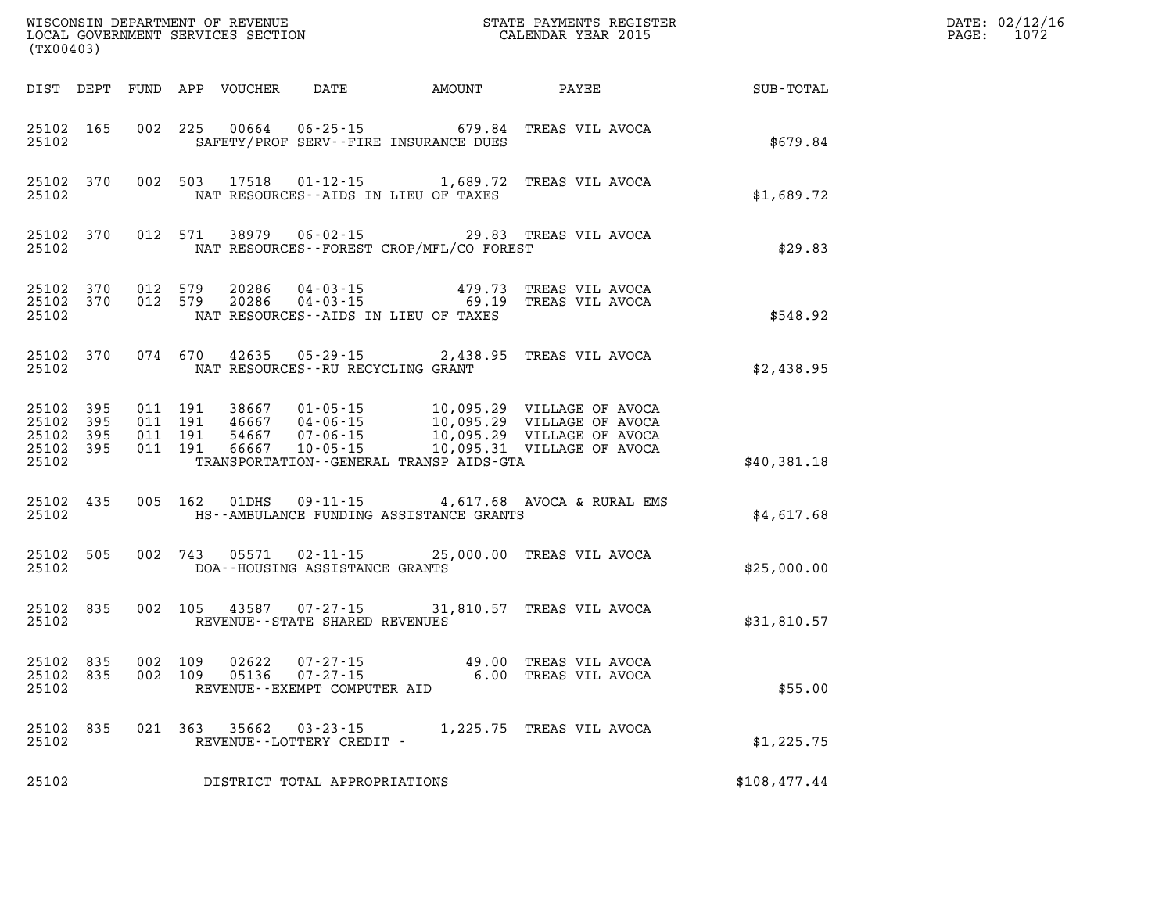| (TX00403)          |                                                  |                              |         |       |                                             |                                              |                                                                                                                                                                                                                                                                                                                                        |              | DATE: 02/12/16<br>PAGE: 1072 |
|--------------------|--------------------------------------------------|------------------------------|---------|-------|---------------------------------------------|----------------------------------------------|----------------------------------------------------------------------------------------------------------------------------------------------------------------------------------------------------------------------------------------------------------------------------------------------------------------------------------------|--------------|------------------------------|
|                    |                                                  |                              |         |       |                                             |                                              | DIST DEPT FUND APP VOUCHER DATE AMOUNT PAYEE SUB-TOTAL                                                                                                                                                                                                                                                                                 |              |                              |
| 25102              | 25102 165                                        |                              |         |       |                                             | SAFETY/PROF SERV--FIRE INSURANCE DUES        | 002 225 00664 06-25-15 679.84 TREAS VIL AVOCA                                                                                                                                                                                                                                                                                          | \$679.84     |                              |
| 25102              |                                                  |                              |         |       |                                             | NAT RESOURCES--AIDS IN LIEU OF TAXES         | 25102 370 002 503 17518 01-12-15 1,689.72 TREAS VIL AVOCA                                                                                                                                                                                                                                                                              | \$1,689.72   |                              |
| 25102              |                                                  |                              |         |       |                                             | NAT RESOURCES--FOREST CROP/MFL/CO FOREST     | 25102 370 012 571 38979 06-02-15 29.83 TREAS VIL AVOCA                                                                                                                                                                                                                                                                                 | \$29.83      |                              |
| 25102              |                                                  |                              |         |       |                                             | NAT RESOURCES--AIDS IN LIEU OF TAXES         | $\begin{array}{cccc} 25102 & 370 & 012 & 579 & 20286 & 04-03-15 & 479.73 & \text{TREAS VIL AVOCA} \\ 25102 & 370 & 012 & 579 & 20286 & 04-03-15 & 69.19 & \text{TREAS VIL AVOCA} \end{array}$                                                                                                                                          | \$548.92     |                              |
|                    |                                                  |                              |         |       | 25102 NAT RESOURCES--RU RECYCLING GRANT     |                                              | 25102 370 074 670 42635 05-29-15 2,438.95 TREAS VIL AVOCA                                                                                                                                                                                                                                                                              | \$2,438.95   |                              |
| 25102              | 25102 395<br>25102 395<br>25102 395<br>25102 395 |                              |         |       |                                             | TRANSPORTATION - - GENERAL TRANSP AIDS - GTA | $\begin{array}{cccc} 011 & 191 & 38667 & 01\cdot 05\cdot 15 & 10\,, 095\,. 29 & \text{VILLAGE OF AVOCA} \\ 011 & 191 & 46667 & 04\cdot 06\cdot 15 & 10\,, 095\,. 29 & \text{VILLAGE OF AVOCA} \\ 011 & 191 & 54667 & 07\cdot 06\cdot 15 & 10\,, 095\,. 29 & \text{VILLAGE OF AVOCA} \\ 011 & 191 & 66667 & 10\cdot 05\cdot 15 & 10\,,$ | \$40,381.18  |                              |
| 25102              | 25102 435                                        |                              |         |       |                                             | HS--AMBULANCE FUNDING ASSISTANCE GRANTS      | 005 162 01DHS 09-11-15 4,617.68 AVOCA & RURAL EMS                                                                                                                                                                                                                                                                                      | \$4,617.68   |                              |
| 25102              | 25102 505                                        |                              |         |       | DOA--HOUSING ASSISTANCE GRANTS              |                                              | 002 743 05571 02-11-15 25,000.00 TREAS VIL AVOCA                                                                                                                                                                                                                                                                                       | \$25,000.00  |                              |
| 25102              |                                                  |                              |         |       | REVENUE--STATE SHARED REVENUES              |                                              | 25102 835 002 105 43587 07-27-15 31,810.57 TREAS VIL AVOCA                                                                                                                                                                                                                                                                             | \$31,810.57  |                              |
| 25102 835<br>25102 |                                                  | 002 109<br>25102 835 002 109 |         | 02622 | REVENUE--EXEMPT COMPUTER AID                |                                              |                                                                                                                                                                                                                                                                                                                                        | \$55.00      |                              |
| 25102 835<br>25102 |                                                  |                              | 021 363 | 35662 | $03 - 23 - 15$<br>REVENUE--LOTTERY CREDIT - |                                              | 1,225.75 TREAS VIL AVOCA                                                                                                                                                                                                                                                                                                               | \$1,225.75   |                              |
| 25102              |                                                  |                              |         |       | DISTRICT TOTAL APPROPRIATIONS               |                                              |                                                                                                                                                                                                                                                                                                                                        | \$108,477.44 |                              |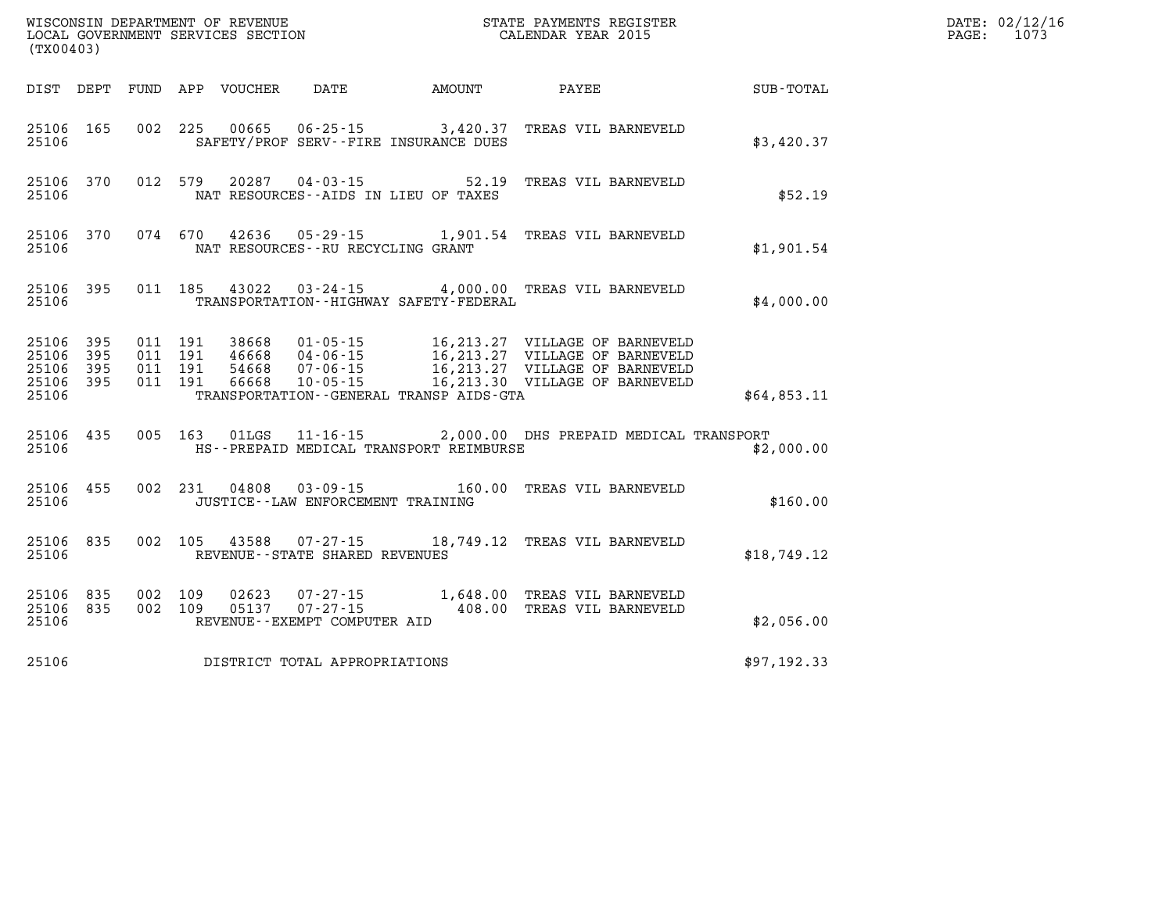| (TX00403)                                             |           |                               |         |                            |                                                |                                             |                                                                              |             | DATE: 02/12/16<br>PAGE:<br>1073 |
|-------------------------------------------------------|-----------|-------------------------------|---------|----------------------------|------------------------------------------------|---------------------------------------------|------------------------------------------------------------------------------|-------------|---------------------------------|
|                                                       |           |                               |         | DIST DEPT FUND APP VOUCHER | DATE                                           | <b>AMOUNT</b>                               | PAYEE                                                                        | SUB-TOTAL   |                                 |
| 25106                                                 | 25106 165 |                               |         |                            |                                                | SAFETY/PROF SERV--FIRE INSURANCE DUES       | 002 225 00665 06-25-15 3,420.37 TREAS VIL BARNEVELD                          | \$3,420.37  |                                 |
| 25106                                                 | 25106 370 |                               | 012 579 |                            |                                                | NAT RESOURCES -- AIDS IN LIEU OF TAXES      | 20287  04-03-15  52.19  TREAS VIL BARNEVELD                                  | \$52.19     |                                 |
| 25106                                                 | 25106 370 |                               |         |                            | NAT RESOURCES - - RU RECYCLING GRANT           |                                             | 074 670 42636 05-29-15 1,901.54 TREAS VIL BARNEVELD                          | \$1,901.54  |                                 |
| 25106                                                 | 25106 395 |                               |         |                            |                                                | TRANSPORTATION - - HIGHWAY SAFETY - FEDERAL | 011 185 43022 03-24-15 4,000.00 TREAS VIL BARNEVELD                          | \$4,000.00  |                                 |
| 25106 395<br>25106 395<br>25106<br>25106 395<br>25106 | 395       | 011 191<br>011 191<br>011 191 | 011 191 | 54668<br>66668             | 07-06-15                                       | TRANSPORTATION--GENERAL TRANSP AIDS-GTA     |                                                                              | \$64,853.11 |                                 |
| 25106                                                 | 25106 435 |                               |         |                            |                                                | HS--PREPAID MEDICAL TRANSPORT REIMBURSE     | 005 163 01LGS 11-16-15 2,000.00 DHS PREPAID MEDICAL TRANSPORT                | \$2,000.00  |                                 |
| 25106                                                 | 25106 455 |                               |         |                            | JUSTICE -- LAW ENFORCEMENT TRAINING            |                                             | 002  231  04808  03-09-15  160.00 TREAS VIL BARNEVELD                        | \$160.00    |                                 |
| 25106                                                 | 25106 835 |                               |         |                            | REVENUE--STATE SHARED REVENUES                 |                                             | 002 105 43588 07-27-15 18,749.12 TREAS VIL BARNEVELD                         | \$18,749.12 |                                 |
| 25106 835<br>25106 835<br>25106                       |           | 002 109<br>002 109            |         | 02623                      | 05137 07-27-15<br>REVENUE--EXEMPT COMPUTER AID |                                             | 07-27-15 1,648.00 TREAS VIL BARNEVELD<br>07-27-15 408.00 TREAS VIL BARNEVELD | \$2,056.00  |                                 |
| 25106                                                 |           |                               |         |                            | DISTRICT TOTAL APPROPRIATIONS                  |                                             |                                                                              | \$97,192.33 |                                 |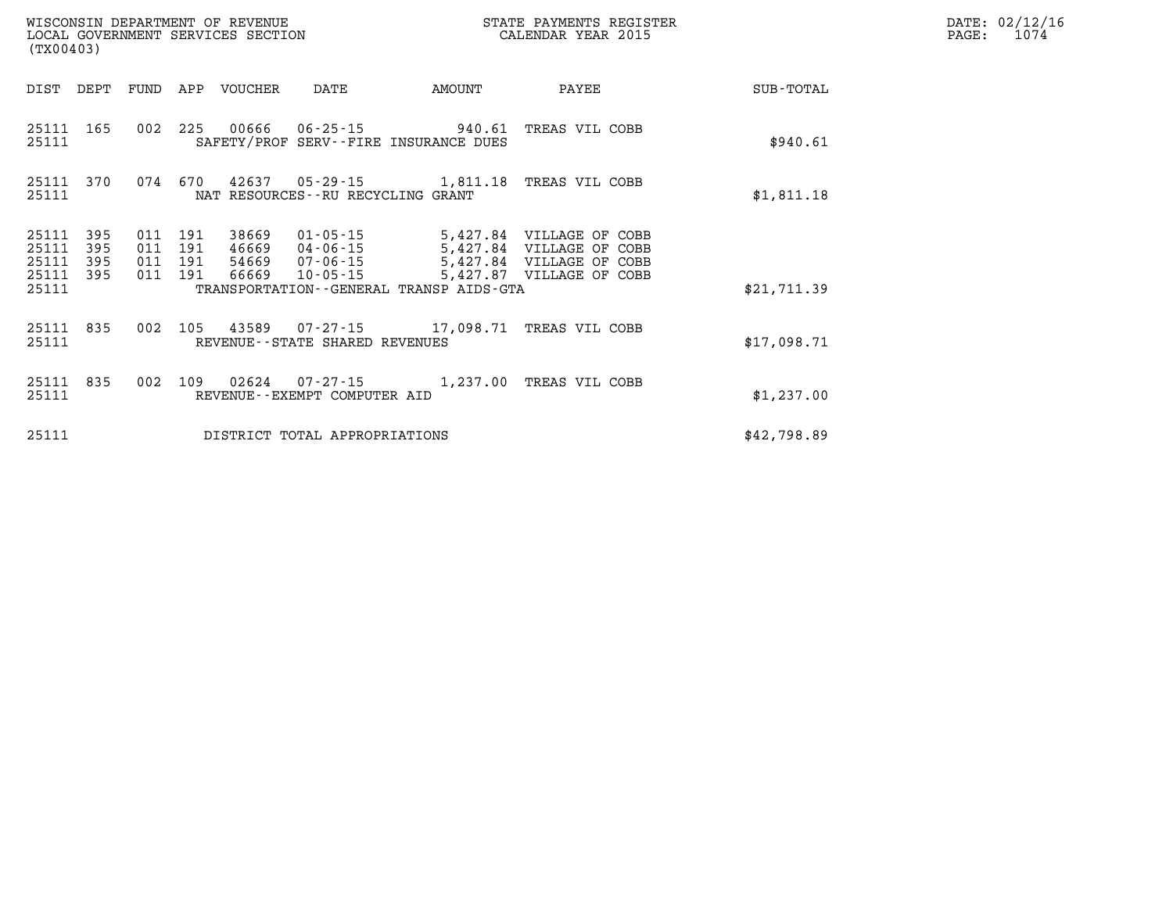| WISCONSIN DEPARTMENT OF REVENUE<br>STATE PAYMENTS REGISTER<br>LOCAL GOVERNMENT SERVICES SECTION<br>CALENDAR YEAR 2015<br>(TX00403) |            |            |            |         |                                      |                                                                                  |                                                      |                  |  |
|------------------------------------------------------------------------------------------------------------------------------------|------------|------------|------------|---------|--------------------------------------|----------------------------------------------------------------------------------|------------------------------------------------------|------------------|--|
| DIST                                                                                                                               | DEPT       | FUND       | APP        | VOUCHER | DATE                                 | AMOUNT                                                                           | PAYEE                                                | <b>SUB-TOTAL</b> |  |
| 25111 165<br>25111                                                                                                                 |            | 002 225    |            |         |                                      | 00666  06-25-15  940.61  TREAS VIL COBB<br>SAFETY/PROF SERV--FIRE INSURANCE DUES |                                                      | \$940.61         |  |
| 25111<br>25111                                                                                                                     | 370        |            |            |         | NAT RESOURCES - - RU RECYCLING GRANT | 074 670 42637 05-29-15 1,811.18 TREAS VIL COBB                                   |                                                      | \$1,811.18       |  |
| 25111<br>25111                                                                                                                     | 395<br>395 | 011<br>011 | 191<br>191 | 38669   | 01-05-15                             |                                                                                  | 5,427.84 VILLAGE OF COBB<br>5,427.84 VILLAGE OF COBB |                  |  |
| 25111                                                                                                                              | 395        | 011        | 191        |         | 54669 07-06-15                       |                                                                                  | 5,427.84 VILLAGE OF COBB                             |                  |  |
| 25111<br>25111                                                                                                                     | 395        | 011        | 191        |         | 66669 10-05-15                       | TRANSPORTATION--GENERAL TRANSP AIDS-GTA                                          | 5,427.87 VILLAGE OF COBB                             | \$21,711.39      |  |
| 25111<br>25111                                                                                                                     | 835        | 002        | 105        |         | REVENUE--STATE SHARED REVENUES       | 43589  07-27-15  17,098.71  TREAS VIL COBB                                       |                                                      | \$17,098.71      |  |
| 25111<br>25111                                                                                                                     | 835        | 002        | 109        |         | REVENUE--EXEMPT COMPUTER AID         | 02624  07-27-15  1,237.00 TREAS VIL COBB                                         |                                                      | \$1,237.00       |  |
| 25111                                                                                                                              |            |            |            |         | DISTRICT TOTAL APPROPRIATIONS        |                                                                                  |                                                      | \$42,798.89      |  |

**DATE: 02/12/16<br>PAGE: 1074**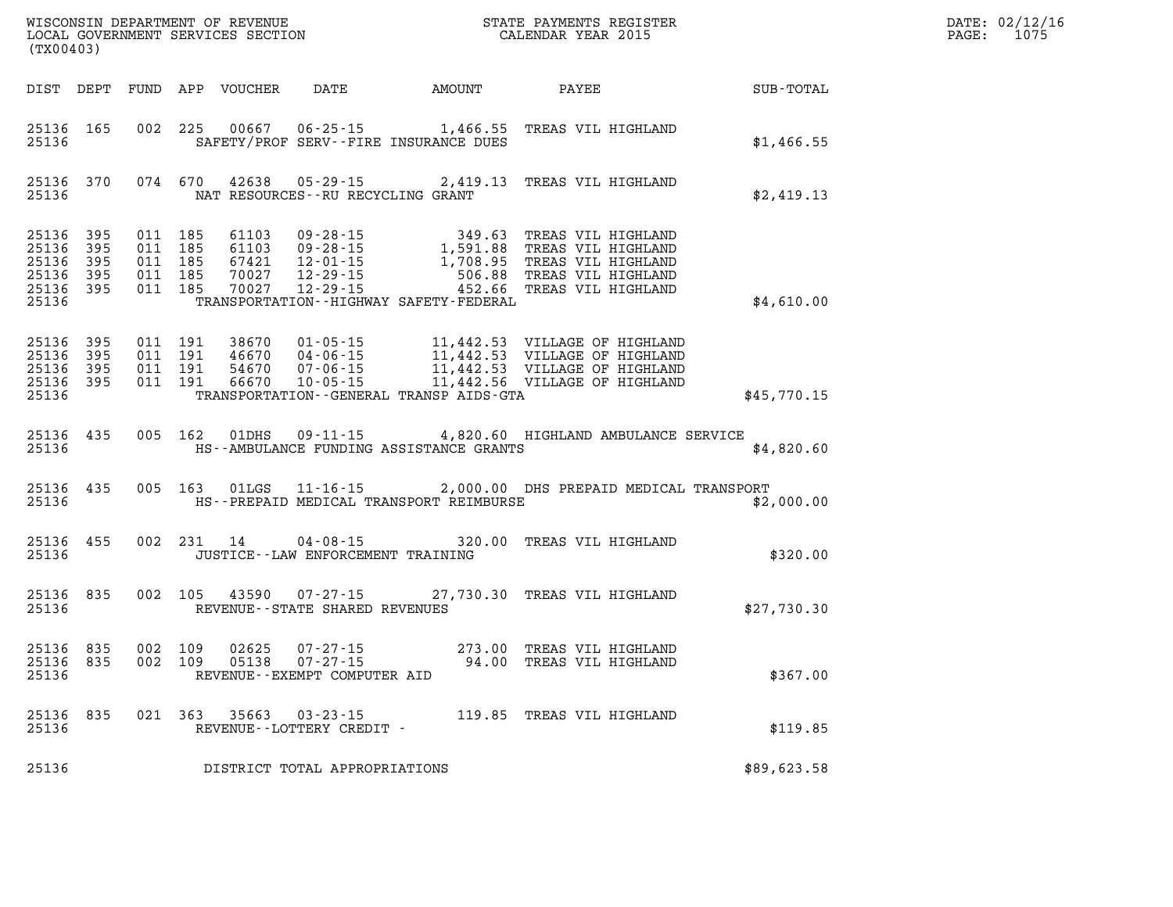| DATE: | 02/12/16 |
|-------|----------|
| PAGE: | 1075     |

| (TX00403)                                                          |           |                                                     | LOCAL GOVERNMENT SERVICES SECTION |                                              | CALENDAR YEAR 2015                                                                                                                                                                                                         |             | PAGE: | 1075 |
|--------------------------------------------------------------------|-----------|-----------------------------------------------------|-----------------------------------|----------------------------------------------|----------------------------------------------------------------------------------------------------------------------------------------------------------------------------------------------------------------------------|-------------|-------|------|
|                                                                    |           |                                                     |                                   | DIST DEPT FUND APP VOUCHER DATE AMOUNT PAYEE |                                                                                                                                                                                                                            | SUB-TOTAL   |       |      |
| 25136                                                              | 25136 165 |                                                     |                                   | SAFETY/PROF SERV--FIRE INSURANCE DUES        | 002 225 00667 06-25-15 1,466.55 TREAS VIL HIGHLAND                                                                                                                                                                         | \$1,466.55  |       |      |
| 25136                                                              | 25136 370 |                                                     |                                   | NAT RESOURCES--RU RECYCLING GRANT            | 074 670 42638 05-29-15 2,419.13 TREAS VIL HIGHLAND                                                                                                                                                                         | \$2,419.13  |       |      |
| 25136<br>25136 395<br>25136 395<br>25136 395<br>25136 395<br>25136 | 395       | 011 185<br>011 185<br>011 185<br>011 185<br>011 185 | 70027<br>70027                    | TRANSPORTATION - - HIGHWAY SAFETY - FEDERAL  | 61103 09-28-15 349.63 TREAS VIL HIGHLAND<br>67421 12-01-15 1,708.95 TREAS VIL HIGHLAND<br>70027 12-29-15 506.88 TREAS VIL HIGHLAND<br>70027 12-29-15 506.88 TREAS VIL HIGHLAND<br>70027 12-29-15 452.66 TREAS VIL HIGHLAND | \$4,610.00  |       |      |
| 25136 395<br>25136<br>25136 395<br>25136 395<br>25136              | 395       |                                                     |                                   | TRANSPORTATION--GENERAL TRANSP AIDS-GTA      |                                                                                                                                                                                                                            | \$45,770.15 |       |      |
| 25136                                                              | 25136 435 |                                                     |                                   |                                              | 005 162 01DHS 09-11-15 4,820.60 HIGHLAND AMBULANCE SERVICE<br>HS--AMBULANCE FUNDING ASSISTANCE GRANTS                                                                                                                      | \$4,820.60  |       |      |
| 25136                                                              | 25136 435 |                                                     |                                   | HS--PREPAID MEDICAL TRANSPORT REIMBURSE      | 005 163 01LGS 11-16-15 2,000.00 DHS PREPAID MEDICAL TRANSPORT                                                                                                                                                              | \$2,000.00  |       |      |
| 25136 455<br>25136                                                 |           |                                                     |                                   | JUSTICE - - LAW ENFORCEMENT TRAINING         | 002 231 14 04-08-15 320.00 TREAS VIL HIGHLAND                                                                                                                                                                              | \$320.00    |       |      |
| 25136                                                              | 25136 835 |                                                     |                                   | REVENUE--STATE SHARED REVENUES               | 002 105 43590 07-27-15 27,730.30 TREAS VIL HIGHLAND                                                                                                                                                                        | \$27,730.30 |       |      |
| 25136 835<br>25136 835<br>25136                                    |           | 002 109<br>002 109                                  | 02625<br>05138                    | REVENUE--EXEMPT COMPUTER AID                 | 07-27-15 273.00 TREAS VIL HIGHLAND<br>07-27-15 94.00 TREAS VIL HIGHLAND                                                                                                                                                    | \$367.00    |       |      |
| 25136                                                              | 25136 835 |                                                     |                                   | REVENUE--LOTTERY CREDIT -                    | 021 363 35663 03-23-15 119.85 TREAS VIL HIGHLAND                                                                                                                                                                           | \$119.85    |       |      |
| 25136                                                              |           |                                                     |                                   | DISTRICT TOTAL APPROPRIATIONS                |                                                                                                                                                                                                                            | \$89,623.58 |       |      |

WISCONSIN DEPARTMENT OF REVENUE **STATE PAYMENTS REGISTER**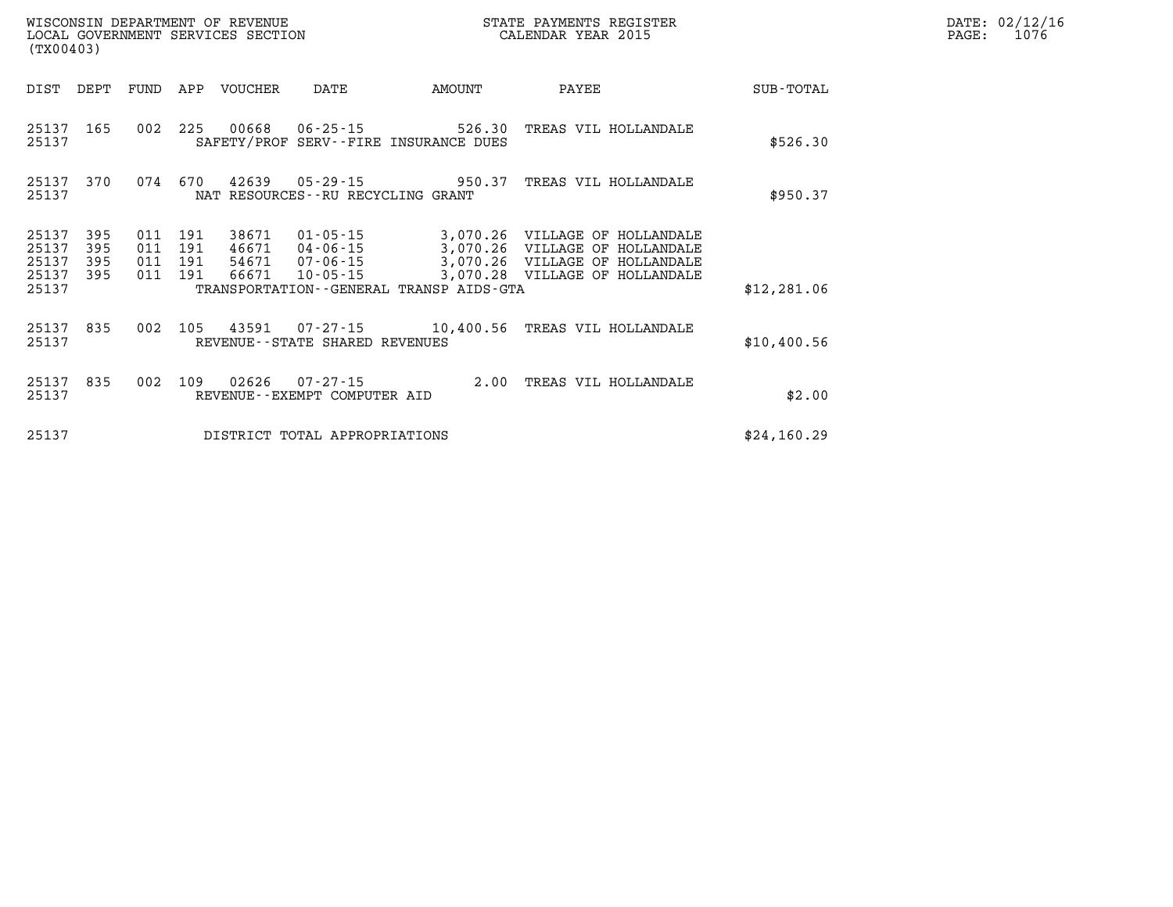| WISCONSIN DEPARTMENT OF REVENUE   | STATE PAYMENTS REGISTER |       | DATE: 02/12/16 |
|-----------------------------------|-------------------------|-------|----------------|
| LOCAL GOVERNMENT SERVICES SECTION | CALENDAR YEAR 2015      | PAGE: | 1076           |

| (TX00403)                        |                          |                |                           | LOCAL GOVERNMENT SERVICES SECTION |                                   |                                              | CALENDAR YEAR 2015                                                                                                                                              |              | PAGE: | 1076 |
|----------------------------------|--------------------------|----------------|---------------------------|-----------------------------------|-----------------------------------|----------------------------------------------|-----------------------------------------------------------------------------------------------------------------------------------------------------------------|--------------|-------|------|
| DIST                             | DEPT                     | FUND           |                           | APP VOUCHER                       | DATE                              | AMOUNT                                       | PAYEE                                                                                                                                                           | SUB-TOTAL    |       |      |
| 25137<br>25137                   | 165                      |                |                           | 002 225 00668                     |                                   | SAFETY/PROF SERV--FIRE INSURANCE DUES        | 06-25-15 526.30 TREAS VIL HOLLANDALE                                                                                                                            | \$526.30     |       |      |
| 25137<br>25137                   | 370                      |                |                           |                                   | NAT RESOURCES--RU RECYCLING GRANT |                                              | 074 670 42639 05-29-15 950.37 TREAS VIL HOLLANDALE                                                                                                              | \$950.37     |       |      |
| 25137<br>25137<br>25137<br>25137 | 395<br>395<br>395<br>395 | 011<br>011 191 | 191<br>011 191<br>011 191 | 38671<br>46671<br>54671<br>66671  | $10 - 05 - 15$                    |                                              | 01-05-15 3,070.26 VILLAGE OF HOLLANDALE<br>04-06-15 3,070.26 VILLAGE OF HOLLANDALE<br>07-06-15 3,070.26 VILLAGE OF HOLLANDALE<br>3,070.28 VILLAGE OF HOLLANDALE |              |       |      |
| 25137                            |                          |                |                           |                                   |                                   | TRANSPORTATION - - GENERAL TRANSP AIDS - GTA |                                                                                                                                                                 | \$12, 281.06 |       |      |
| 25137<br>25137                   | 835                      | 002            |                           | 105 43591                         | REVENUE--STATE SHARED REVENUES    |                                              | 07-27-15 10,400.56 TREAS VIL HOLLANDALE                                                                                                                         | \$10,400.56  |       |      |
| 25137<br>25137                   | 835                      |                |                           |                                   | REVENUE--EXEMPT COMPUTER AID      |                                              | 002 109 02626 07-27-15 2.00 TREAS VIL HOLLANDALE                                                                                                                | \$2.00       |       |      |
| 25137                            |                          |                |                           |                                   | DISTRICT TOTAL APPROPRIATIONS     |                                              |                                                                                                                                                                 | \$24,160.29  |       |      |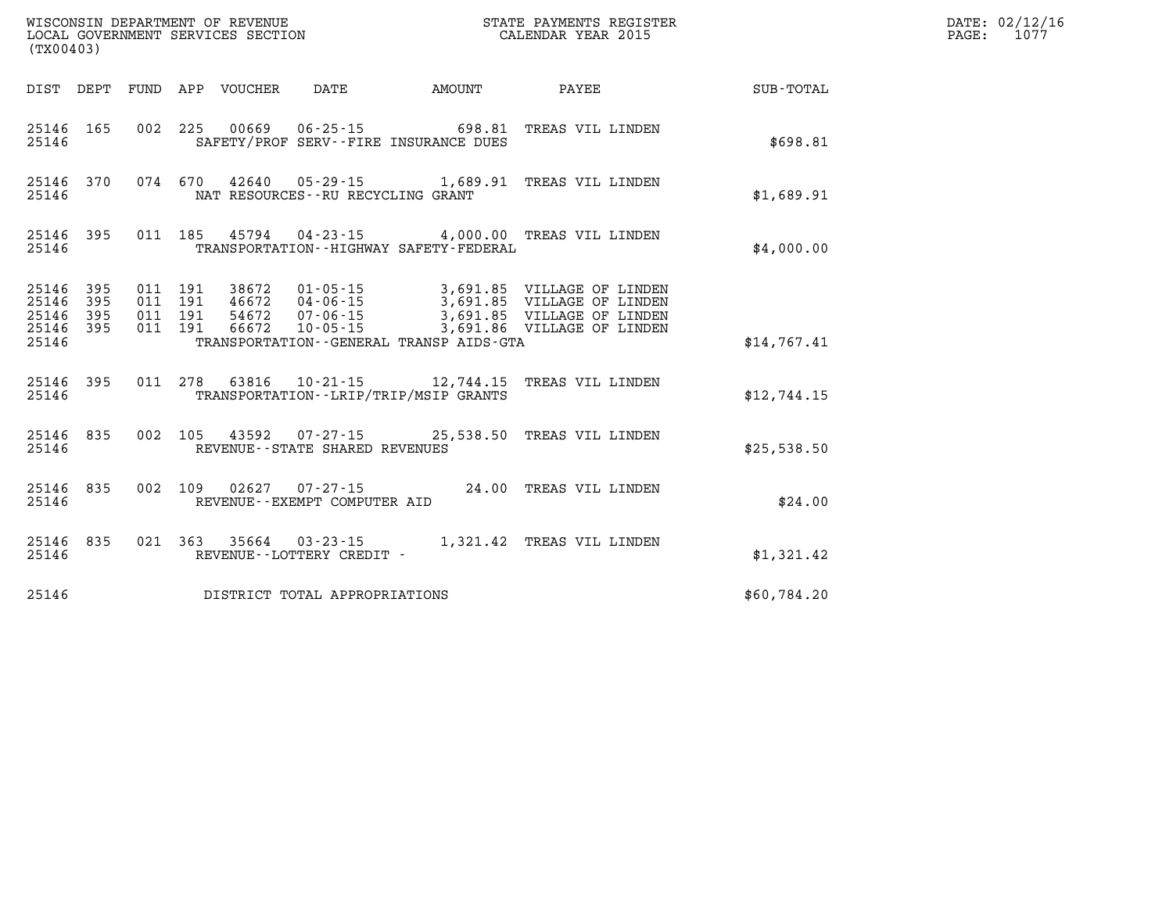| (TX00403)          |                                     |                               |               |                                      |                                                                        |                                                                                                                                                                                                          |             | DATE: 02/12/16<br>$\mathtt{PAGE:}$<br>1077 |
|--------------------|-------------------------------------|-------------------------------|---------------|--------------------------------------|------------------------------------------------------------------------|----------------------------------------------------------------------------------------------------------------------------------------------------------------------------------------------------------|-------------|--------------------------------------------|
|                    |                                     |                               |               |                                      |                                                                        | DIST DEPT FUND APP VOUCHER DATE AMOUNT PAYEE SUB-TOTAL                                                                                                                                                   |             |                                            |
| 25146              | 25146 165                           |                               |               |                                      | 002 225 00669 06-25-15 698.81<br>SAFETY/PROF SERV--FIRE INSURANCE DUES | TREAS VIL LINDEN                                                                                                                                                                                         | \$698.81    |                                            |
| 25146              |                                     |                               |               | NAT RESOURCES - - RU RECYCLING GRANT |                                                                        | 25146 370 074 670 42640 05-29-15 1,689.91 TREAS VIL LINDEN                                                                                                                                               | \$1,689.91  |                                            |
| 25146              | 25146 395                           |                               |               |                                      | TRANSPORTATION - - HIGHWAY SAFETY - FEDERAL                            | 011 185 45794 04-23-15 4,000.00 TREAS VIL LINDEN                                                                                                                                                         | \$4,000.00  |                                            |
| 25146 395<br>25146 | 25146 395<br>25146 395<br>25146 395 | 011 191<br>011 191<br>011 191 | 011 191 66672 |                                      | TRANSPORTATION--GENERAL TRANSP AIDS-GTA                                | 38672   01-05-15   3,691.85   VILLAGE OF LINDEN<br>46672   04-06-15   3,691.85   VILLAGE OF LINDEN<br>54672   07-06-15   3,691.85   VILLAGE OF LINDEN<br>66672   10-05-15   3,691.86   VILLAGE OF LINDEN | \$14,767.41 |                                            |
| 25146              |                                     |                               |               |                                      | TRANSPORTATION--LRIP/TRIP/MSIP GRANTS                                  | 25146 395 011 278 63816 10-21-15 12,744.15 TREAS VIL LINDEN                                                                                                                                              | \$12,744.15 |                                            |
| 25146              |                                     |                               |               | REVENUE--STATE SHARED REVENUES       |                                                                        | 25146 835 002 105 43592 07-27-15 25,538.50 TREAS VIL LINDEN                                                                                                                                              | \$25,538.50 |                                            |
| 25146              | 25146 835                           |                               |               | REVENUE--EXEMPT COMPUTER AID         |                                                                        | 002 109 02627 07-27-15 24.00 TREAS VIL LINDEN                                                                                                                                                            | \$24.00     |                                            |
| 25146              | 25146 835                           |                               |               | REVENUE--LOTTERY CREDIT -            |                                                                        | 021 363 35664 03-23-15 1,321.42 TREAS VIL LINDEN                                                                                                                                                         | \$1,321.42  |                                            |
| 25146              |                                     |                               |               | DISTRICT TOTAL APPROPRIATIONS        |                                                                        |                                                                                                                                                                                                          | \$60,784.20 |                                            |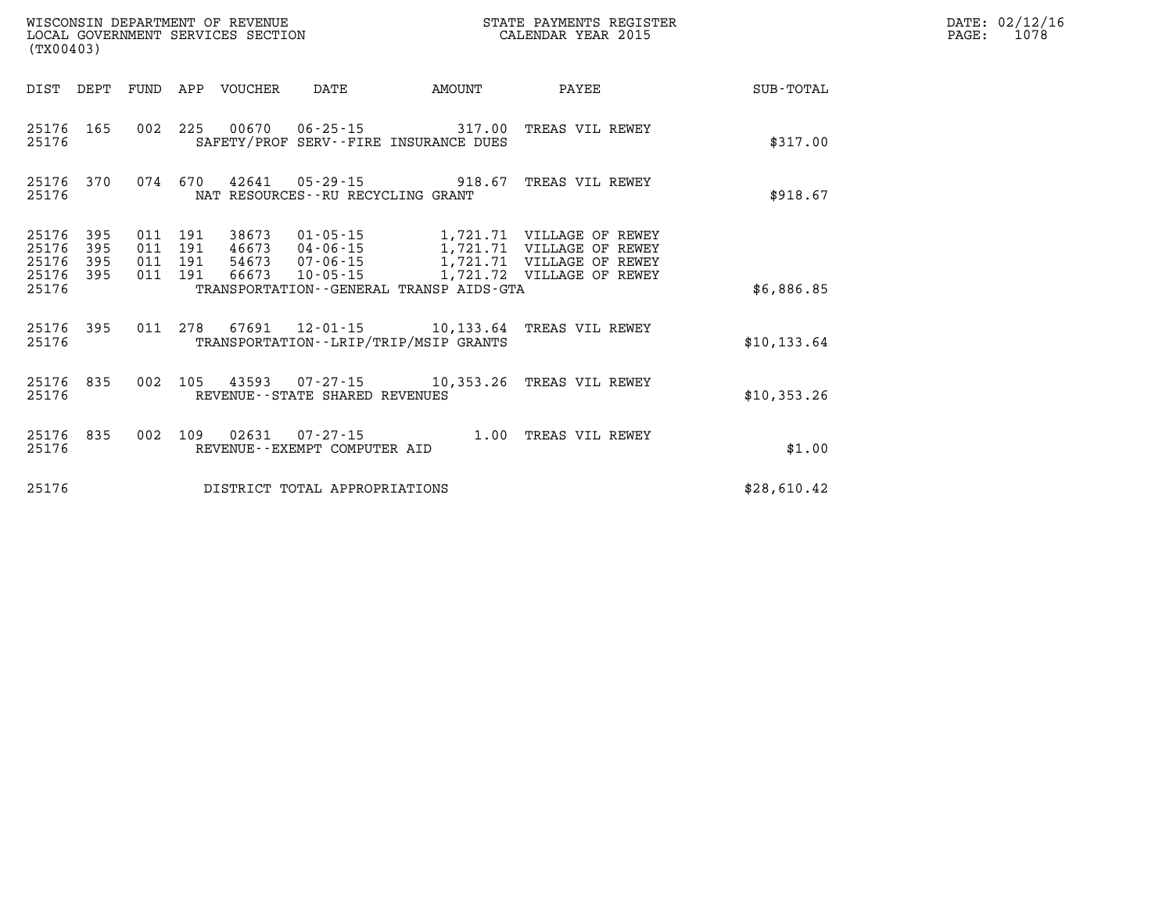| (TX00403)                                     |                   |  |  |                            |                                     |                                              | STATE PAYMENTS REGISTER                                                                                                                                                                                      |              | DATE: 02/12/16<br>PAGE: 1078 |
|-----------------------------------------------|-------------------|--|--|----------------------------|-------------------------------------|----------------------------------------------|--------------------------------------------------------------------------------------------------------------------------------------------------------------------------------------------------------------|--------------|------------------------------|
|                                               |                   |  |  | DIST DEPT FUND APP VOUCHER | DATE                                | AMOUNT                                       | PAYEE                                                                                                                                                                                                        | SUB-TOTAL    |                              |
| 25176 165<br>25176                            |                   |  |  |                            |                                     | SAFETY/PROF SERV--FIRE INSURANCE DUES        | 002  225  00670  06-25-15  317.00  TREAS  VIL REWEY                                                                                                                                                          | \$317.00     |                              |
| 25176                                         | 25176 370         |  |  |                            | NAT RESOURCES -- RU RECYCLING GRANT |                                              | 074 670 42641 05-29-15 918.67 TREAS VIL REWEY                                                                                                                                                                | \$918.67     |                              |
| 25176<br>25176<br>25176<br>25176 395<br>25176 | 395<br>395<br>395 |  |  |                            |                                     | TRANSPORTATION - - GENERAL TRANSP AIDS - GTA | 011 191 38673 01-05-15 1,721.71 VILLAGE OF REWEY<br>011 191 46673 04-06-15 1,721.71 VILLAGE OF REWEY<br>011 191 54673 07-06-15 1,721.71 VILLAGE OF REWEY<br>011 191 66673 10-05-15 1,721.72 VILLAGE OF REWEY | \$6,886.85   |                              |
| 25176                                         |                   |  |  |                            |                                     | TRANSPORTATION - - LRIP/TRIP/MSIP GRANTS     | 25176 395 011 278 67691 12-01-15 10,133.64 TREAS VIL REWEY                                                                                                                                                   | \$10, 133.64 |                              |
| 25176                                         |                   |  |  |                            | REVENUE--STATE SHARED REVENUES      |                                              | 25176 835 002 105 43593 07-27-15 10,353.26 TREAS VIL REWEY                                                                                                                                                   | \$10,353.26  |                              |
| 25176                                         | 25176 835         |  |  |                            | REVENUE--EXEMPT COMPUTER AID        |                                              | 002 109 02631 07-27-15 1.00 TREAS VIL REWEY                                                                                                                                                                  | \$1.00       |                              |
| 25176                                         |                   |  |  |                            | DISTRICT TOTAL APPROPRIATIONS       |                                              |                                                                                                                                                                                                              | \$28,610.42  |                              |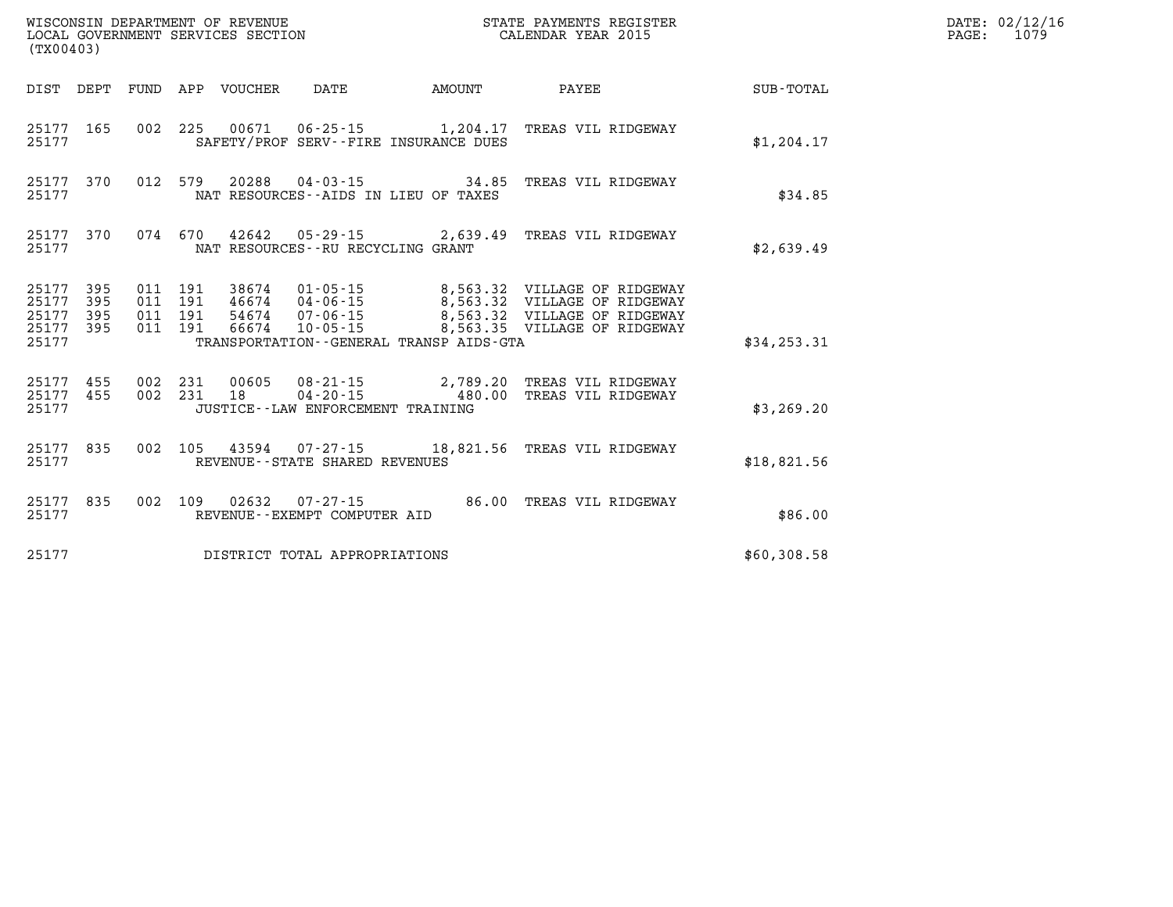| (TX00403)                                         |            |                                          |                                 | WISCONSIN DEPARTMENT OF REVENUE<br>LOCAL GOVERNMENT SERVICES SECTION |                                              | STATE PAYMENTS REGISTER<br>CALENDAR YEAR 2015                                                       | DATE: 02/12/16<br>1079<br>$\mathtt{PAGE}$ : |  |
|---------------------------------------------------|------------|------------------------------------------|---------------------------------|----------------------------------------------------------------------|----------------------------------------------|-----------------------------------------------------------------------------------------------------|---------------------------------------------|--|
|                                                   |            |                                          | DIST DEPT FUND APP VOUCHER DATE |                                                                      | AMOUNT                                       | <b>PAYEE</b>                                                                                        | SUB-TOTAL                                   |  |
| 25177                                             |            |                                          |                                 |                                                                      | SAFETY/PROF SERV--FIRE INSURANCE DUES        | 25177 165 002 225 00671 06-25-15 1,204.17 TREAS VIL RIDGEWAY                                        | \$1,204.17                                  |  |
| 25177 370<br>25177                                |            |                                          |                                 | NAT RESOURCES--AIDS IN LIEU OF TAXES                                 |                                              | 012 579 20288 04-03-15 34.85 TREAS VIL RIDGEWAY                                                     | \$34.85                                     |  |
| 25177                                             | 25177 370  |                                          |                                 | NAT RESOURCES--RU RECYCLING GRANT                                    |                                              | 074  670  42642  05-29-15  2,639.49  TREAS VIL RIDGEWAY                                             | \$2,639.49                                  |  |
| 25177 395<br>25177<br>25177<br>25177 395<br>25177 | 395<br>395 | 011 191<br>011 191<br>011 191<br>011 191 |                                 |                                                                      | TRANSPORTATION - - GENERAL TRANSP AIDS - GTA | 54674  07-06-15  8,563.32  VILLAGE OF RIDGEWAY<br>66674  10-05-15  8,563.35  VILLAGE OF RIDGEWAY    | \$34, 253.31                                |  |
| 25177 455<br>25177                                | 25177 455  |                                          |                                 | JUSTICE--LAW ENFORCEMENT TRAINING                                    |                                              | 002 231 00605 08-21-15 2,789.20 TREAS VIL RIDGEWAY<br>002 231 18 04-20-15 480.00 TREAS VIL RIDGEWAY | \$3,269.20                                  |  |
| 25177                                             | 25177 835  |                                          |                                 | REVENUE--STATE SHARED REVENUES                                       |                                              | 002 105 43594 07-27-15 18,821.56 TREAS VIL RIDGEWAY                                                 | \$18,821.56                                 |  |
| 25177                                             | 25177 835  |                                          | 002 109 02632                   | REVENUE--EXEMPT COMPUTER AID                                         |                                              | 07-27-15 86.00 TREAS VIL RIDGEWAY                                                                   | \$86.00                                     |  |
| 25177                                             |            |                                          |                                 | DISTRICT TOTAL APPROPRIATIONS                                        |                                              |                                                                                                     | \$60,308.58                                 |  |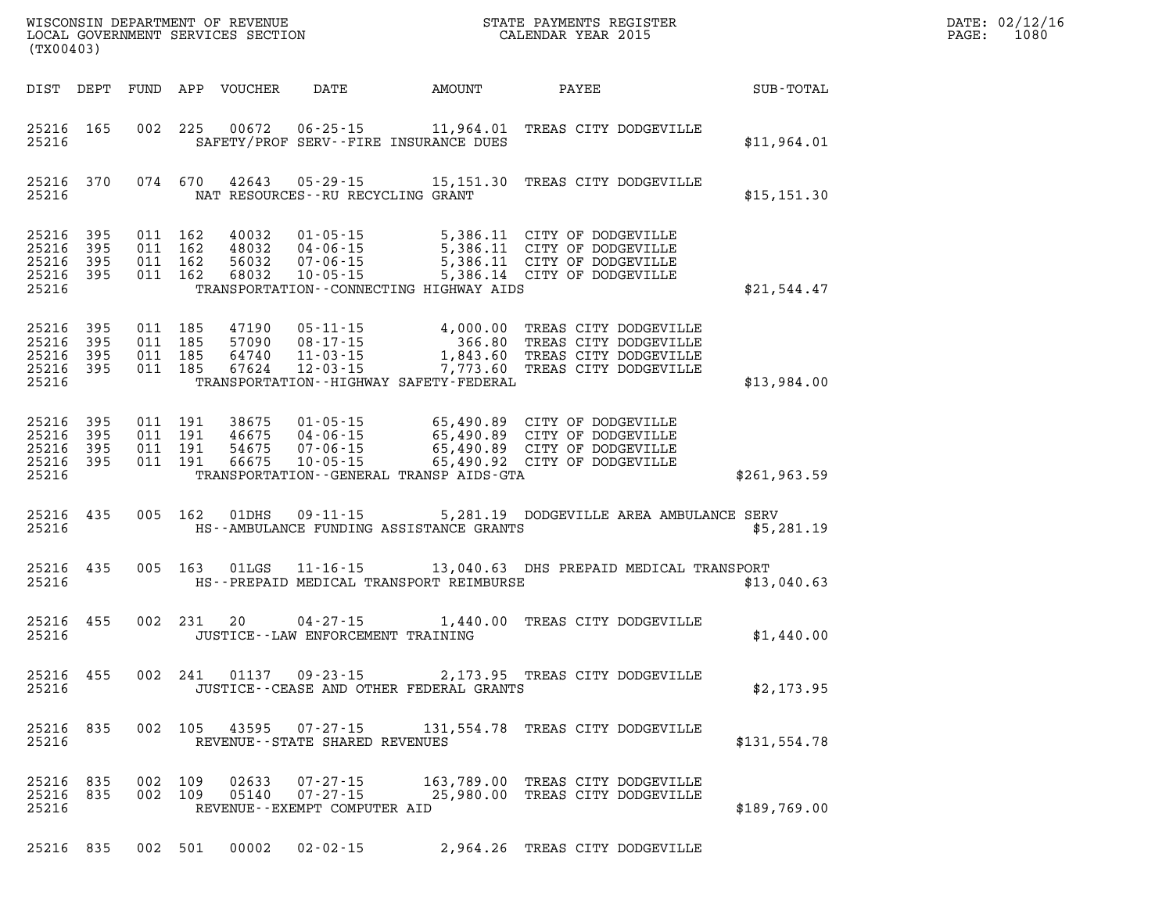| (TX00403)                                    |                   |                               |                               |                                  |                                                            |                                             | WISCONSIN DEPARTMENT OF REVENUE<br>LOCAL GOVERNMENT SERVICES SECTION<br>(TWOO402)                                                                                      |               | DATE: 02/12/16<br>PAGE: 1080 |
|----------------------------------------------|-------------------|-------------------------------|-------------------------------|----------------------------------|------------------------------------------------------------|---------------------------------------------|------------------------------------------------------------------------------------------------------------------------------------------------------------------------|---------------|------------------------------|
|                                              | DIST DEPT         |                               |                               | FUND APP VOUCHER                 |                                                            |                                             | DATE AMOUNT PAYEE                                                                                                                                                      | SUB-TOTAL     |                              |
| 25216                                        | 25216 165         |                               |                               | 002 225 00672                    |                                                            | SAFETY/PROF SERV--FIRE INSURANCE DUES       | 06-25-15 11,964.01 TREAS CITY DODGEVILLE                                                                                                                               | \$11,964.01   |                              |
| 25216                                        | 25216 370         |                               | 074 670                       |                                  | NAT RESOURCES--RU RECYCLING GRANT                          |                                             | 42643 05-29-15 15,151.30 TREAS CITY DODGEVILLE                                                                                                                         | \$15, 151.30  |                              |
| 25216 395<br>25216 395<br>25216 395<br>25216 | 25216 395         | 011 162<br>011 162<br>011 162 | 011 162                       | 40032<br>48032<br>56032<br>68032 |                                                            | TRANSPORTATION - CONNECTING HIGHWAY AIDS    | 01-05-15 5,386.11 CITY OF DODGEVILLE<br>04-06-15 5,386.11 CITY OF DODGEVILLE<br>07-06-15 5,386.11 CITY OF DODGEVILLE<br>10-05-15 5,386.14 CITY OF DODGEVILLE           | \$21,544.47   |                              |
| 25216 395<br>25216 395<br>25216 395<br>25216 | 25216 395 011 185 | 011 185<br>011 185<br>011 185 |                               | 47190<br>57090<br>64740<br>67624 |                                                            | TRANSPORTATION - - HIGHWAY SAFETY - FEDERAL | 05-11-15 4,000.00 TREAS CITY DODGEVILLE<br>08-17-15 366.80 TREAS CITY DODGEVILLE<br>11-03-15 1,843.60 TREAS CITY DODGEVILLE<br>12-03-15 7,773.60 TREAS CITY DODGEVILLE | \$13,984.00   |                              |
| 25216 395<br>25216 395<br>25216 395<br>25216 | 25216 395         | 011 191                       | 011 191<br>011 191<br>011 191 | 38675<br>46675<br>54675<br>66675 |                                                            | TRANSPORTATION--GENERAL TRANSP AIDS-GTA     | 01-05-15 65,490.89 CITY OF DODGEVILLE<br>04-06-15 65,490.89 CITY OF DODGEVILLE<br>07-06-15 65,490.89 CITY OF DODGEVILLE<br>10-05-15 65,490.92 CITY OF DODGEVILLE       | \$261, 963.59 |                              |
| 25216 435                                    | 25216             |                               | 005 162                       | 01DHS                            |                                                            | HS--AMBULANCE FUNDING ASSISTANCE GRANTS     | 09-11-15 5,281.19 DODGEVILLE AREA AMBULANCE SERV                                                                                                                       | \$5,281.19    |                              |
| 25216 435                                    | 25216             |                               | 005 163                       |                                  |                                                            | HS--PREPAID MEDICAL TRANSPORT REIMBURSE     | 01LGS  11-16-15  13,040.63 DHS PREPAID MEDICAL TRANSPORT                                                                                                               | \$13,040.63   |                              |
| 25216 455                                    | 25216             |                               |                               | 002 231 20                       |                                                            | JUSTICE -- LAW ENFORCEMENT TRAINING         | 04-27-15 1,440.00 TREAS CITY DODGEVILLE                                                                                                                                | \$1,440.00    |                              |
| 25216                                        |                   |                               |                               |                                  |                                                            | JUSTICE - - CEASE AND OTHER FEDERAL GRANTS  | 25216 455 002 241 01137 09-23-15 2,173.95 TREAS CITY DODGEVILLE                                                                                                        | \$2,173.95    |                              |
| 25216                                        | 25216 835         |                               |                               |                                  | REVENUE--STATE SHARED REVENUES                             |                                             | 002 105 43595 07-27-15 131,554.78 TREAS CITY DODGEVILLE                                                                                                                | \$131,554.78  |                              |
| 25216 835<br>25216 835<br>25216              |                   |                               | 002 109<br>002 109            | 02633<br>05140                   | 07-27-15<br>$07 - 27 - 15$<br>REVENUE--EXEMPT COMPUTER AID |                                             | 163,789.00 TREAS CITY DODGEVILLE<br>25,980.00 TREAS CITY DODGEVILLE                                                                                                    | \$189,769.00  |                              |
|                                              | 25216 835         | 002 501                       |                               |                                  | $00002$ $02 - 02 - 15$                                     |                                             | 2,964.26 TREAS CITY DODGEVILLE                                                                                                                                         |               |                              |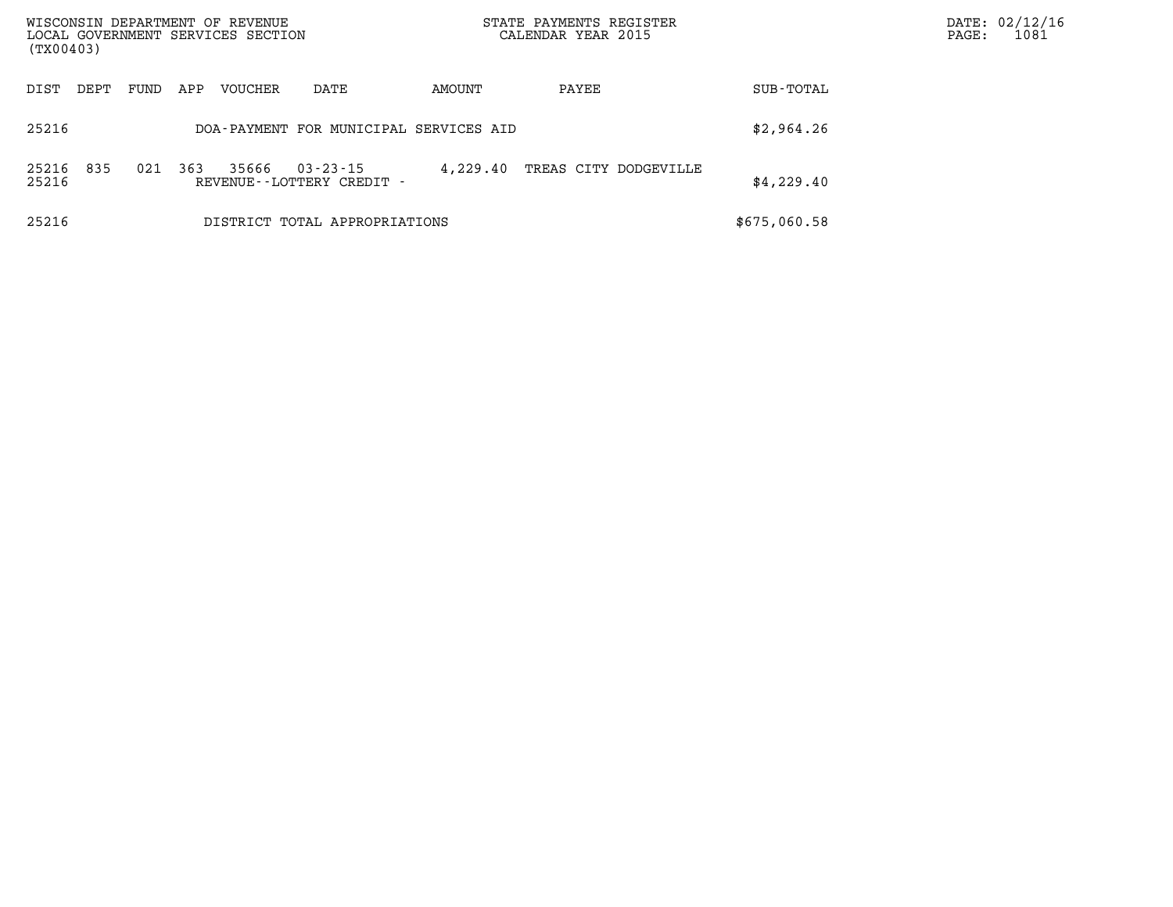| WISCONSIN DEPARTMENT OF REVENUE<br>LOCAL GOVERNMENT SERVICES SECTION<br>(TX00403) |      |      |     |                |                                                |          | STATE PAYMENTS REGISTER<br>CALENDAR YEAR 2015 |              | PAGE: | DATE: 02/12/16<br>1081 |
|-----------------------------------------------------------------------------------|------|------|-----|----------------|------------------------------------------------|----------|-----------------------------------------------|--------------|-------|------------------------|
| DIST                                                                              | DEPT | FUND | APP | <b>VOUCHER</b> | DATE                                           | AMOUNT   | PAYEE                                         | SUB-TOTAL    |       |                        |
| 25216                                                                             |      |      |     |                | DOA-PAYMENT FOR MUNICIPAL SERVICES AID         |          |                                               | \$2,964.26   |       |                        |
| 25216<br>25216                                                                    | 835  | 021  | 363 | 35666          | $03 - 23 - 15$<br>REVENUE - - LOTTERY CREDIT - | 4,229.40 | TREAS CITY DODGEVILLE                         | \$4,229.40   |       |                        |
| 25216                                                                             |      |      |     |                | DISTRICT TOTAL APPROPRIATIONS                  |          |                                               | \$675,060.58 |       |                        |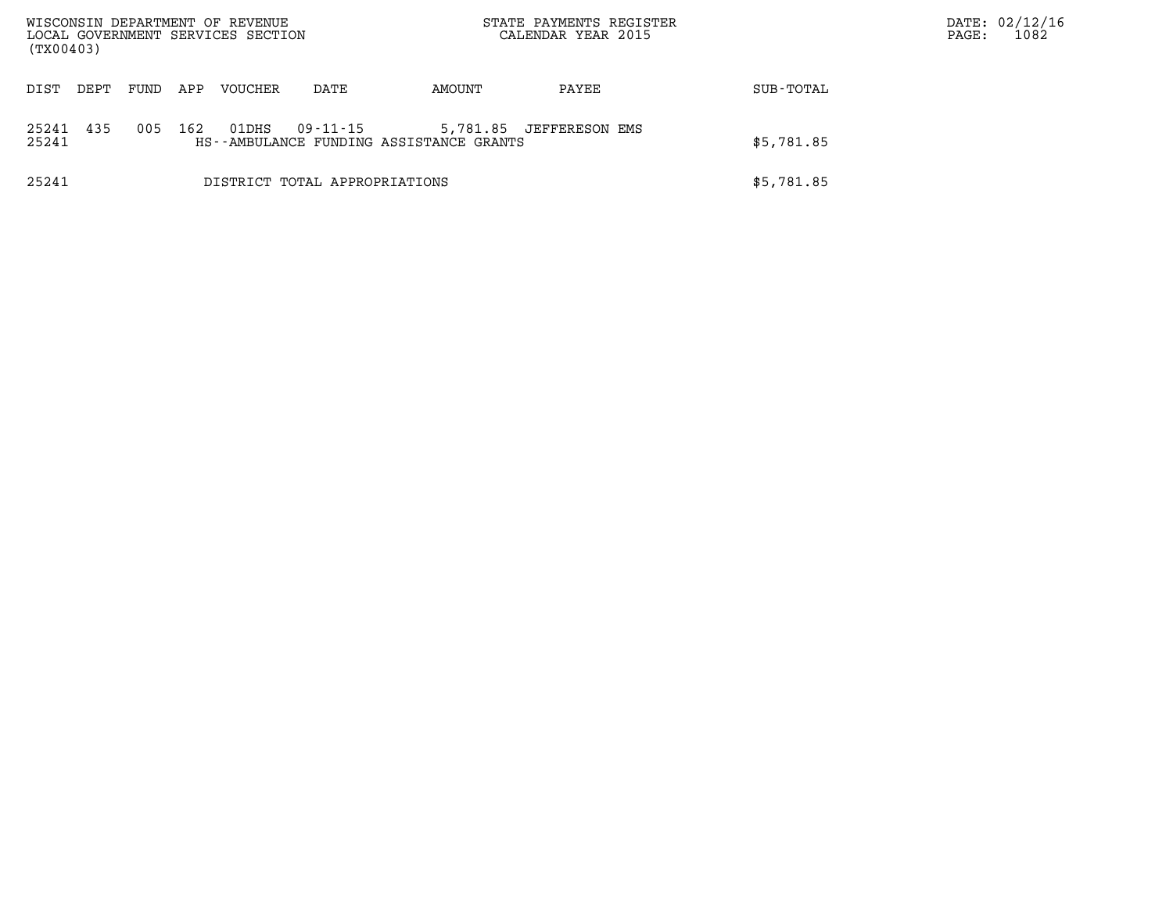| (TX00403)          |      |      |     | WISCONSIN DEPARTMENT OF REVENUE<br>LOCAL GOVERNMENT SERVICES SECTION |                               |                                         | STATE PAYMENTS REGISTER<br>CALENDAR YEAR 2015 |            | DATE: 02/12/16<br>1082<br>PAGE: |
|--------------------|------|------|-----|----------------------------------------------------------------------|-------------------------------|-----------------------------------------|-----------------------------------------------|------------|---------------------------------|
| DIST               | DEPT | FUND | APP | VOUCHER                                                              | DATE                          | AMOUNT                                  | PAYEE                                         | SUB-TOTAL  |                                 |
| 25241 435<br>25241 |      | 005  | 162 | 01DHS                                                                | 09-11-15                      | HS--AMBULANCE FUNDING ASSISTANCE GRANTS | 5,781.85 JEFFERESON EMS                       | \$5,781.85 |                                 |
| 25241              |      |      |     |                                                                      | DISTRICT TOTAL APPROPRIATIONS |                                         |                                               | \$5,781.85 |                                 |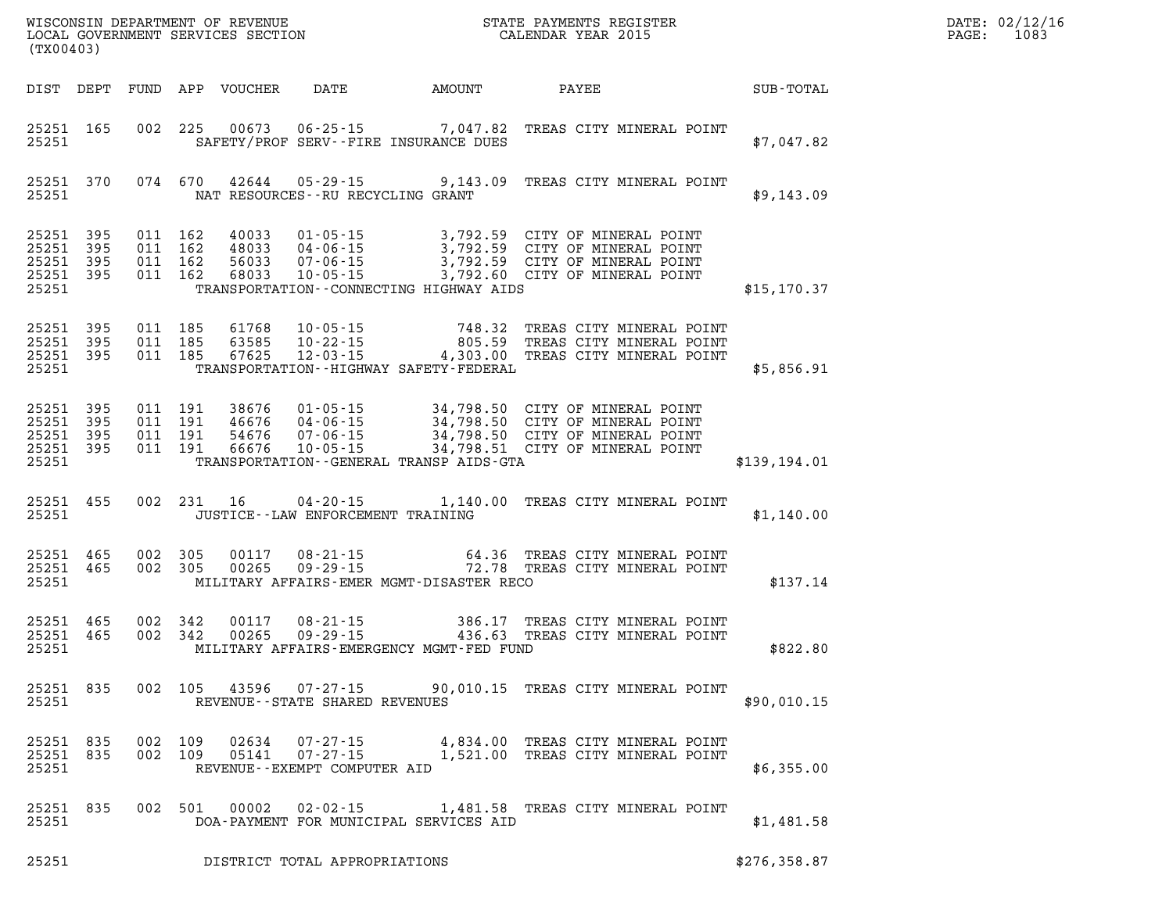| DATE: | 02/12/16 |
|-------|----------|
| PAGE: | 1083     |

| (TX00403)                                                 |                                 |  |                                      |                                              |                                                                                                                                                                                                                                      |  | DATE: 02/12/1<br>PAGE:<br>1083 |  |
|-----------------------------------------------------------|---------------------------------|--|--------------------------------------|----------------------------------------------|--------------------------------------------------------------------------------------------------------------------------------------------------------------------------------------------------------------------------------------|--|--------------------------------|--|
|                                                           |                                 |  |                                      |                                              | DIST DEPT FUND APP VOUCHER DATE AMOUNT PAYEE TOTAL                                                                                                                                                                                   |  |                                |  |
| 25251                                                     | 25251 165                       |  |                                      | SAFETY/PROF SERV--FIRE INSURANCE DUES        | 002 225 00673 06-25-15 7,047.82 TREAS CITY MINERAL POINT                                                                                                                                                                             |  | \$7,047.82                     |  |
| 25251                                                     | 25251 370                       |  | NAT RESOURCES - - RU RECYCLING GRANT |                                              | 074 670 42644 05-29-15 9,143.09 TREAS CITY MINERAL POINT                                                                                                                                                                             |  | \$9,143.09                     |  |
| 25251 395<br>25251 395<br>25251 395<br>25251 395<br>25251 |                                 |  |                                      | TRANSPORTATION -- CONNECTING HIGHWAY AIDS    | 011 162 40033 01-05-15 3,792.59 CITY OF MINERAL POINT<br>011 162 48033 04-06-15 3,792.59 CITY OF MINERAL POINT<br>011 162 68033 07-06-15 3,792.59 CITY OF MINERAL POINT<br>011 162 68033 10-05-15 3,792.60 CITY OF MINERAL POINT     |  | \$15, 170.37                   |  |
| 25251 395<br>25251 395<br>25251                           | 25251 395                       |  |                                      | TRANSPORTATION - - HIGHWAY SAFETY - FEDERAL  | 011 185 61768 10-05-15 748.32 TREAS CITY MINERAL POINT<br>011 185 63585 10-22-15 805.59 TREAS CITY MINERAL POINT<br>011 185 67625 12-03-15 4,303.00 TREAS CITY MINERAL POINT                                                         |  | \$5,856.91                     |  |
| 25251 395<br>25251 395<br>25251 395<br>25251 395<br>25251 |                                 |  |                                      | TRANSPORTATION - - GENERAL TRANSP AIDS - GTA | 011 191 38676 01-05-15 34,798.50 CITY OF MINERAL POINT<br>011 191 46676 04-06-15 34,798.50 CITY OF MINERAL POINT<br>011 191 66676 10-05-15 34,798.50 CITY OF MINERAL POINT<br>011 191 66676 10-05-15 34,798.51 CITY OF MINERAL POINT |  | \$139,194.01                   |  |
| 25251                                                     | 25251 455                       |  | JUSTICE - - LAW ENFORCEMENT TRAINING |                                              | 002 231 16 04-20-15 1,140.00 TREAS CITY MINERAL POINT                                                                                                                                                                                |  | \$1,140.00                     |  |
|                                                           | 25251 465<br>25251 465<br>25251 |  |                                      | MILITARY AFFAIRS-EMER MGMT-DISASTER RECO     | 002 305 00117 08-21-15 64.36 TREAS CITY MINERAL POINT<br>002 305 00265 09-29-15 72.78 TREAS CITY MINERAL POINT                                                                                                                       |  | \$137.14                       |  |
| 25251 465<br>25251 465<br>25251                           |                                 |  |                                      | MILITARY AFFAIRS-EMERGENCY MGMT-FED FUND     | 002 342 00117 08-21-15 386.17 TREAS CITY MINERAL POINT<br>002 342 00265 09-29-15 436.63 TREAS CITY MINERAL POINT                                                                                                                     |  | \$822.80                       |  |
| 25251                                                     | 25251 835                       |  | REVENUE--STATE SHARED REVENUES       |                                              | 002 105 43596 07-27-15 90,010.15 TREAS CITY MINERAL POINT                                                                                                                                                                            |  | \$90,010.15                    |  |
| 25251 835<br>25251 835<br>25251                           |                                 |  | REVENUE--EXEMPT COMPUTER AID         |                                              | 002 109 02634 07-27-15 4,834.00 TREAS CITY MINERAL POINT<br>002 109 05141 07-27-15 1,521.00 TREAS CITY MINERAL POINT                                                                                                                 |  | \$6,355.00                     |  |
| 25251 835<br>25251                                        |                                 |  |                                      | DOA-PAYMENT FOR MUNICIPAL SERVICES AID       | 002 501 00002 02-02-15 1,481.58 TREAS CITY MINERAL POINT                                                                                                                                                                             |  | \$1,481.58                     |  |

**25251 DISTRICT TOTAL APPROPRIATIONS \$276,358.87**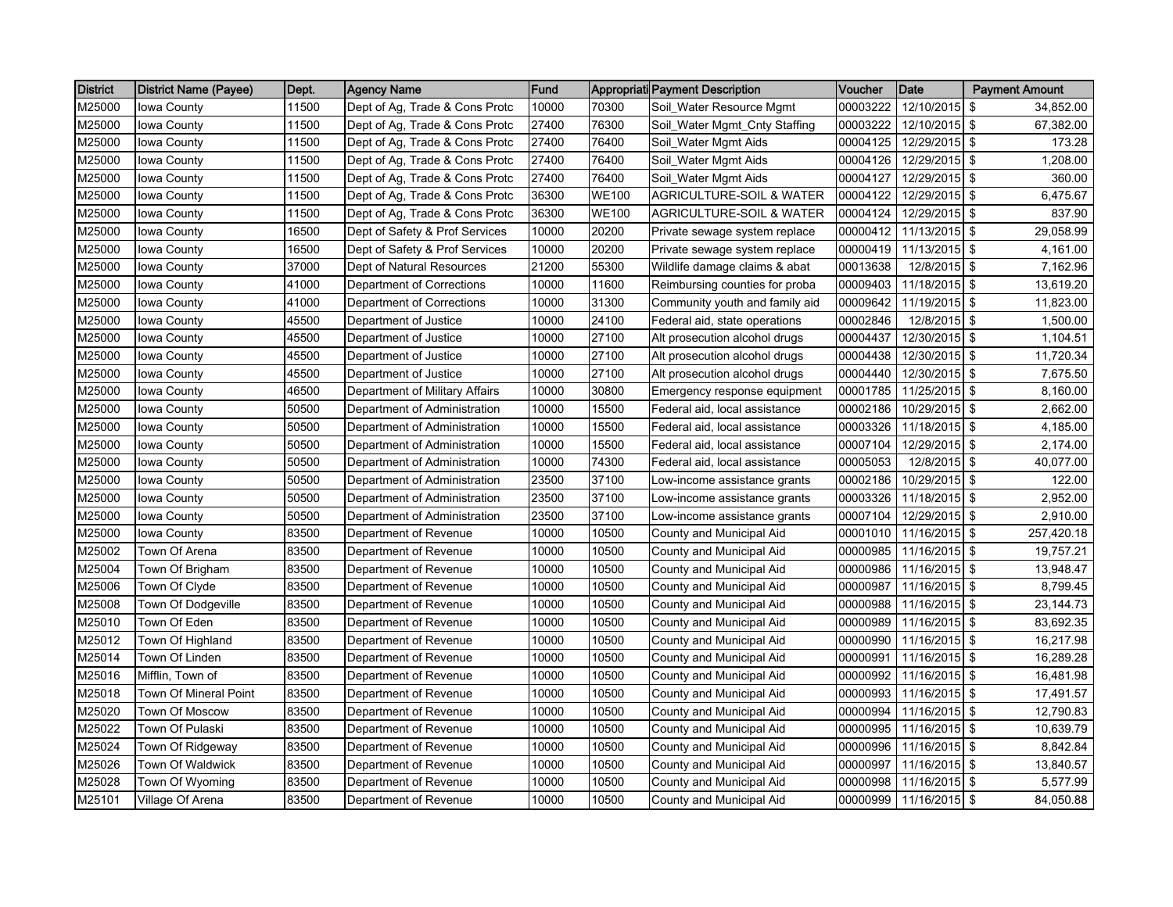| <b>District</b> | <b>District Name (Payee)</b> | Dept. | <b>Agency Name</b>             | Fund  |              | Appropriati Payment Description     | Voucher  | <b>Date</b>   | <b>Payment Amount</b> |
|-----------------|------------------------------|-------|--------------------------------|-------|--------------|-------------------------------------|----------|---------------|-----------------------|
| M25000          | Iowa County                  | 11500 | Dept of Ag, Trade & Cons Protc | 10000 | 70300        | Soil_Water Resource Mgmt            | 00003222 | 12/10/2015    | 34,852.00<br>-\$      |
| M25000          | Iowa County                  | 11500 | Dept of Ag, Trade & Cons Protc | 27400 | 76300        | Soil_Water Mgmt_Cnty Staffing       | 00003222 | 12/10/2015 \$ | 67,382.00             |
| M25000          | Iowa County                  | 11500 | Dept of Ag, Trade & Cons Protc | 27400 | 76400        | Soil_Water Mgmt Aids                | 00004125 | 12/29/2015 \$ | 173.28                |
| M25000          | Iowa County                  | 11500 | Dept of Ag, Trade & Cons Protc | 27400 | 76400        | Soil_Water Mgmt Aids                | 00004126 | 12/29/2015 \$ | 1,208.00              |
| M25000          | Iowa County                  | 11500 | Dept of Ag, Trade & Cons Protc | 27400 | 76400        | Soil_Water Mgmt Aids                | 00004127 | 12/29/2015 \$ | 360.00                |
| M25000          | Iowa County                  | 11500 | Dept of Ag, Trade & Cons Protc | 36300 | <b>WE100</b> | <b>AGRICULTURE-SOIL &amp; WATER</b> | 00004122 | 12/29/2015 \$ | 6,475.67              |
| M25000          | Iowa County                  | 11500 | Dept of Ag, Trade & Cons Protc | 36300 | <b>WE100</b> | AGRICULTURE-SOIL & WATER            | 00004124 | 12/29/2015    | -\$<br>837.90         |
| M25000          | Iowa County                  | 16500 | Dept of Safety & Prof Services | 10000 | 20200        | Private sewage system replace       | 00000412 | 11/13/2015    | \$<br>29,058.99       |
| M25000          | Iowa County                  | 16500 | Dept of Safety & Prof Services | 10000 | 20200        | Private sewage system replace       | 00000419 | 11/13/2015 \$ | 4,161.00              |
| M25000          | Iowa County                  | 37000 | Dept of Natural Resources      | 21200 | 55300        | Wildlife damage claims & abat       | 00013638 | 12/8/2015 \$  | 7,162.96              |
| M25000          | Iowa County                  | 41000 | Department of Corrections      | 10000 | 11600        | Reimbursing counties for proba      | 00009403 | 11/18/2015 \$ | 13,619.20             |
| M25000          | Iowa County                  | 41000 | Department of Corrections      | 10000 | 31300        | Community youth and family aid      | 00009642 | 11/19/2015    | \$<br>11,823.00       |
| M25000          | Iowa County                  | 45500 | Department of Justice          | 10000 | 24100        | Federal aid, state operations       | 00002846 | 12/8/2015 \$  | 1.500.00              |
| M25000          | Iowa County                  | 45500 | Department of Justice          | 10000 | 27100        | Alt prosecution alcohol drugs       | 00004437 | 12/30/2015 \$ | 1,104.51              |
| M25000          | Iowa County                  | 45500 | Department of Justice          | 10000 | 27100        | Alt prosecution alcohol drugs       | 00004438 | 12/30/2015    | -\$<br>11,720.34      |
| M25000          | Iowa County                  | 45500 | Department of Justice          | 10000 | 27100        | Alt prosecution alcohol drugs       | 00004440 | 12/30/2015 \$ | 7,675.50              |
| M25000          | Iowa County                  | 46500 | Department of Military Affairs | 10000 | 30800        | Emergency response equipment        | 00001785 | 11/25/2015 \$ | 8,160.00              |
| M25000          | Iowa County                  | 50500 | Department of Administration   | 10000 | 15500        | Federal aid, local assistance       | 00002186 | 10/29/2015    | \$<br>2,662.00        |
| M25000          | Iowa County                  | 50500 | Department of Administration   | 10000 | 15500        | Federal aid, local assistance       | 00003326 | 11/18/2015 \$ | 4,185.00              |
| M25000          | Iowa County                  | 50500 | Department of Administration   | 10000 | 15500        | Federal aid, local assistance       | 00007104 | 12/29/2015 \$ | 2,174.00              |
| M25000          | Iowa County                  | 50500 | Department of Administration   | 10000 | 74300        | Federal aid, local assistance       | 00005053 | 12/8/2015 \$  | 40,077.00             |
| M25000          | Iowa County                  | 50500 | Department of Administration   | 23500 | 37100        | Low-income assistance grants        | 00002186 | 10/29/2015 \$ | 122.00                |
| M25000          | Iowa County                  | 50500 | Department of Administration   | 23500 | 37100        | Low-income assistance grants        | 00003326 | 11/18/2015    | -\$<br>2,952.00       |
| M25000          | Iowa County                  | 50500 | Department of Administration   | 23500 | 37100        | Low-income assistance grants        | 00007104 | 12/29/2015 \$ | 2,910.00              |
| M25000          | Iowa County                  | 83500 | Department of Revenue          | 10000 | 10500        | County and Municipal Aid            | 00001010 | 11/16/2015 \$ | 257,420.18            |
| M25002          | Town Of Arena                | 83500 | Department of Revenue          | 10000 | 10500        | County and Municipal Aid            | 00000985 | 11/16/2015    | -\$<br>19,757.21      |
| M25004          | Town Of Brigham              | 83500 | Department of Revenue          | 10000 | 10500        | County and Municipal Aid            | 00000986 | 11/16/2015 \$ | 13,948.47             |
| M25006          | Town Of Clyde                | 83500 | Department of Revenue          | 10000 | 10500        | County and Municipal Aid            | 00000987 | 11/16/2015 \$ | 8,799.45              |
| M25008          | Town Of Dodgeville           | 83500 | Department of Revenue          | 10000 | 10500        | County and Municipal Aid            | 00000988 | 11/16/2015    | -\$<br>23,144.73      |
| M25010          | Town Of Eden                 | 83500 | Department of Revenue          | 10000 | 10500        | County and Municipal Aid            | 00000989 | 11/16/2015 \$ | 83,692.35             |
| M25012          | Town Of Highland             | 83500 | Department of Revenue          | 10000 | 10500        | County and Municipal Aid            | 00000990 | 11/16/2015 \$ | 16.217.98             |
| M25014          | Town Of Linden               | 83500 | Department of Revenue          | 10000 | 10500        | County and Municipal Aid            | 00000991 | 11/16/2015 \$ | 16,289.28             |
| M25016          | Mifflin, Town of             | 83500 | Department of Revenue          | 10000 | 10500        | County and Municipal Aid            | 00000992 | 11/16/2015 \$ | 16,481.98             |
| M25018          | Town Of Mineral Point        | 83500 | Department of Revenue          | 10000 | 10500        | County and Municipal Aid            | 00000993 | 11/16/2015    | \$<br>17,491.57       |
| M25020          | <b>Town Of Moscow</b>        | 83500 | Department of Revenue          | 10000 | 10500        | County and Municipal Aid            | 00000994 | 11/16/2015    | \$<br>12,790.83       |
| M25022          | Town Of Pulaski              | 83500 | Department of Revenue          | 10000 | 10500        | County and Municipal Aid            | 00000995 | 11/16/2015 \$ | 10,639.79             |
| M25024          | Town Of Ridgeway             | 83500 | Department of Revenue          | 10000 | 10500        | County and Municipal Aid            | 00000996 | 11/16/2015    | -\$<br>8,842.84       |
| M25026          | <b>Town Of Waldwick</b>      | 83500 | Department of Revenue          | 10000 | 10500        | County and Municipal Aid            | 00000997 | 11/16/2015 \$ | 13,840.57             |
| M25028          | Town Of Wyoming              | 83500 | Department of Revenue          | 10000 | 10500        | County and Municipal Aid            | 00000998 | 11/16/2015 \$ | 5,577.99              |
| M25101          | Village Of Arena             | 83500 | Department of Revenue          | 10000 | 10500        | County and Municipal Aid            | 00000999 | 11/16/2015    | -\$<br>84,050.88      |